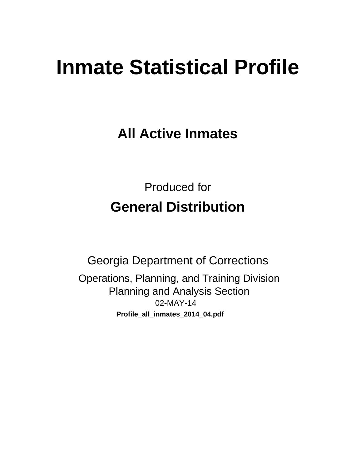# **Inmate Statistical Profile**

**All Active Inmates** 

**Produced for General Distribution** 

**Georgia Department of Corrections** Operations, Planning, and Training Division **Planning and Analysis Section** 02-MAY-14 Profile\_all\_inmates\_2014\_04.pdf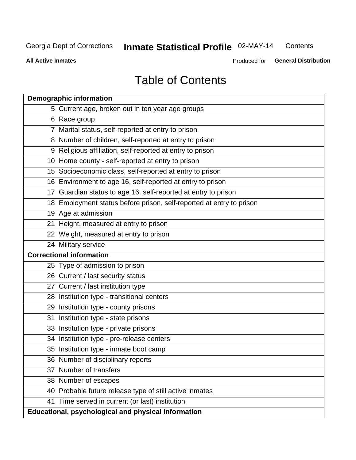#### Inmate Statistical Profile 02-MAY-14 Contents

**All Active Inmates** 

Produced for General Distribution

# **Table of Contents**

|    | <b>Demographic information</b>                                       |
|----|----------------------------------------------------------------------|
|    | 5 Current age, broken out in ten year age groups                     |
|    | 6 Race group                                                         |
|    | 7 Marital status, self-reported at entry to prison                   |
|    | 8 Number of children, self-reported at entry to prison               |
|    | 9 Religious affiliation, self-reported at entry to prison            |
|    | 10 Home county - self-reported at entry to prison                    |
|    | 15 Socioeconomic class, self-reported at entry to prison             |
|    | 16 Environment to age 16, self-reported at entry to prison           |
|    | 17 Guardian status to age 16, self-reported at entry to prison       |
|    | 18 Employment status before prison, self-reported at entry to prison |
|    | 19 Age at admission                                                  |
|    | 21 Height, measured at entry to prison                               |
|    | 22 Weight, measured at entry to prison                               |
|    | 24 Military service                                                  |
|    | <b>Correctional information</b>                                      |
|    | 25 Type of admission to prison                                       |
|    | 26 Current / last security status                                    |
|    | 27 Current / last institution type                                   |
|    | 28 Institution type - transitional centers                           |
|    | 29 Institution type - county prisons                                 |
| 31 | Institution type - state prisons                                     |
|    | 33 Institution type - private prisons                                |
|    | 34 Institution type - pre-release centers                            |
|    | 35 Institution type - inmate boot camp                               |
|    | 36 Number of disciplinary reports                                    |
|    | 37 Number of transfers                                               |
|    | 38 Number of escapes                                                 |
|    | 40 Probable future release type of still active inmates              |
|    | 41 Time served in current (or last) institution                      |
|    | Educational, psychological and physical information                  |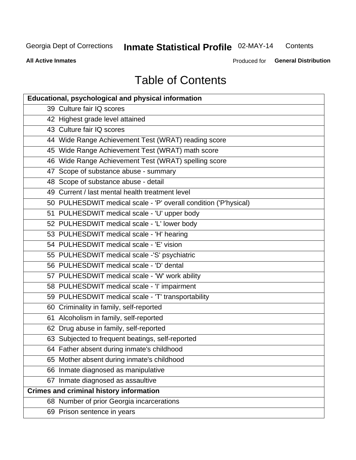#### Inmate Statistical Profile 02-MAY-14 Contents

**All Active Inmates** 

Produced for General Distribution

# **Table of Contents**

| <b>Educational, psychological and physical information</b>       |
|------------------------------------------------------------------|
| 39 Culture fair IQ scores                                        |
| 42 Highest grade level attained                                  |
| 43 Culture fair IQ scores                                        |
| 44 Wide Range Achievement Test (WRAT) reading score              |
| 45 Wide Range Achievement Test (WRAT) math score                 |
| 46 Wide Range Achievement Test (WRAT) spelling score             |
| 47 Scope of substance abuse - summary                            |
| 48 Scope of substance abuse - detail                             |
| 49 Current / last mental health treatment level                  |
| 50 PULHESDWIT medical scale - 'P' overall condition ('P'hysical) |
| 51 PULHESDWIT medical scale - 'U' upper body                     |
| 52 PULHESDWIT medical scale - 'L' lower body                     |
| 53 PULHESDWIT medical scale - 'H' hearing                        |
| 54 PULHESDWIT medical scale - 'E' vision                         |
| 55 PULHESDWIT medical scale -'S' psychiatric                     |
| 56 PULHESDWIT medical scale - 'D' dental                         |
| 57 PULHESDWIT medical scale - 'W' work ability                   |
| 58 PULHESDWIT medical scale - 'I' impairment                     |
| 59 PULHESDWIT medical scale - 'T' transportability               |
| 60 Criminality in family, self-reported                          |
| 61 Alcoholism in family, self-reported                           |
| 62 Drug abuse in family, self-reported                           |
| 63 Subjected to frequent beatings, self-reported                 |
| 64 Father absent during inmate's childhood                       |
| 65 Mother absent during inmate's childhood                       |
| 66 Inmate diagnosed as manipulative                              |
| 67 Inmate diagnosed as assaultive                                |
| <b>Crimes and criminal history information</b>                   |
| 68 Number of prior Georgia incarcerations                        |
| 69 Prison sentence in years                                      |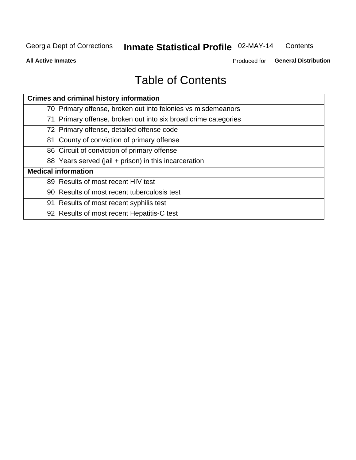#### Inmate Statistical Profile 02-MAY-14 Contents

**All Active Inmates** 

Produced for General Distribution

# **Table of Contents**

| <b>Crimes and criminal history information</b>                 |
|----------------------------------------------------------------|
| 70 Primary offense, broken out into felonies vs misdemeanors   |
| 71 Primary offense, broken out into six broad crime categories |
| 72 Primary offense, detailed offense code                      |
| 81 County of conviction of primary offense                     |
| 86 Circuit of conviction of primary offense                    |
| 88 Years served (jail + prison) in this incarceration          |
| <b>Medical information</b>                                     |
| 89 Results of most recent HIV test                             |
| 90 Results of most recent tuberculosis test                    |
| 91 Results of most recent syphilis test                        |
| 92 Results of most recent Hepatitis-C test                     |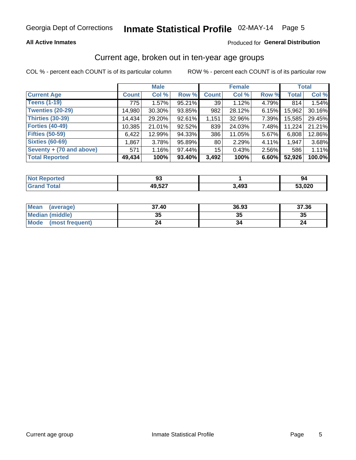#### **All Active Inmates**

#### Produced for General Distribution

### Current age, broken out in ten-year age groups

COL % - percent each COUNT is of its particular column

|                          |              | <b>Male</b> |        |              | <b>Female</b> |          |              | <b>Total</b> |
|--------------------------|--------------|-------------|--------|--------------|---------------|----------|--------------|--------------|
| <b>Current Age</b>       | <b>Count</b> | Col %       | Row %  | <b>Count</b> | Col %         | Row %    | <b>Total</b> | Col %        |
| <b>Teens (1-19)</b>      | 775          | 1.57%       | 95.21% | 39           | 1.12%         | 4.79%    | 814          | 1.54%        |
| <b>Twenties (20-29)</b>  | 14,980       | $30.30\%$   | 93.85% | 982          | 28.12%        | $6.15\%$ | 15,962       | 30.16%       |
| <b>Thirties (30-39)</b>  | 14,434       | 29.20%      | 92.61% | 1,151        | 32.96%        | 7.39%    | 15,585       | 29.45%       |
| <b>Forties (40-49)</b>   | 10,385       | 21.01%      | 92.52% | 839          | 24.03%        | 7.48%    | 11,224       | 21.21%       |
| <b>Fifties (50-59)</b>   | 6,422        | 12.99%      | 94.33% | 386          | 11.05%        | 5.67%    | 6,808        | 12.86%       |
| <b>Sixties (60-69)</b>   | 1,867        | 3.78%       | 95.89% | 80           | 2.29%         | 4.11%    | 1,947        | 3.68%        |
| Seventy + (70 and above) | 571          | 1.16%       | 97.44% | 15           | 0.43%         | 2.56%    | 586          | 1.11%        |
| <b>Total Reported</b>    | 49,434       | 100%        | 93.40% | 3,492        | 100%          | 6.60%    | 52,926       | 100.0%       |

| <b>Not Repo</b><br><b>Address</b> | o٠<br>JJ               |              | 94    |
|-----------------------------------|------------------------|--------------|-------|
| Total                             | 10 E27<br>44<br>، عەرי | ା ଏ ଏ<br>453 | 3,020 |

| Mean<br>(average)              | 37.40 | 36.93 | 37.36 |
|--------------------------------|-------|-------|-------|
| <b>Median (middle)</b>         | 35    | J.    | 35    |
| <b>Mode</b><br>(most frequent) | 24    |       |       |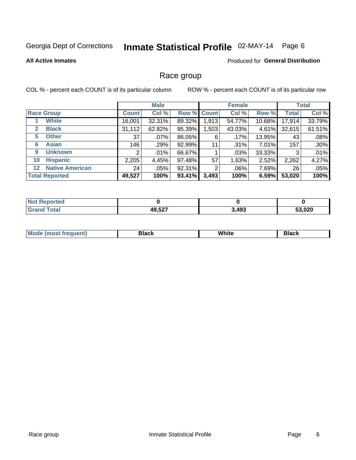# Inmate Statistical Profile 02-MAY-14 Page 6

#### **All Active Inmates**

#### Produced for General Distribution

### Race group

COL % - percent each COUNT is of its particular column

|                                   |              | <b>Male</b> |        |             | <b>Female</b> |          |              | <b>Total</b> |
|-----------------------------------|--------------|-------------|--------|-------------|---------------|----------|--------------|--------------|
| <b>Race Group</b>                 | <b>Count</b> | Col %       |        | Row % Count | Col %         | Row %    | <b>Total</b> | Col %        |
| <b>White</b>                      | 16,001       | 32.31%      | 89.32% | 1,913       | 54.77%        | 10.68%   | 17,914       | 33.79%       |
| <b>Black</b><br>2                 | 31,112       | 62.82%      | 95.39% | .503        | 43.03%        | $4.61\%$ | 32,615       | 61.51%       |
| <b>Other</b><br>5                 | 37           | .07%        | 86.05% | 6           | .17%          | 13.95%   | 43           | .08%         |
| <b>Asian</b><br>6                 | 146          | .29%        | 92.99% | 11          | .31%          | 7.01%    | 157          | .30%         |
| <b>Unknown</b><br>9               | 2            | $.01\%$     | 66.67% |             | .03%          | 33.33%   | 3            | .01%         |
| <b>Hispanic</b><br>10             | 2,205        | 4.45%       | 97.48% | 57          | 1.63%         | 2.52%    | 2,262        | 4.27%        |
| <b>Native American</b><br>$12 \,$ | 24           | $.05\%$     | 92.31% | 2           | $.06\%$       | 7.69%    | 26           | .05%         |
| <b>Total Reported</b>             | 49,527       | 100%        | 93.41% | 3,493       | 100%          | 6.59%    | 53,020       | 100%         |

| Reported<br><b>NOT</b> |        |       |        |
|------------------------|--------|-------|--------|
| <b>Total</b><br>"Granu | 49,527 | 3,493 | 53,020 |

| M.<br>____ | . | ------- |
|------------|---|---------|
|            |   |         |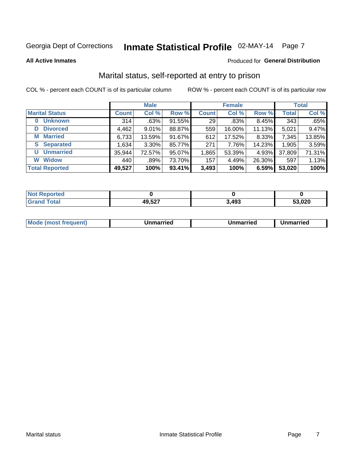# Inmate Statistical Profile 02-MAY-14 Page 7

#### **All Active Inmates**

#### Produced for General Distribution

### Marital status, self-reported at entry to prison

COL % - percent each COUNT is of its particular column

|                            |              | <b>Male</b> |        |              | <b>Female</b> |        |              | <b>Total</b> |
|----------------------------|--------------|-------------|--------|--------------|---------------|--------|--------------|--------------|
| <b>Marital Status</b>      | <b>Count</b> | Col %       | Row %  | <b>Count</b> | Col %         | Row %  | <b>Total</b> | Col %        |
| <b>Unknown</b><br>$\bf{0}$ | 314          | .63%        | 91.55% | 29           | .83%          | 8.45%  | 343          | .65%         |
| <b>Divorced</b><br>D       | 4,462        | $9.01\%$    | 88.87% | 559          | 16.00%        | 11.13% | 5,021        | 9.47%        |
| <b>Married</b><br>М        | 6,733        | 13.59%      | 91.67% | 612          | 17.52%        | 8.33%  | 7,345        | 13.85%       |
| <b>Separated</b><br>S.     | 1,634        | $3.30\%$    | 85.77% | 271          | 7.76%         | 14.23% | 1,905        | 3.59%        |
| <b>Unmarried</b><br>U      | 35,944       | 72.57%      | 95.07% | 1,865        | 53.39%        | 4.93%  | 37,809       | 71.31%       |
| <b>Widow</b><br>W          | 440          | .89%        | 73.70% | 157          | 4.49%         | 26.30% | 597          | 1.13%        |
| <b>Total Reported</b>      | 49,527       | 100%        | 93.41% | 3,493        | 100%          | 6.59%  | 53,020       | 100%         |

| .<br>n eo<br>NO |                       |       |        |
|-----------------|-----------------------|-------|--------|
|                 | דמה הו<br>45<br>וגט,י | 3,493 | 53,020 |

|--|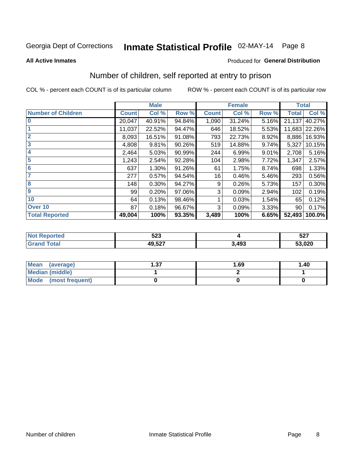# Inmate Statistical Profile 02-MAY-14 Page 8

#### **All Active Inmates**

#### Produced for General Distribution

### Number of children, self reported at entry to prison

COL % - percent each COUNT is of its particular column

ROW % - percent each COUNT is of its particular row

|                           |              | <b>Male</b> |        |              | <b>Female</b> |       | <b>Total</b> |               |
|---------------------------|--------------|-------------|--------|--------------|---------------|-------|--------------|---------------|
| <b>Number of Children</b> | <b>Count</b> | Col %       | Row %  | <b>Count</b> | Col %         | Row % | <b>Total</b> | Col %         |
| $\bf{0}$                  | 20,047       | 40.91%      | 94.84% | 1,090        | 31.24%        | 5.16% | 21,137       | 40.27%        |
|                           | 11,037       | 22.52%      | 94.47% | 646          | 18.52%        | 5.53% |              | 11,683 22.26% |
| $\overline{2}$            | 8,093        | 16.51%      | 91.08% | 793          | 22.73%        | 8.92% | 8,886        | 16.93%        |
| 3                         | 4,808        | 9.81%       | 90.26% | 519          | 14.88%        | 9.74% | 5,327        | 10.15%        |
| 4                         | 2,464        | 5.03%       | 90.99% | 244          | 6.99%         | 9.01% | 2,708        | 5.16%         |
| 5                         | 1,243        | 2.54%       | 92.28% | 104          | 2.98%         | 7.72% | 1,347        | 2.57%         |
| 6                         | 637          | 1.30%       | 91.26% | 61           | 1.75%         | 8.74% | 698          | 1.33%         |
| 7                         | 277          | 0.57%       | 94.54% | 16           | 0.46%         | 5.46% | 293          | 0.56%         |
| 8                         | 148          | 0.30%       | 94.27% | 9            | 0.26%         | 5.73% | 157          | 0.30%         |
| $\boldsymbol{9}$          | 99           | 0.20%       | 97.06% | 3            | 0.09%         | 2.94% | 102          | 0.19%         |
| 10                        | 64           | 0.13%       | 98.46% |              | 0.03%         | 1.54% | 65           | 0.12%         |
| Over 10                   | 87           | 0.18%       | 96.67% | 3            | 0.09%         | 3.33% | 90           | 0.17%         |
| <b>Total Reported</b>     | 49,004       | 100%        | 93.35% | 3,489        | 100%          | 6.65% | 52,493       | 100.0%        |

| nu d | につつ<br>ວ∠ວ        |      | $F \cap T$<br>JZ 1 |
|------|-------------------|------|--------------------|
| υιαι | 10 527<br>79.JZ 1 | ,493 | 53,020             |

| <b>Mean</b><br>(average) | דפ<br>I .J 1 | 1.69 | 1.40 |
|--------------------------|--------------|------|------|
| Median (middle)          |              |      |      |
| Mode<br>(most frequent)  |              |      |      |

Number of children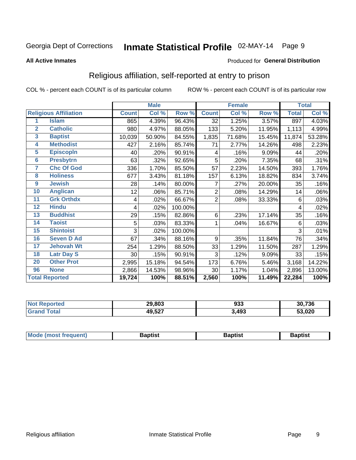# Inmate Statistical Profile 02-MAY-14 Page 9

#### **All Active Inmates**

#### Produced for General Distribution

### Religious affiliation, self-reported at entry to prison

COL % - percent each COUNT is of its particular column

|                         |                              |              | <b>Male</b> |         | <b>Female</b>  |        |        | <b>Total</b> |        |
|-------------------------|------------------------------|--------------|-------------|---------|----------------|--------|--------|--------------|--------|
|                         | <b>Religious Affiliation</b> | <b>Count</b> | Col %       | Row %   | <b>Count</b>   | Col %  | Row %  | <b>Total</b> | Col %  |
| 1                       | <b>Islam</b>                 | 865          | 4.39%       | 96.43%  | 32             | 1.25%  | 3.57%  | 897          | 4.03%  |
| $\overline{2}$          | <b>Catholic</b>              | 980          | 4.97%       | 88.05%  | 133            | 5.20%  | 11.95% | 1,113        | 4.99%  |
| $\overline{\mathbf{3}}$ | <b>Baptist</b>               | 10,039       | 50.90%      | 84.55%  | 1,835          | 71.68% | 15.45% | 11,874       | 53.28% |
| $\overline{\mathbf{4}}$ | <b>Methodist</b>             | 427          | 2.16%       | 85.74%  | 71             | 2.77%  | 14.26% | 498          | 2.23%  |
| $\overline{5}$          | <b>EpiscopIn</b>             | 40           | .20%        | 90.91%  | 4              | .16%   | 9.09%  | 44           | .20%   |
| $6\overline{6}$         | <b>Presbytrn</b>             | 63           | .32%        | 92.65%  | 5              | .20%   | 7.35%  | 68           | .31%   |
| 7                       | <b>Chc Of God</b>            | 336          | 1.70%       | 85.50%  | 57             | 2.23%  | 14.50% | 393          | 1.76%  |
| 8                       | <b>Holiness</b>              | 677          | 3.43%       | 81.18%  | 157            | 6.13%  | 18.82% | 834          | 3.74%  |
| $\boldsymbol{9}$        | <b>Jewish</b>                | 28           | .14%        | 80.00%  | 7              | .27%   | 20.00% | 35           | .16%   |
| 10                      | <b>Anglican</b>              | 12           | .06%        | 85.71%  | 2              | .08%   | 14.29% | 14           | .06%   |
| 11                      | <b>Grk Orthdx</b>            | 4            | .02%        | 66.67%  | $\overline{2}$ | .08%   | 33.33% | 6            | .03%   |
| 12                      | <b>Hindu</b>                 | 4            | .02%        | 100.00% |                |        |        | 4            | .02%   |
| 13                      | <b>Buddhist</b>              | 29           | .15%        | 82.86%  | 6              | .23%   | 17.14% | 35           | .16%   |
| 14                      | <b>Taoist</b>                | 5            | .03%        | 83.33%  | 1              | .04%   | 16.67% | 6            | .03%   |
| 15                      | <b>Shintoist</b>             | 3            | .02%        | 100.00% |                |        |        | 3            | .01%   |
| 16                      | <b>Seven D Ad</b>            | 67           | .34%        | 88.16%  | 9              | .35%   | 11.84% | 76           | .34%   |
| 17                      | <b>Jehovah Wt</b>            | 254          | 1.29%       | 88.50%  | 33             | 1.29%  | 11.50% | 287          | 1.29%  |
| 18                      | <b>Latr Day S</b>            | 30           | .15%        | 90.91%  | 3              | .12%   | 9.09%  | 33           | .15%   |
| 20                      | <b>Other Prot</b>            | 2,995        | 15.18%      | 94.54%  | 173            | 6.76%  | 5.46%  | 3,168        | 14.22% |
| 96                      | <b>None</b>                  | 2,866        | 14.53%      | 98.96%  | 30             | 1.17%  | 1.04%  | 2,896        | 13.00% |
|                         | <b>Total Reported</b>        | 19,724       | 100%        | 88.51%  | 2,560          | 100%   | 11.49% | 22,284       | 100%   |

| 29,803<br>and the state of the state of the | nos<br>ყაა | 30,736 |
|---------------------------------------------|------------|--------|
| 49,527                                      | 3,493      | 53,020 |

|  | Mode (most frequent) | 3aptist | 3aptist | Baptist |
|--|----------------------|---------|---------|---------|
|--|----------------------|---------|---------|---------|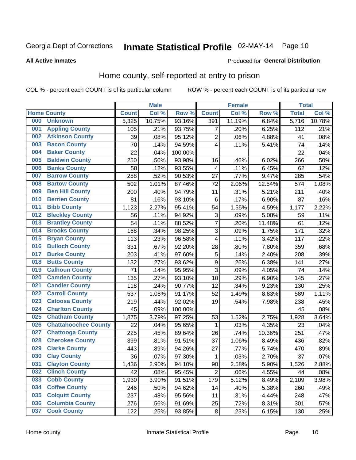# Inmate Statistical Profile 02-MAY-14 Page 10

#### **All Active Inmates**

#### Produced for General Distribution

### Home county, self-reported at entry to prison

COL % - percent each COUNT is of its particular column

|     |                             |              | <b>Male</b> |         |                  | <b>Female</b> |        | <b>Total</b> |        |
|-----|-----------------------------|--------------|-------------|---------|------------------|---------------|--------|--------------|--------|
|     | <b>Home County</b>          | <b>Count</b> | Col %       | Row %   | <b>Count</b>     | Col %         | Row %  | <b>Total</b> | Col %  |
| 000 | <b>Unknown</b>              | 5,325        | 10.75%      | 93.16%  | 391              | 11.19%        | 6.84%  | 5,716        | 10.78% |
| 001 | <b>Appling County</b>       | 105          | .21%        | 93.75%  | 7                | .20%          | 6.25%  | 112          | .21%   |
| 002 | <b>Atkinson County</b>      | 39           | .08%        | 95.12%  | $\overline{c}$   | .06%          | 4.88%  | 41           | .08%   |
| 003 | <b>Bacon County</b>         | 70           | .14%        | 94.59%  | 4                | .11%          | 5.41%  | 74           | .14%   |
| 004 | <b>Baker County</b>         | 22           | .04%        | 100.00% |                  |               |        | 22           | .04%   |
| 005 | <b>Baldwin County</b>       | 250          | .50%        | 93.98%  | 16               | .46%          | 6.02%  | 266          | .50%   |
| 006 | <b>Banks County</b>         | 58           | .12%        | 93.55%  | 4                | .11%          | 6.45%  | 62           | .12%   |
| 007 | <b>Barrow County</b>        | 258          | .52%        | 90.53%  | 27               | .77%          | 9.47%  | 285          | .54%   |
| 008 | <b>Bartow County</b>        | 502          | 1.01%       | 87.46%  | 72               | 2.06%         | 12.54% | 574          | 1.08%  |
| 009 | <b>Ben Hill County</b>      | 200          | .40%        | 94.79%  | 11               | .31%          | 5.21%  | 211          | .40%   |
| 010 | <b>Berrien County</b>       | 81           | .16%        | 93.10%  | $\,6$            | .17%          | 6.90%  | 87           | .16%   |
| 011 | <b>Bibb County</b>          | 1,123        | 2.27%       | 95.41%  | 54               | 1.55%         | 4.59%  | 1,177        | 2.22%  |
| 012 | <b>Bleckley County</b>      | 56           | .11%        | 94.92%  | 3                | .09%          | 5.08%  | 59           | .11%   |
| 013 | <b>Brantley County</b>      | 54           | .11%        | 88.52%  | $\overline{7}$   | .20%          | 11.48% | 61           | .12%   |
| 014 | <b>Brooks County</b>        | 168          | .34%        | 98.25%  | 3                | .09%          | 1.75%  | 171          | .32%   |
| 015 | <b>Bryan County</b>         | 113          | .23%        | 96.58%  | 4                | .11%          | 3.42%  | 117          | .22%   |
| 016 | <b>Bulloch County</b>       | 331          | .67%        | 92.20%  | 28               | .80%          | 7.80%  | 359          | .68%   |
| 017 | <b>Burke County</b>         | 203          | .41%        | 97.60%  | 5                | .14%          | 2.40%  | 208          | .39%   |
| 018 | <b>Butts County</b>         | 132          | .27%        | 93.62%  | $\boldsymbol{9}$ | .26%          | 6.38%  | 141          | .27%   |
| 019 | <b>Calhoun County</b>       | 71           | .14%        | 95.95%  | 3                | .09%          | 4.05%  | 74           | .14%   |
| 020 | <b>Camden County</b>        | 135          | .27%        | 93.10%  | 10               | .29%          | 6.90%  | 145          | .27%   |
| 021 | <b>Candler County</b>       | 118          | .24%        | 90.77%  | 12               | .34%          | 9.23%  | 130          | .25%   |
| 022 | <b>Carroll County</b>       | 537          | 1.08%       | 91.17%  | 52               | 1.49%         | 8.83%  | 589          | 1.11%  |
| 023 | <b>Catoosa County</b>       | 219          | .44%        | 92.02%  | 19               | .54%          | 7.98%  | 238          | .45%   |
| 024 | <b>Charlton County</b>      | 45           | .09%        | 100.00% |                  |               |        | 45           | .08%   |
| 025 | <b>Chatham County</b>       | 1,875        | 3.79%       | 97.25%  | 53               | 1.52%         | 2.75%  | 1,928        | 3.64%  |
| 026 | <b>Chattahoochee County</b> | 22           | .04%        | 95.65%  | 1                | .03%          | 4.35%  | 23           | .04%   |
| 027 | <b>Chattooga County</b>     | 225          | .45%        | 89.64%  | 26               | .74%          | 10.36% | 251          | .47%   |
| 028 | <b>Cherokee County</b>      | 399          | .81%        | 91.51%  | 37               | 1.06%         | 8.49%  | 436          | .82%   |
| 029 | <b>Clarke County</b>        | 443          | .89%        | 94.26%  | 27               | .77%          | 5.74%  | 470          | .89%   |
| 030 | <b>Clay County</b>          | 36           | .07%        | 97.30%  | 1                | .03%          | 2.70%  | 37           | .07%   |
| 031 | <b>Clayton County</b>       | 1,436        | 2.90%       | 94.10%  | 90               | 2.58%         | 5.90%  | 1,526        | 2.88%  |
| 032 | <b>Clinch County</b>        | 42           | .08%        | 95.45%  | $\overline{2}$   | .06%          | 4.55%  | 44           | .08%   |
| 033 | <b>Cobb County</b>          | 1,930        | 3.90%       | 91.51%  | 179              | 5.12%         | 8.49%  | 2,109        | 3.98%  |
| 034 | <b>Coffee County</b>        | 246          | .50%        | 94.62%  | 14               | .40%          | 5.38%  | 260          | .49%   |
| 035 | <b>Colquitt County</b>      | 237          | .48%        | 95.56%  | 11               | .31%          | 4.44%  | 248          | .47%   |
| 036 | <b>Columbia County</b>      | 276          | .56%        | 91.69%  | 25               | .72%          | 8.31%  | 301          | .57%   |
| 037 | <b>Cook County</b>          | 122          | .25%        | 93.85%  | $\bf 8$          | .23%          | 6.15%  | 130          | .25%   |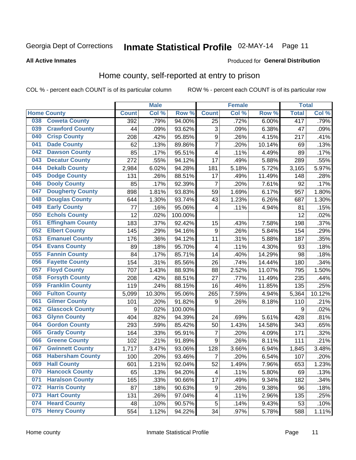# Inmate Statistical Profile 02-MAY-14 Page 11

#### **All Active Inmates**

#### Produced for General Distribution

### Home county, self-reported at entry to prison

COL % - percent each COUNT is of its particular column

|     |                         |              | <b>Male</b> |         |                         | <b>Female</b> |        | <b>Total</b> |        |
|-----|-------------------------|--------------|-------------|---------|-------------------------|---------------|--------|--------------|--------|
|     | <b>Home County</b>      | <b>Count</b> | Col %       | Row %   | <b>Count</b>            | Col %         | Row %  | <b>Total</b> | Col %  |
| 038 | <b>Coweta County</b>    | 392          | .79%        | 94.00%  | $\overline{25}$         | .72%          | 6.00%  | 417          | .79%   |
| 039 | <b>Crawford County</b>  | 44           | .09%        | 93.62%  | 3                       | .09%          | 6.38%  | 47           | .09%   |
| 040 | <b>Crisp County</b>     | 208          | .42%        | 95.85%  | $\boldsymbol{9}$        | .26%          | 4.15%  | 217          | .41%   |
| 041 | <b>Dade County</b>      | 62           | .13%        | 89.86%  | $\overline{7}$          | .20%          | 10.14% | 69           | .13%   |
| 042 | <b>Dawson County</b>    | 85           | .17%        | 95.51%  | $\overline{\mathbf{4}}$ | .11%          | 4.49%  | 89           | .17%   |
| 043 | <b>Decatur County</b>   | 272          | .55%        | 94.12%  | 17                      | .49%          | 5.88%  | 289          | .55%   |
| 044 | <b>Dekalb County</b>    | 2,984        | 6.02%       | 94.28%  | 181                     | 5.18%         | 5.72%  | 3,165        | 5.97%  |
| 045 | <b>Dodge County</b>     | 131          | .26%        | 88.51%  | 17                      | .49%          | 11.49% | 148          | .28%   |
| 046 | <b>Dooly County</b>     | 85           | .17%        | 92.39%  | $\overline{7}$          | .20%          | 7.61%  | 92           | .17%   |
| 047 | <b>Dougherty County</b> | 898          | 1.81%       | 93.83%  | 59                      | 1.69%         | 6.17%  | 957          | 1.80%  |
| 048 | <b>Douglas County</b>   | 644          | 1.30%       | 93.74%  | 43                      | 1.23%         | 6.26%  | 687          | 1.30%  |
| 049 | <b>Early County</b>     | 77           | .16%        | 95.06%  | 4                       | .11%          | 4.94%  | 81           | .15%   |
| 050 | <b>Echols County</b>    | 12           | .02%        | 100.00% |                         |               |        | 12           | .02%   |
| 051 | <b>Effingham County</b> | 183          | .37%        | 92.42%  | 15                      | .43%          | 7.58%  | 198          | .37%   |
| 052 | <b>Elbert County</b>    | 145          | .29%        | 94.16%  | $\boldsymbol{9}$        | .26%          | 5.84%  | 154          | .29%   |
| 053 | <b>Emanuel County</b>   | 176          | .36%        | 94.12%  | 11                      | .31%          | 5.88%  | 187          | .35%   |
| 054 | <b>Evans County</b>     | 89           | .18%        | 95.70%  | 4                       | .11%          | 4.30%  | 93           | .18%   |
| 055 | <b>Fannin County</b>    | 84           | .17%        | 85.71%  | 14                      | .40%          | 14.29% | 98           | .18%   |
| 056 | <b>Fayette County</b>   | 154          | .31%        | 85.56%  | 26                      | .74%          | 14.44% | 180          | .34%   |
| 057 | <b>Floyd County</b>     | 707          | 1.43%       | 88.93%  | 88                      | 2.52%         | 11.07% | 795          | 1.50%  |
| 058 | <b>Forsyth County</b>   | 208          | .42%        | 88.51%  | 27                      | .77%          | 11.49% | 235          | .44%   |
| 059 | <b>Franklin County</b>  | 119          | .24%        | 88.15%  | 16                      | .46%          | 11.85% | 135          | .25%   |
| 060 | <b>Fulton County</b>    | 5,099        | 10.30%      | 95.06%  | 265                     | 7.59%         | 4.94%  | 5,364        | 10.12% |
| 061 | <b>Gilmer County</b>    | 101          | .20%        | 91.82%  | 9                       | .26%          | 8.18%  | 110          | .21%   |
| 062 | <b>Glascock County</b>  | 9            | .02%        | 100.00% |                         |               |        | 9            | .02%   |
| 063 | <b>Glynn County</b>     | 404          | .82%        | 94.39%  | 24                      | .69%          | 5.61%  | 428          | .81%   |
| 064 | <b>Gordon County</b>    | 293          | .59%        | 85.42%  | 50                      | 1.43%         | 14.58% | 343          | .65%   |
| 065 | <b>Grady County</b>     | 164          | .33%        | 95.91%  | $\overline{7}$          | .20%          | 4.09%  | 171          | .32%   |
| 066 | <b>Greene County</b>    | 102          | .21%        | 91.89%  | 9                       | .26%          | 8.11%  | 111          | .21%   |
| 067 | <b>Gwinnett County</b>  | 1,717        | 3.47%       | 93.06%  | $\overline{128}$        | 3.66%         | 6.94%  | 1,845        | 3.48%  |
| 068 | <b>Habersham County</b> | 100          | .20%        | 93.46%  | $\overline{7}$          | .20%          | 6.54%  | 107          | .20%   |
| 069 | <b>Hall County</b>      | 601          | 1.21%       | 92.04%  | 52                      | 1.49%         | 7.96%  | 653          | 1.23%  |
| 070 | <b>Hancock County</b>   | 65           | .13%        | 94.20%  | $\overline{\mathbf{4}}$ | .11%          | 5.80%  | 69           | .13%   |
| 071 | <b>Haralson County</b>  | 165          | .33%        | 90.66%  | 17                      | .49%          | 9.34%  | 182          | .34%   |
| 072 | <b>Harris County</b>    | 87           | .18%        | 90.63%  | 9                       | .26%          | 9.38%  | 96           | .18%   |
| 073 | <b>Hart County</b>      | 131          | .26%        | 97.04%  | 4                       | .11%          | 2.96%  | 135          | .25%   |
| 074 | <b>Heard County</b>     | 48           | .10%        | 90.57%  | 5                       | .14%          | 9.43%  | 53           | .10%   |
| 075 | <b>Henry County</b>     | 554          | 1.12%       | 94.22%  | 34                      | .97%          | 5.78%  | 588          | 1.11%  |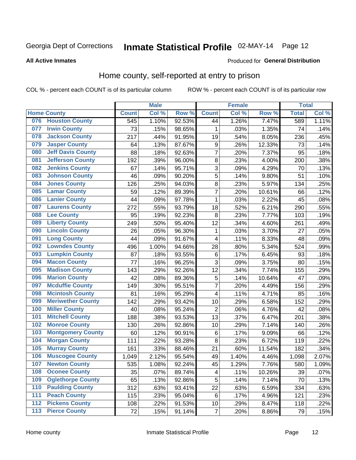# Inmate Statistical Profile 02-MAY-14 Page 12

#### **All Active Inmates**

#### Produced for General Distribution

### Home county, self-reported at entry to prison

COL % - percent each COUNT is of its particular column

|                  |                          |              | <b>Male</b> |                  |                         | <b>Female</b>     |        | <b>Total</b> |       |
|------------------|--------------------------|--------------|-------------|------------------|-------------------------|-------------------|--------|--------------|-------|
|                  | <b>Home County</b>       | <b>Count</b> | Col %       | Row <sup>%</sup> | <b>Count</b>            | Col %             | Row %  | <b>Total</b> | Col % |
| 076              | <b>Houston County</b>    | 545          | 1.10%       | 92.53%           | 44                      | 1.26%             | 7.47%  | 589          | 1.11% |
| 077              | <b>Irwin County</b>      | 73           | .15%        | 98.65%           | 1                       | .03%              | 1.35%  | 74           | .14%  |
| 078              | <b>Jackson County</b>    | 217          | .44%        | 91.95%           | 19                      | .54%              | 8.05%  | 236          | .45%  |
| 079              | <b>Jasper County</b>     | 64           | .13%        | 87.67%           | $\boldsymbol{9}$        | .26%              | 12.33% | 73           | .14%  |
| 080              | <b>Jeff Davis County</b> | 88           | .18%        | 92.63%           | 7                       | .20%              | 7.37%  | 95           | .18%  |
| 081              | <b>Jefferson County</b>  | 192          | .39%        | 96.00%           | 8                       | .23%              | 4.00%  | 200          | .38%  |
| 082              | <b>Jenkins County</b>    | 67           | .14%        | 95.71%           | 3                       | .09%              | 4.29%  | 70           | .13%  |
| 083              | <b>Johnson County</b>    | 46           | .09%        | 90.20%           | 5                       | .14%              | 9.80%  | 51           | .10%  |
| 084              | <b>Jones County</b>      | 126          | .25%        | 94.03%           | $\bf 8$                 | .23%              | 5.97%  | 134          | .25%  |
| 085              | <b>Lamar County</b>      | 59           | .12%        | 89.39%           | 7                       | .20%              | 10.61% | 66           | .12%  |
| 086              | <b>Lanier County</b>     | 44           | .09%        | 97.78%           | 1                       | .03%              | 2.22%  | 45           | .08%  |
| 087              | <b>Laurens County</b>    | 272          | .55%        | 93.79%           | 18                      | .52%              | 6.21%  | 290          | .55%  |
| 088              | <b>Lee County</b>        | 95           | .19%        | 92.23%           | 8                       | $\overline{.}23%$ | 7.77%  | 103          | .19%  |
| 089              | <b>Liberty County</b>    | 249          | .50%        | 95.40%           | 12                      | .34%              | 4.60%  | 261          | .49%  |
| 090              | <b>Lincoln County</b>    | 26           | .05%        | 96.30%           | 1                       | .03%              | 3.70%  | 27           | .05%  |
| 091              | <b>Long County</b>       | 44           | .09%        | 91.67%           | $\overline{\mathbf{4}}$ | .11%              | 8.33%  | 48           | .09%  |
| 092              | <b>Lowndes County</b>    | 496          | 1.00%       | 94.66%           | 28                      | .80%              | 5.34%  | 524          | .99%  |
| 093              | <b>Lumpkin County</b>    | 87           | .18%        | 93.55%           | $\,6$                   | .17%              | 6.45%  | 93           | .18%  |
| 094              | <b>Macon County</b>      | 77           | .16%        | 96.25%           | 3                       | .09%              | 3.75%  | 80           | .15%  |
| 095              | <b>Madison County</b>    | 143          | .29%        | 92.26%           | 12                      | .34%              | 7.74%  | 155          | .29%  |
| 096              | <b>Marion County</b>     | 42           | .08%        | 89.36%           | 5                       | .14%              | 10.64% | 47           | .09%  |
| 097              | <b>Mcduffie County</b>   | 149          | .30%        | 95.51%           | 7                       | .20%              | 4.49%  | 156          | .29%  |
| 098              | <b>Mcintosh County</b>   | 81           | .16%        | 95.29%           | $\overline{\mathbf{4}}$ | .11%              | 4.71%  | 85           | .16%  |
| 099              | <b>Meriwether County</b> | 142          | .29%        | 93.42%           | 10                      | .29%              | 6.58%  | 152          | .29%  |
| 100              | <b>Miller County</b>     | 40           | .08%        | 95.24%           | $\overline{2}$          | .06%              | 4.76%  | 42           | .08%  |
| 101              | <b>Mitchell County</b>   | 188          | .38%        | 93.53%           | 13                      | .37%              | 6.47%  | 201          | .38%  |
| 102              | <b>Monroe County</b>     | 130          | .26%        | 92.86%           | 10                      | .29%              | 7.14%  | 140          | .26%  |
| 103              | <b>Montgomery County</b> | 60           | .12%        | 90.91%           | 6                       | .17%              | 9.09%  | 66           | .12%  |
| 104              | <b>Morgan County</b>     | 111          | .22%        | 93.28%           | 8                       | .23%              | 6.72%  | 119          | .22%  |
| 105              | <b>Murray County</b>     | 161          | .33%        | 88.46%           | 21                      | .60%              | 11.54% | 182          | .34%  |
| 106              | <b>Muscogee County</b>   | 1,049        | 2.12%       | 95.54%           | 49                      | 1.40%             | 4.46%  | 1,098        | 2.07% |
| 107              | <b>Newton County</b>     | 535          | 1.08%       | 92.24%           | 45                      | 1.29%             | 7.76%  | 580          | 1.09% |
| 108              | <b>Oconee County</b>     | 35           | .07%        | 89.74%           | 4                       | .11%              | 10.26% | 39           | .07%  |
| 109              | <b>Oglethorpe County</b> | 65           | .13%        | 92.86%           | 5                       | .14%              | 7.14%  | 70           | .13%  |
| 110              | <b>Paulding County</b>   | 312          | .63%        | 93.41%           | 22                      | .63%              | 6.59%  | 334          | .63%  |
| 111              | <b>Peach County</b>      | 115          | .23%        | 95.04%           | 6                       | .17%              | 4.96%  | 121          | .23%  |
| $\overline{112}$ | <b>Pickens County</b>    | 108          | .22%        | 91.53%           | 10                      | .29%              | 8.47%  | 118          | .22%  |
| 113              | <b>Pierce County</b>     | 72           | .15%        | 91.14%           | $\overline{7}$          | .20%              | 8.86%  | 79           | .15%  |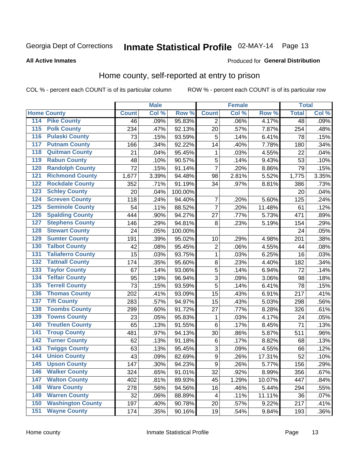# Inmate Statistical Profile 02-MAY-14 Page 13

#### **All Active Inmates**

#### Produced for General Distribution

### Home county, self-reported at entry to prison

COL % - percent each COUNT is of its particular column

|                    |                          |              | <b>Male</b> |         |                | <b>Female</b> |        | <b>Total</b>    |       |
|--------------------|--------------------------|--------------|-------------|---------|----------------|---------------|--------|-----------------|-------|
| <b>Home County</b> |                          | <b>Count</b> | Col %       | Row %   | <b>Count</b>   | Col %         | Row %  | <b>Total</b>    | Col % |
| 114                | <b>Pike County</b>       | 46           | .09%        | 95.83%  | 2              | .06%          | 4.17%  | $\overline{48}$ | .09%  |
| 115                | <b>Polk County</b>       | 234          | .47%        | 92.13%  | 20             | .57%          | 7.87%  | 254             | .48%  |
| 116                | <b>Pulaski County</b>    | 73           | .15%        | 93.59%  | 5              | .14%          | 6.41%  | 78              | .15%  |
| 117                | <b>Putnam County</b>     | 166          | .34%        | 92.22%  | 14             | .40%          | 7.78%  | 180             | .34%  |
| 118                | <b>Quitman County</b>    | 21           | .04%        | 95.45%  | 1              | .03%          | 4.55%  | 22              | .04%  |
| 119                | <b>Rabun County</b>      | 48           | .10%        | 90.57%  | 5              | .14%          | 9.43%  | 53              | .10%  |
| 120                | <b>Randolph County</b>   | 72           | .15%        | 91.14%  | $\overline{7}$ | .20%          | 8.86%  | 79              | .15%  |
| 121                | <b>Richmond County</b>   | 1,677        | 3.39%       | 94.48%  | 98             | 2.81%         | 5.52%  | 1,775           | 3.35% |
| 122                | <b>Rockdale County</b>   | 352          | .71%        | 91.19%  | 34             | .97%          | 8.81%  | 386             | .73%  |
| 123                | <b>Schley County</b>     | 20           | .04%        | 100.00% |                |               |        | 20              | .04%  |
| 124                | <b>Screven County</b>    | 118          | .24%        | 94.40%  | 7              | .20%          | 5.60%  | 125             | .24%  |
| 125                | <b>Seminole County</b>   | 54           | .11%        | 88.52%  | $\overline{7}$ | .20%          | 11.48% | 61              | .12%  |
| 126                | <b>Spalding County</b>   | 444          | .90%        | 94.27%  | 27             | .77%          | 5.73%  | 471             | .89%  |
| 127                | <b>Stephens County</b>   | 146          | .29%        | 94.81%  | 8              | .23%          | 5.19%  | 154             | .29%  |
| 128                | <b>Stewart County</b>    | 24           | .05%        | 100.00% |                |               |        | 24              | .05%  |
| 129                | <b>Sumter County</b>     | 191          | .39%        | 95.02%  | 10             | .29%          | 4.98%  | 201             | .38%  |
| 130                | <b>Talbot County</b>     | 42           | .08%        | 95.45%  | 2              | .06%          | 4.55%  | 44              | .08%  |
| 131                | <b>Taliaferro County</b> | 15           | .03%        | 93.75%  | 1              | .03%          | 6.25%  | 16              | .03%  |
| 132                | <b>Tattnall County</b>   | 174          | .35%        | 95.60%  | $\bf 8$        | .23%          | 4.40%  | 182             | .34%  |
| 133                | <b>Taylor County</b>     | 67           | .14%        | 93.06%  | 5              | .14%          | 6.94%  | 72              | .14%  |
| 134                | <b>Telfair County</b>    | 95           | .19%        | 96.94%  | $\overline{3}$ | .09%          | 3.06%  | 98              | .18%  |
| 135                | <b>Terrell County</b>    | 73           | .15%        | 93.59%  | 5              | .14%          | 6.41%  | 78              | .15%  |
| 136                | <b>Thomas County</b>     | 202          | .41%        | 93.09%  | 15             | .43%          | 6.91%  | 217             | .41%  |
| 137                | <b>Tift County</b>       | 283          | .57%        | 94.97%  | 15             | .43%          | 5.03%  | 298             | .56%  |
| 138                | <b>Toombs County</b>     | 299          | .60%        | 91.72%  | 27             | .77%          | 8.28%  | 326             | .61%  |
| 139                | <b>Towns County</b>      | 23           | .05%        | 95.83%  | 1              | .03%          | 4.17%  | 24              | .05%  |
| 140                | <b>Treutlen County</b>   | 65           | .13%        | 91.55%  | $\,6$          | .17%          | 8.45%  | 71              | .13%  |
| 141                | <b>Troup County</b>      | 481          | .97%        | 94.13%  | 30             | .86%          | 5.87%  | 511             | .96%  |
| $\overline{142}$   | <b>Turner County</b>     | 62           | .13%        | 91.18%  | $\,6$          | .17%          | 8.82%  | 68              | .13%  |
| 143                | <b>Twiggs County</b>     | 63           | .13%        | 95.45%  | $\overline{3}$ | .09%          | 4.55%  | 66              | .12%  |
| 144                | <b>Union County</b>      | 43           | .09%        | 82.69%  | $\overline{9}$ | .26%          | 17.31% | 52              | .10%  |
| 145                | <b>Upson County</b>      | 147          | .30%        | 94.23%  | 9              | .26%          | 5.77%  | 156             | .29%  |
| 146                | <b>Walker County</b>     | 324          | .65%        | 91.01%  | 32             | .92%          | 8.99%  | 356             | .67%  |
| 147                | <b>Walton County</b>     | 402          | .81%        | 89.93%  | 45             | 1.29%         | 10.07% | 447             | .84%  |
| 148                | <b>Ware County</b>       | 278          | .56%        | 94.56%  | 16             | .46%          | 5.44%  | 294             | .55%  |
| 149                | <b>Warren County</b>     | 32           | .06%        | 88.89%  | 4              | .11%          | 11.11% | 36              | .07%  |
| 150                | <b>Washington County</b> | 197          | .40%        | 90.78%  | 20             | .57%          | 9.22%  | 217             | .41%  |
| 151                | <b>Wayne County</b>      | 174          | .35%        | 90.16%  | 19             | .54%          | 9.84%  | 193             | .36%  |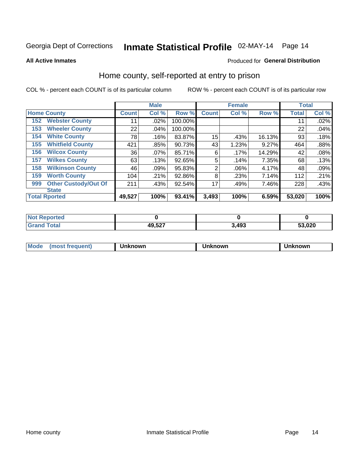# Inmate Statistical Profile 02-MAY-14 Page 14

**All Active Inmates** 

#### Produced for General Distribution

### Home county, self-reported at entry to prison

COL % - percent each COUNT is of its particular column

|     |                             |              | <b>Male</b> |         |              | <b>Female</b> |        | <b>Total</b> |       |
|-----|-----------------------------|--------------|-------------|---------|--------------|---------------|--------|--------------|-------|
|     | <b>Home County</b>          | <b>Count</b> | Col %       | Row %   | <b>Count</b> | Col %         | Row %  | <b>Total</b> | Col % |
| 152 | <b>Webster County</b>       | 11           | .02%        | 100.00% |              |               |        | 11           | .02%  |
| 153 | <b>Wheeler County</b>       | 22           | .04%        | 100.00% |              |               |        | 22           | .04%  |
| 154 | <b>White County</b>         | 78           | .16%        | 83.87%  | 15           | .43%          | 16.13% | 93           | .18%  |
| 155 | <b>Whitfield County</b>     | 421          | .85%        | 90.73%  | 43           | 1.23%         | 9.27%  | 464          | .88%  |
| 156 | <b>Wilcox County</b>        | 36           | .07%        | 85.71%  | 6            | .17%          | 14.29% | 42           | .08%  |
| 157 | <b>Wilkes County</b>        | 63           | .13%        | 92.65%  | 5            | .14%          | 7.35%  | 68           | .13%  |
| 158 | <b>Wilkinson County</b>     | 46           | .09%        | 95.83%  | 2            | .06%          | 4.17%  | 48           | .09%  |
| 159 | <b>Worth County</b>         | 104          | .21%        | 92.86%  | 8            | .23%          | 7.14%  | 112          | .21%  |
| 999 | <b>Other Custody/Out Of</b> | 211          | .43%        | 92.54%  | 17           | .49%          | 7.46%  | 228          | .43%  |
|     | <b>State</b>                |              |             |         |              |               |        |              |       |
|     | <b>Total Rported</b>        | 49,527       | 100%        | 93.41%  | 3,493        | 100%          | 6.59%  | 53,020       | 100%  |

| NO<br>τeα |                        |              |        |
|-----------|------------------------|--------------|--------|
|           | <b>10527</b><br>ואט,טו | . 40?<br>−∂J | 53,020 |

| Mode<br><b>Tequent)</b><br>ns | nown | mown | เทown |
|-------------------------------|------|------|-------|
|                               |      |      |       |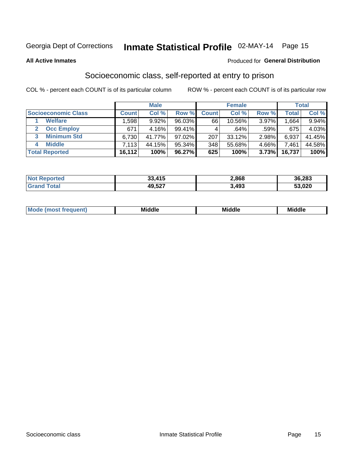# Inmate Statistical Profile 02-MAY-14 Page 15

**All Active Inmates** 

#### Produced for General Distribution

### Socioeconomic class, self-reported at entry to prison

COL % - percent each COUNT is of its particular column

|                         |              | <b>Male</b> |           |                 | <b>Female</b> |       |        | <b>Total</b> |
|-------------------------|--------------|-------------|-----------|-----------------|---------------|-------|--------|--------------|
| Socioeconomic Class     | <b>Count</b> | Col %       | Row %     | <b>Count</b>    | Col %         | Row % | Total  | Col %        |
| <b>Welfare</b>          | .598         | 9.92%       | 96.03%    | 66 <sub>1</sub> | 10.56%        | 3.97% | .664   | 9.94%        |
| <b>Occ Employ</b>       | 671          | 4.16%       | $99.41\%$ |                 | .64%          | .59%  | 675    | 4.03%        |
| <b>Minimum Std</b><br>3 | 6,730        | 41.77%      | $97.02\%$ | 207             | $33.12\%$     | 2.98% | 6,937  | 41.45%       |
| <b>Middle</b><br>4      | 7,113        | 44.15%      | 95.34%    | 348             | 55.68%        | 4.66% | 7,461  | 44.58%       |
| <b>Total Reported</b>   | 16,112       | 100%        | 96.27%    | 625             | 100%          | 3.73% | 16,737 | 100%         |

| Reported<br>' NOI       | 33.415 | 2,868 | 36,283 |
|-------------------------|--------|-------|--------|
| T <sub>of</sub><br>Cron | 49,527 | ,493  | 53,020 |

| ____<br>____<br>____ |
|----------------------|
|----------------------|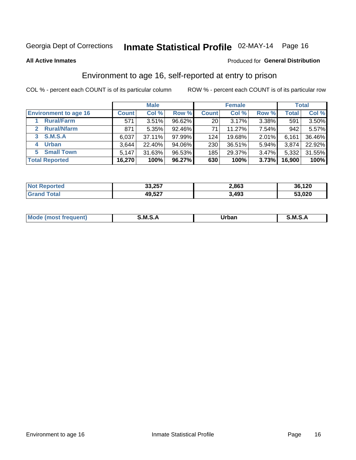# Inmate Statistical Profile 02-MAY-14 Page 16

#### **All Active Inmates**

#### Produced for General Distribution

### Environment to age 16, self-reported at entry to prison

COL % - percent each COUNT is of its particular column

|                                    |              | <b>Male</b> |           |                 | <b>Female</b> |          |              | <b>Total</b> |
|------------------------------------|--------------|-------------|-----------|-----------------|---------------|----------|--------------|--------------|
| <b>Environment to age 16</b>       | <b>Count</b> | Col %       | Row %     | <b>Count</b>    | Col %         | Row %    | <b>Total</b> | Col %        |
| <b>Rural/Farm</b>                  | 571          | 3.51%       | 96.62%    | 20 <sub>1</sub> | 3.17%         | 3.38%    | 591          | $3.50\%$     |
| <b>Rural/Nfarm</b><br>$\mathbf{2}$ | 871          | 5.35%       | 92.46%    | 71              | 11.27%        | 7.54%    | 942          | 5.57%        |
| <b>S.M.S.A</b><br>3 <sup>1</sup>   | 6,037        | 37.11%      | $97.99\%$ | 124             | 19.68%        | 2.01%    | 6,161        | 36.46%       |
| <b>Urban</b><br>4                  | 3,644        | 22.40%      | 94.06%    | 230             | 36.51%        | 5.94%    | 3,874        | 22.92%       |
| <b>Small Town</b><br>5.            | 5,147        | 31.63%      | 96.53%    | 185             | 29.37%        | $3.47\%$ | 5,332        | 31.55%       |
| <b>Total Reported</b>              | 16,270       | 100%        | 96.27%    | 630             | 100%          | 3.73%    | 16,900       | 100%         |

| <b>Not Reported</b> | 33,257 | 2,863 | 36,120 |
|---------------------|--------|-------|--------|
| <b>Grand Total</b>  | 49,527 | 3,493 | 53,020 |

| Mo | M | ----- | M |
|----|---|-------|---|
|    |   | _____ |   |
|    |   |       |   |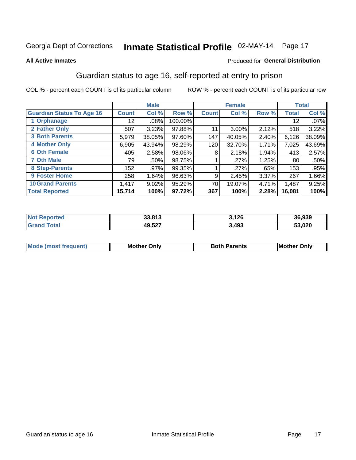# Inmate Statistical Profile 02-MAY-14 Page 17

#### **All Active Inmates**

#### **Produced for General Distribution**

### Guardian status to age 16, self-reported at entry to prison

COL % - percent each COUNT is of its particular column

|                                  |              | <b>Male</b> |         |              | <b>Female</b> |       |        | <b>Total</b> |
|----------------------------------|--------------|-------------|---------|--------------|---------------|-------|--------|--------------|
| <b>Guardian Status To Age 16</b> | <b>Count</b> | Col %       | Row %   | <b>Count</b> | Col %         | Row % | Total  | Col %        |
| 1 Orphanage                      | 12           | $.08\%$     | 100.00% |              |               |       | 12     | $.07\%$      |
| 2 Father Only                    | 507          | 3.23%       | 97.88%  | 11           | $3.00\%$      | 2.12% | 518    | 3.22%        |
| <b>3 Both Parents</b>            | 5,979        | 38.05%      | 97.60%  | 147          | 40.05%        | 2.40% | 6,126  | 38.09%       |
| <b>4 Mother Only</b>             | 6,905        | 43.94%      | 98.29%  | 120          | 32.70%        | 1.71% | 7,025  | 43.69%       |
| <b>6 Oth Female</b>              | 405          | 2.58%       | 98.06%  | 8            | 2.18%         | 1.94% | 413    | 2.57%        |
| <b>7 Oth Male</b>                | 79           | .50%        | 98.75%  |              | .27%          | 1.25% | 80     | .50%         |
| 8 Step-Parents                   | 152          | .97%        | 99.35%  |              | .27%          | .65%  | 153    | .95%         |
| 9 Foster Home                    | 258          | 1.64%       | 96.63%  | 9            | 2.45%         | 3.37% | 267    | 1.66%        |
| <b>10 Grand Parents</b>          | 1,417        | 9.02%       | 95.29%  | 70           | 19.07%        | 4.71% | 1,487  | 9.25%        |
| <b>Total Reported</b>            | 15,714       | 100%        | 97.72%  | 367          | 100%          | 2.28% | 16,081 | 100%         |

| <b>rtea</b><br>NO | 22.042<br>აა.o ၊ ა | 3,126 | 36,939 |
|-------------------|--------------------|-------|--------|
| . Gr              | 49,527             | 3,493 | 53,020 |

| Mode | วทIv<br>Mot | <b>Both Parents</b><br>Parents | lM.<br>Only<br>. |
|------|-------------|--------------------------------|------------------|
|      |             |                                |                  |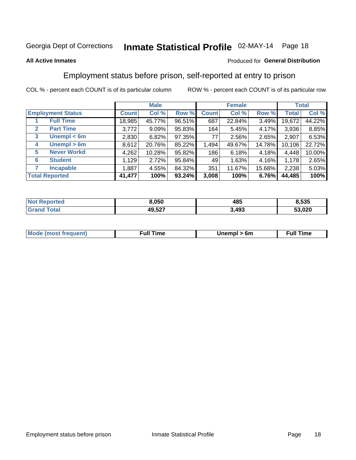# Inmate Statistical Profile 02-MAY-14 Page 18

#### **All Active Inmates**

#### Produced for General Distribution

### Employment status before prison, self-reported at entry to prison

COL % - percent each COUNT is of its particular column

|                                  |              | <b>Male</b> |        |              | <b>Female</b> |          |        | <b>Total</b> |
|----------------------------------|--------------|-------------|--------|--------------|---------------|----------|--------|--------------|
| <b>Employment Status</b>         | <b>Count</b> | Col %       | Row %  | <b>Count</b> | Col %         | Row %    | Total  | Col %        |
| <b>Full Time</b>                 | 18,985       | 45.77%      | 96.51% | 687          | 22.84%        | $3.49\%$ | 19,672 | 44.22%       |
| <b>Part Time</b><br>$\mathbf{2}$ | 3,772        | 9.09%       | 95.83% | 164          | 5.45%         | $4.17\%$ | 3,936  | 8.85%        |
| Unempl $<$ 6m<br>3               | 2,830        | 6.82%       | 97.35% | 77           | 2.56%         | 2.65%    | 2,907  | 6.53%        |
| Unempl > 6m<br>4                 | 8,612        | 20.76%      | 85.22% | 1,494        | 49.67%        | 14.78%   | 10,106 | 22.72%       |
| <b>Never Workd</b><br>5          | 4,262        | 10.28%      | 95.82% | 186          | 6.18%         | 4.18%    | 4,448  | 10.00%       |
| <b>Student</b><br>6              | 1,129        | 2.72%       | 95.84% | 49           | 1.63%         | 4.16%    | 1,178  | 2.65%        |
| <b>Incapable</b>                 | 1,887        | 4.55%       | 84.32% | 351          | 11.67%        | 15.68%   | 2,238  | 5.03%        |
| <b>Total Reported</b>            | 41,477       | 100%        | 93.24% | 3,008        | 100%          | 6.76%    | 44,485 | 100%         |

| тес.<br>NO | 8,050  | 485   | 8,535          |
|------------|--------|-------|----------------|
| $\sim$     | 49,527 | 3,493 | ED 000<br>.uzu |

| <b>Moo.</b><br><b>THOST</b> | the contract of the contract of the contract of the contract of the contract of the contract of the contract of | 6m | ıme |
|-----------------------------|-----------------------------------------------------------------------------------------------------------------|----|-----|
|                             |                                                                                                                 |    |     |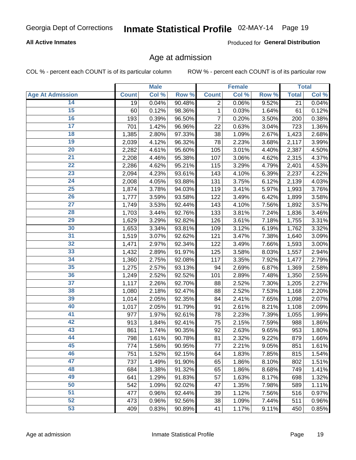#### **All Active Inmates**

Produced for General Distribution

### Age at admission

COL % - percent each COUNT is of its particular column

|                         |              | <b>Male</b> |        |              | <b>Female</b> |       |              | <b>Total</b> |
|-------------------------|--------------|-------------|--------|--------------|---------------|-------|--------------|--------------|
| <b>Age At Admission</b> | <b>Count</b> | Col %       | Row %  | <b>Count</b> | Col %         | Row % | <b>Total</b> | Col %        |
| 14                      | 19           | 0.04%       | 90.48% | 2            | 0.06%         | 9.52% | 21           | 0.04%        |
| 15                      | 60           | 0.12%       | 98.36% | 1            | 0.03%         | 1.64% | 61           | 0.12%        |
| 16                      | 193          | 0.39%       | 96.50% | 7            | 0.20%         | 3.50% | 200          | 0.38%        |
| $\overline{17}$         | 701          | 1.42%       | 96.96% | 22           | 0.63%         | 3.04% | 723          | 1.36%        |
| $\overline{18}$         | 1,385        | 2.80%       | 97.33% | 38           | 1.09%         | 2.67% | 1,423        | 2.68%        |
| 19                      | 2,039        | 4.12%       | 96.32% | 78           | 2.23%         | 3.68% | 2,117        | 3.99%        |
| 20                      | 2,282        | 4.61%       | 95.60% | 105          | 3.01%         | 4.40% | 2,387        | 4.50%        |
| $\overline{21}$         | 2,208        | 4.46%       | 95.38% | 107          | 3.06%         | 4.62% | 2,315        | 4.37%        |
| $\overline{22}$         | 2,286        | 4.62%       | 95.21% | 115          | 3.29%         | 4.79% | 2,401        | 4.53%        |
| 23                      | 2,094        | 4.23%       | 93.61% | 143          | 4.10%         | 6.39% | 2,237        | 4.22%        |
| 24                      | 2,008        | 4.05%       | 93.88% | 131          | 3.75%         | 6.12% | 2,139        | 4.03%        |
| $\overline{25}$         | 1,874        | 3.78%       | 94.03% | 119          | 3.41%         | 5.97% | 1,993        | 3.76%        |
| $\overline{26}$         | 1,777        | 3.59%       | 93.58% | 122          | 3.49%         | 6.42% | 1,899        | 3.58%        |
| $\overline{27}$         | 1,749        | 3.53%       | 92.44% | 143          | 4.10%         | 7.56% | 1,892        | 3.57%        |
| 28                      | 1,703        | 3.44%       | 92.76% | 133          | 3.81%         | 7.24% | 1,836        | 3.46%        |
| 29                      | 1,629        | 3.29%       | 92.82% | 126          | 3.61%         | 7.18% | 1,755        | 3.31%        |
| 30                      | 1,653        | 3.34%       | 93.81% | 109          | 3.12%         | 6.19% | 1,762        | 3.32%        |
| 31                      | 1,519        | 3.07%       | 92.62% | 121          | 3.47%         | 7.38% | 1,640        | 3.09%        |
| 32                      | 1,471        | 2.97%       | 92.34% | 122          | 3.49%         | 7.66% | 1,593        | 3.00%        |
| 33                      | 1,432        | 2.89%       | 91.97% | 125          | 3.58%         | 8.03% | 1,557        | 2.94%        |
| 34                      | 1,360        | 2.75%       | 92.08% | 117          | 3.35%         | 7.92% | 1,477        | 2.79%        |
| 35                      | 1,275        | 2.57%       | 93.13% | 94           | 2.69%         | 6.87% | 1,369        | 2.58%        |
| 36                      | 1,249        | 2.52%       | 92.52% | 101          | 2.89%         | 7.48% | 1,350        | 2.55%        |
| 37                      | 1,117        | 2.26%       | 92.70% | 88           | 2.52%         | 7.30% | 1,205        | 2.27%        |
| 38                      | 1,080        | 2.18%       | 92.47% | 88           | 2.52%         | 7.53% | 1,168        | 2.20%        |
| 39                      | 1,014        | 2.05%       | 92.35% | 84           | 2.41%         | 7.65% | 1,098        | 2.07%        |
| 40                      | 1,017        | 2.05%       | 91.79% | 91           | 2.61%         | 8.21% | 1,108        | 2.09%        |
| 41                      | 977          | 1.97%       | 92.61% | 78           | 2.23%         | 7.39% | 1,055        | 1.99%        |
| 42                      | 913          | 1.84%       | 92.41% | 75           | 2.15%         | 7.59% | 988          | 1.86%        |
| 43                      | 861          | 1.74%       | 90.35% | 92           | 2.63%         | 9.65% | 953          | 1.80%        |
| 44                      | 798          | 1.61%       | 90.78% | 81           | 2.32%         | 9.22% | 879          | 1.66%        |
| 45                      | 774          | 1.56%       | 90.95% | 77           | 2.21%         | 9.05% | 851          | 1.61%        |
| 46                      | 751          | 1.52%       | 92.15% | 64           | 1.83%         | 7.85% | 815          | 1.54%        |
| 47                      | 737          | 1.49%       | 91.90% | 65           | 1.86%         | 8.10% | 802          | 1.51%        |
| 48                      | 684          | 1.38%       | 91.32% | 65           | 1.86%         | 8.68% | 749          | 1.41%        |
| 49                      | 641          | 1.29%       | 91.83% | 57           | 1.63%         | 8.17% | 698          | 1.32%        |
| 50                      | 542          | 1.09%       | 92.02% | 47           | 1.35%         | 7.98% | 589          | 1.11%        |
| 51                      | 477          | 0.96%       | 92.44% | 39           | 1.12%         | 7.56% | 516          | 0.97%        |
| 52                      | 473          | 0.96%       | 92.56% | 38           | 1.09%         | 7.44% | 511          | 0.96%        |
| 53                      | 409          | 0.83%       | 90.89% | 41           | 1.17%         | 9.11% | 450          | 0.85%        |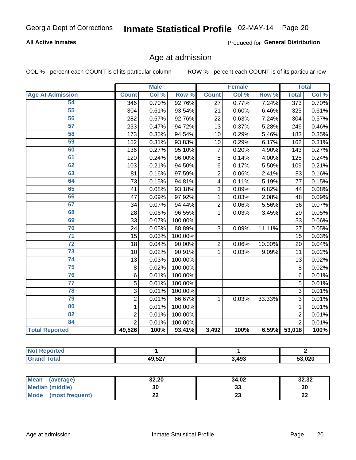#### **All Active Inmates**

Produced for General Distribution

### Age at admission

COL % - percent each COUNT is of its particular column

|                         | <b>Male</b>    |       | <b>Female</b> |                         |       | <b>Total</b> |                 |       |
|-------------------------|----------------|-------|---------------|-------------------------|-------|--------------|-----------------|-------|
| <b>Age At Admission</b> | <b>Count</b>   | Col % | Row %         | <b>Count</b>            | Col % | Row %        | <b>Total</b>    | Col % |
| 54                      | 346            | 0.70% | 92.76%        | 27                      | 0.77% | 7.24%        | 373             | 0.70% |
| 55                      | 304            | 0.61% | 93.54%        | 21                      | 0.60% | 6.46%        | 325             | 0.61% |
| 56                      | 282            | 0.57% | 92.76%        | 22                      | 0.63% | 7.24%        | 304             | 0.57% |
| 57                      | 233            | 0.47% | 94.72%        | $\overline{13}$         | 0.37% | 5.28%        | 246             | 0.46% |
| 58                      | 173            | 0.35% | 94.54%        | 10                      | 0.29% | 5.46%        | 183             | 0.35% |
| 59                      | 152            | 0.31% | 93.83%        | 10                      | 0.29% | 6.17%        | 162             | 0.31% |
| 60                      | 136            | 0.27% | 95.10%        | $\overline{7}$          | 0.20% | 4.90%        | 143             | 0.27% |
| 61                      | 120            | 0.24% | 96.00%        | $\overline{5}$          | 0.14% | 4.00%        | 125             | 0.24% |
| 62                      | 103            | 0.21% | 94.50%        | 6                       | 0.17% | 5.50%        | 109             | 0.21% |
| 63                      | 81             | 0.16% | 97.59%        | $\overline{c}$          | 0.06% | 2.41%        | 83              | 0.16% |
| 64                      | 73             | 0.15% | 94.81%        | $\overline{\mathbf{4}}$ | 0.11% | 5.19%        | 77              | 0.15% |
| 65                      | 41             | 0.08% | 93.18%        | 3                       | 0.09% | 6.82%        | 44              | 0.08% |
| 66                      | 47             | 0.09% | 97.92%        | 1                       | 0.03% | 2.08%        | 48              | 0.09% |
| 67                      | 34             | 0.07% | 94.44%        | $\overline{2}$          | 0.06% | 5.56%        | 36              | 0.07% |
| 68                      | 28             | 0.06% | 96.55%        | 1                       | 0.03% | 3.45%        | 29              | 0.05% |
| 69                      | 33             | 0.07% | 100.00%       |                         |       |              | 33              | 0.06% |
| 70                      | 24             | 0.05% | 88.89%        | 3                       | 0.09% | 11.11%       | $\overline{27}$ | 0.05% |
| $\overline{71}$         | 15             | 0.03% | 100.00%       |                         |       |              | 15              | 0.03% |
| $\overline{72}$         | 18             | 0.04% | 90.00%        | $\overline{2}$          | 0.06% | 10.00%       | 20              | 0.04% |
| $\overline{73}$         | 10             | 0.02% | 90.91%        | 1                       | 0.03% | 9.09%        | 11              | 0.02% |
| 74                      | 13             | 0.03% | 100.00%       |                         |       |              | 13              | 0.02% |
| $\overline{75}$         | 8              | 0.02% | 100.00%       |                         |       |              | 8               | 0.02% |
| 76                      | $\,6$          | 0.01% | 100.00%       |                         |       |              | 6               | 0.01% |
| $\overline{77}$         | 5              | 0.01% | 100.00%       |                         |       |              | 5               | 0.01% |
| 78                      | 3              | 0.01% | 100.00%       |                         |       |              | $\overline{3}$  | 0.01% |
| 79                      | $\overline{2}$ | 0.01% | 66.67%        | 1                       | 0.03% | 33.33%       | $\overline{3}$  | 0.01% |
| 80                      | $\mathbf{1}$   | 0.01% | 100.00%       |                         |       |              | $\mathbf{1}$    | 0.01% |
| 82                      | $\overline{2}$ | 0.01% | 100.00%       |                         |       |              | $\overline{2}$  | 0.01% |
| 84                      | $\overline{2}$ | 0.01% | 100.00%       |                         |       |              | $\overline{2}$  | 0.01% |
| <b>Total Reported</b>   | 49,526         | 100%  | 93.41%        | 3,492                   | 100%  | 6.59%        | 53,018          | 100%  |

| <b>Not</b><br>norted |       |       |              |
|----------------------|-------|-------|--------------|
| $\sim$               | 49527 | 3,493 | ההה ה<br>υ∠ι |

| Mean (average)          | 32.20       | 34.02 | 32.32    |
|-------------------------|-------------|-------|----------|
| <b>Median (middle)</b>  | 30          | აა    | 30       |
| Mode<br>(most frequent) | <u>. . </u> | 20    | ጣጣ<br>LL |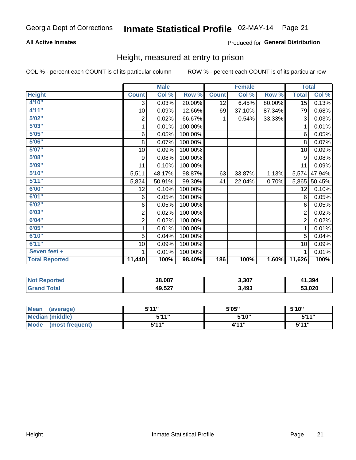#### **All Active Inmates**

#### Produced for General Distribution

### Height, measured at entry to prison

COL % - percent each COUNT is of its particular column

|                       | <b>Male</b>    |        |         | <b>Female</b> |        |        | <b>Total</b>   |        |
|-----------------------|----------------|--------|---------|---------------|--------|--------|----------------|--------|
| <b>Height</b>         | <b>Count</b>   | Col %  | Row %   | <b>Count</b>  | Col %  | Row %  | <b>Total</b>   | Col %  |
| 4'10"                 | 3              | 0.03%  | 20.00%  | 12            | 6.45%  | 80.00% | 15             | 0.13%  |
| 4'11''                | 10             | 0.09%  | 12.66%  | 69            | 37.10% | 87.34% | 79             | 0.68%  |
| 5'02"                 | $\sqrt{2}$     | 0.02%  | 66.67%  | 1             | 0.54%  | 33.33% | 3              | 0.03%  |
| 5'03''                | 1              | 0.01%  | 100.00% |               |        |        | 1              | 0.01%  |
| 5'05''                | 6              | 0.05%  | 100.00% |               |        |        | 6              | 0.05%  |
| 5'06''                | 8              | 0.07%  | 100.00% |               |        |        | 8              | 0.07%  |
| 5'07''                | 10             | 0.09%  | 100.00% |               |        |        | 10             | 0.09%  |
| 5'08''                | 9              | 0.08%  | 100.00% |               |        |        | 9              | 0.08%  |
| 5'09''                | 11             | 0.10%  | 100.00% |               |        |        | 11             | 0.09%  |
| 5'10''                | 5,511          | 48.17% | 98.87%  | 63            | 33.87% | 1.13%  | 5,574          | 47.94% |
| 5'11''                | 5,824          | 50.91% | 99.30%  | 41            | 22.04% | 0.70%  | 5,865          | 50.45% |
| 6'00''                | 12             | 0.10%  | 100.00% |               |        |        | 12             | 0.10%  |
| 6'01''                | 6              | 0.05%  | 100.00% |               |        |        | 6              | 0.05%  |
| 6'02''                | 6              | 0.05%  | 100.00% |               |        |        | 6              | 0.05%  |
| 6'03''                | $\sqrt{2}$     | 0.02%  | 100.00% |               |        |        | $\overline{2}$ | 0.02%  |
| 6'04''                | $\overline{c}$ | 0.02%  | 100.00% |               |        |        | $\overline{2}$ | 0.02%  |
| 6'05''                | 1              | 0.01%  | 100.00% |               |        |        | 1              | 0.01%  |
| 6'10''                | 5              | 0.04%  | 100.00% |               |        |        | 5              | 0.04%  |
| 6'11''                | 10             | 0.09%  | 100.00% |               |        |        | 10             | 0.09%  |
| Seven feet +          | 1              | 0.01%  | 100.00% |               |        |        | 1              | 0.01%  |
| <b>Total Reported</b> | 11,440         | 100%   | 98.40%  | 186           | 100%   | 1.60%  | 11,626         | 100%   |

| <b>Not</b><br>Reported | 38,087 | 3,307 | 41,394 |
|------------------------|--------|-------|--------|
| ™otaı                  | 49,527 | 3,493 | 53,020 |

| <b>Mean</b><br>(average)       | <b>5'44"</b> | 5'05" | 5'10" |
|--------------------------------|--------------|-------|-------|
| Median (middle)                | 544"         | 5'10" | 5'11" |
| <b>Mode</b><br>(most frequent) | 544 "        | 4'11" | 544"  |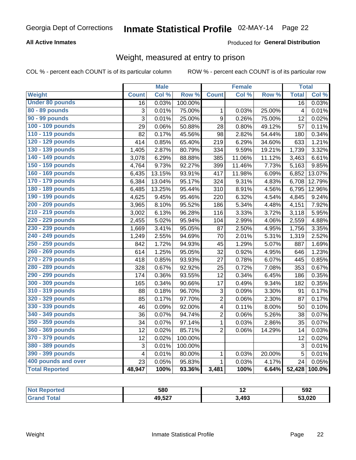#### **All Active Inmates**

#### Produced for General Distribution

### Weight, measured at entry to prison

COL % - percent each COUNT is of its particular column

|                        |                         | <b>Male</b> |                  |                         | <b>Female</b> |        | <b>Total</b>            |        |
|------------------------|-------------------------|-------------|------------------|-------------------------|---------------|--------|-------------------------|--------|
| <b>Weight</b>          | <b>Count</b>            | Col %       | Row <sup>%</sup> | <b>Count</b>            | Col %         | Row %  | <b>Total</b>            | Col %  |
| <b>Under 80 pounds</b> | $\overline{16}$         | 0.03%       | 100.00%          |                         |               |        | $\overline{16}$         | 0.03%  |
| 80 - 89 pounds         | 3                       | 0.01%       | 75.00%           | 1                       | 0.03%         | 25.00% | $\overline{\mathbf{4}}$ | 0.01%  |
| 90 - 99 pounds         | 3                       | 0.01%       | 25.00%           | $\boldsymbol{9}$        | 0.26%         | 75.00% | 12                      | 0.02%  |
| 100 - 109 pounds       | 29                      | 0.06%       | 50.88%           | 28                      | 0.80%         | 49.12% | 57                      | 0.11%  |
| 110 - 119 pounds       | 82                      | 0.17%       | 45.56%           | 98                      | 2.82%         | 54.44% | 180                     | 0.34%  |
| 120 - 129 pounds       | 414                     | 0.85%       | 65.40%           | 219                     | 6.29%         | 34.60% | 633                     | 1.21%  |
| 130 - 139 pounds       | 1,405                   | 2.87%       | 80.79%           | 334                     | 9.59%         | 19.21% | 1,739                   | 3.32%  |
| 140 - 149 pounds       | 3,078                   | 6.29%       | 88.88%           | 385                     | 11.06%        | 11.12% | 3,463                   | 6.61%  |
| 150 - 159 pounds       | 4,764                   | 9.73%       | 92.27%           | 399                     | 11.46%        | 7.73%  | 5,163                   | 9.85%  |
| 160 - 169 pounds       | 6,435                   | 13.15%      | 93.91%           | 417                     | 11.98%        | 6.09%  | 6,852                   | 13.07% |
| 170 - 179 pounds       | 6,384                   | 13.04%      | 95.17%           | 324                     | 9.31%         | 4.83%  | 6,708                   | 12.79% |
| 180 - 189 pounds       | 6,485                   | 13.25%      | 95.44%           | 310                     | 8.91%         | 4.56%  | 6,795                   | 12.96% |
| 190 - 199 pounds       | 4,625                   | 9.45%       | 95.46%           | 220                     | 6.32%         | 4.54%  | 4,845                   | 9.24%  |
| 200 - 209 pounds       | 3,965                   | 8.10%       | 95.52%           | 186                     | 5.34%         | 4.48%  | 4,151                   | 7.92%  |
| 210 - 219 pounds       | 3,002                   | 6.13%       | 96.28%           | 116                     | 3.33%         | 3.72%  | 3,118                   | 5.95%  |
| 220 - 229 pounds       | 2,455                   | 5.02%       | 95.94%           | 104                     | 2.99%         | 4.06%  | 2,559                   | 4.88%  |
| 230 - 239 pounds       | 1,669                   | 3.41%       | 95.05%           | 87                      | 2.50%         | 4.95%  | 1,756                   | 3.35%  |
| 240 - 249 pounds       | 1,249                   | 2.55%       | 94.69%           | 70                      | 2.01%         | 5.31%  | 1,319                   | 2.52%  |
| 250 - 259 pounds       | 842                     | 1.72%       | 94.93%           | 45                      | 1.29%         | 5.07%  | 887                     | 1.69%  |
| 260 - 269 pounds       | 614                     | 1.25%       | 95.05%           | 32                      | 0.92%         | 4.95%  | 646                     | 1.23%  |
| 270 - 279 pounds       | 418                     | 0.85%       | 93.93%           | 27                      | 0.78%         | 6.07%  | 445                     | 0.85%  |
| 280 - 289 pounds       | 328                     | 0.67%       | 92.92%           | 25                      | 0.72%         | 7.08%  | 353                     | 0.67%  |
| 290 - 299 pounds       | 174                     | 0.36%       | 93.55%           | 12                      | 0.34%         | 6.45%  | 186                     | 0.35%  |
| 300 - 309 pounds       | 165                     | 0.34%       | 90.66%           | 17                      | 0.49%         | 9.34%  | 182                     | 0.35%  |
| 310 - 319 pounds       | 88                      | 0.18%       | 96.70%           | 3                       | 0.09%         | 3.30%  | 91                      | 0.17%  |
| 320 - 329 pounds       | 85                      | 0.17%       | 97.70%           | $\overline{c}$          | 0.06%         | 2.30%  | 87                      | 0.17%  |
| 330 - 339 pounds       | 46                      | 0.09%       | 92.00%           | $\overline{\mathbf{4}}$ | 0.11%         | 8.00%  | 50                      | 0.10%  |
| 340 - 349 pounds       | 36                      | 0.07%       | 94.74%           | $\overline{c}$          | 0.06%         | 5.26%  | 38                      | 0.07%  |
| 350 - 359 pounds       | 34                      | 0.07%       | 97.14%           | $\mathbf{1}$            | 0.03%         | 2.86%  | 35                      | 0.07%  |
| 360 - 369 pounds       | 12                      | 0.02%       | 85.71%           | $\overline{2}$          | 0.06%         | 14.29% | 14                      | 0.03%  |
| 370 - 379 pounds       | 12                      | 0.02%       | 100.00%          |                         |               |        | 12                      | 0.02%  |
| 380 - 389 pounds       | 3                       | 0.01%       | 100.00%          |                         |               |        | 3                       | 0.01%  |
| 390 - 399 pounds       | $\overline{\mathbf{4}}$ | 0.01%       | 80.00%           | $\mathbf 1$             | 0.03%         | 20.00% | 5                       | 0.01%  |
| 400 pounds and over    | 23                      | 0.05%       | 95.83%           | $\mathbf{1}$            | 0.03%         | 4.17%  | 24                      | 0.05%  |
| <b>Total Reported</b>  | 48,947                  | 100%        | 93.36%           | 3,481                   | 100%          | 6.64%  | 52,428                  | 100.0% |

| N<br>тео | 580    | . .                 | 592    |
|----------|--------|---------------------|--------|
|          | 49,527 | $\lambda$ 03<br>19J | 53,020 |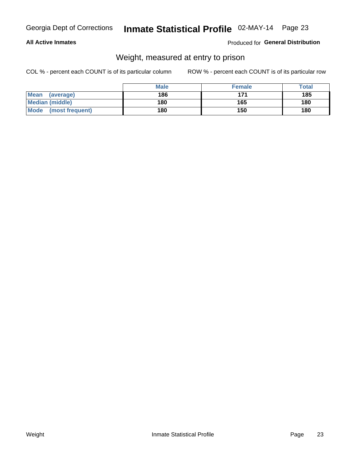#### **All Active Inmates**

#### Produced for General Distribution

### Weight, measured at entry to prison

COL % - percent each COUNT is of its particular column

|                                | <b>Male</b> | <b>Female</b> | Total |
|--------------------------------|-------------|---------------|-------|
| Mean<br>(average)              | 186         | 171           | 185   |
| <b>Median (middle)</b>         | 180         | 165           | 180   |
| <b>Mode</b><br>(most frequent) | 180         | 150           | 180   |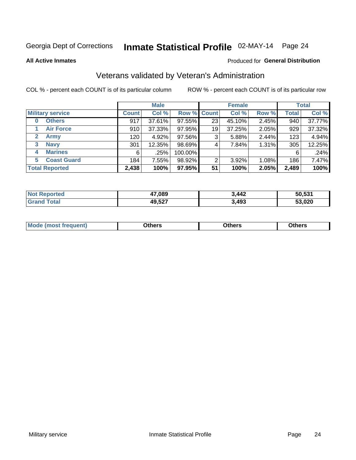# Inmate Statistical Profile 02-MAY-14 Page 24

**All Active Inmates** 

#### Produced for General Distribution

### Veterans validated by Veteran's Administration

COL % - percent each COUNT is of its particular column

|                          | <b>Male</b>  |        |             | <b>Female</b> |        |       | <b>Total</b> |        |
|--------------------------|--------------|--------|-------------|---------------|--------|-------|--------------|--------|
| <b>Military service</b>  | <b>Count</b> | Col %  | Row % Count |               | Col %  | Row % | <b>Total</b> | Col %  |
| <b>Others</b><br>0       | 917          | 37.61% | 97.55%      | 23            | 45.10% | 2.45% | 940          | 37.77% |
| <b>Air Force</b>         | 910          | 37.33% | 97.95%      | 19            | 37.25% | 2.05% | 929          | 37.32% |
| 2<br>Army                | 120          | 4.92%  | 97.56%      | 3             | 5.88%  | 2.44% | 123          | 4.94%  |
| <b>Navy</b><br>3         | 301          | 12.35% | 98.69%      | 4             | 7.84%  | 1.31% | 305          | 12.25% |
| <b>Marines</b><br>4      | 6            | .25%   | 100.00%     |               |        |       | 6            | .24%   |
| <b>Coast Guard</b><br>5. | 184          | 7.55%  | 98.92%      | 2             | 3.92%  | 1.08% | 186          | 7.47%  |
| <b>Total Reported</b>    | 2,438        | 100%   | 97.95%      | 51            | 100%   | 2.05% | 2,489        | 100%   |

| <b>Not</b><br>ported<br>NH | 47,089 | 3,442 | 50.531 |
|----------------------------|--------|-------|--------|
| <b>Total</b>               | 49,527 | 3,493 | 53,020 |

|  |  | <b>Mode</b><br>quent)<br>most trea | <b>Dthers</b> | Others | Others |
|--|--|------------------------------------|---------------|--------|--------|
|--|--|------------------------------------|---------------|--------|--------|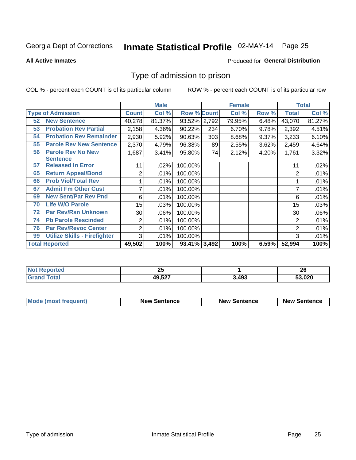# Inmate Statistical Profile 02-MAY-14 Page 25

**All Active Inmates** 

#### Produced for General Distribution

### Type of admission to prison

COL % - percent each COUNT is of its particular column

|    |                                     |                | <b>Male</b> |                    |     | <b>Female</b> |       |        | <b>Total</b> |
|----|-------------------------------------|----------------|-------------|--------------------|-----|---------------|-------|--------|--------------|
|    | <b>Type of Admission</b>            | <b>Count</b>   | Col %       | <b>Row % Count</b> |     | Col %         | Row % | Total  | Col %        |
| 52 | <b>New Sentence</b>                 | 40,278         | 81.37%      | 93.52% 2,792       |     | 79.95%        | 6.48% | 43,070 | 81.27%       |
| 53 | <b>Probation Rev Partial</b>        | 2,158          | 4.36%       | 90.22%             | 234 | 6.70%         | 9.78% | 2,392  | 4.51%        |
| 54 | <b>Probation Rev Remainder</b>      | 2,930          | 5.92%       | 90.63%             | 303 | 8.68%         | 9.37% | 3,233  | 6.10%        |
| 55 | <b>Parole Rev New Sentence</b>      | 2,370          | 4.79%       | 96.38%             | 89  | 2.55%         | 3.62% | 2,459  | 4.64%        |
| 56 | <b>Parole Rev No New</b>            | 1,687          | 3.41%       | 95.80%             | 74  | 2.12%         | 4.20% | 1,761  | 3.32%        |
|    | <b>Sentence</b>                     |                |             |                    |     |               |       |        |              |
| 57 | <b>Released In Error</b>            | 11             | .02%        | 100.00%            |     |               |       | 11     | .02%         |
| 65 | <b>Return Appeal/Bond</b>           | 2              | .01%        | 100.00%            |     |               |       | 2      | .01%         |
| 66 | <b>Prob Viol/Total Rev</b>          |                | .01%        | 100.00%            |     |               |       |        | .01%         |
| 67 | <b>Admit Fm Other Cust</b>          | 7              | .01%        | 100.00%            |     |               |       | 7      | .01%         |
| 69 | <b>New Sent/Par Rev Pnd</b>         | 6              | .01%        | 100.00%            |     |               |       | 6      | .01%         |
| 70 | <b>Life W/O Parole</b>              | 15             | .03%        | 100.00%            |     |               |       | 15     | .03%         |
| 72 | <b>Par Rev/Rsn Unknown</b>          | 30             | .06%        | 100.00%            |     |               |       | 30     | .06%         |
| 74 | <b>Pb Parole Rescinded</b>          | 2              | .01%        | 100.00%            |     |               |       | 2      | .01%         |
| 76 | <b>Par Rev/Revoc Center</b>         | $\overline{2}$ | .01%        | 100.00%            |     |               |       | 2      | .01%         |
| 99 | <b>Utilize Skills - Firefighter</b> | 3              | .01%        | 100.00%            |     |               |       | 3      | .01%         |
|    | <b>Total Reported</b>               | 49,502         | 100%        | 93.41% 3,492       |     | 100%          | 6.59% | 52,994 | 100%         |

| orted | יפ                |      | ີ      |
|-------|-------------------|------|--------|
| NO    | Ψ                 |      | ZU     |
| . Gr  | $AO$ $E27$<br>∠ت. | .493 | 53.020 |

| <b>Mode (most frequent)</b> | <b>New Sentence</b> | <b>New Sentence</b> | <b>New Sentence</b> |
|-----------------------------|---------------------|---------------------|---------------------|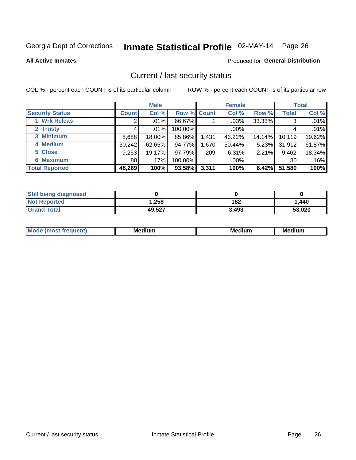# Inmate Statistical Profile 02-MAY-14 Page 26

**All Active Inmates** 

#### Produced for General Distribution

### Current / last security status

COL % - percent each COUNT is of its particular column

|                        |              | <b>Male</b> |             |       | <b>Female</b> |          |              | <b>Total</b> |
|------------------------|--------------|-------------|-------------|-------|---------------|----------|--------------|--------------|
| <b>Security Status</b> | <b>Count</b> | Col %       | Row % Count |       | Col %         | Row %    | <b>Total</b> | Col %        |
| 1 Wrk Releas           | 2            | .01%        | 66.67%      |       | $.03\%$       | 33.33%   | 3            | .01%         |
| 2 Trusty               |              | $.01\%$     | 100.00%     |       | .00%          |          |              | .01%         |
| 3 Minimum              | 8,688        | 18.00%      | 85.86%      | 1,431 | 43.22%        | 14.14%   | 10,119       | 19.62%       |
| 4 Medium               | 30,242       | 62.65%      | 94.77%      | 1,670 | 50.44%        | $5.23\%$ | 31,912       | 61.87%       |
| 5 Close                | 9,253        | 19.17%      | 97.79%      | 209   | 6.31%         | 2.21%    | 9,462        | 18.34%       |
| <b>6 Maximum</b>       | 80 l         | .17%        | 100.00%     |       | .00%          |          | 80           | .16%         |
| <b>Total Reported</b>  | 48,269       | 100%        | 93.58%      | 3,311 | 100%          | 6.42%    | 51,580       | 100%         |

| <b>Still being diagnosed</b> |        |       |        |
|------------------------------|--------|-------|--------|
| <b>Not Reported</b>          | .258   | 182   | 1,440  |
| <b>Grand Total</b>           | 49,527 | 3,493 | 53,020 |

| <b>Mo</b><br>ети | M<br>. .<br>dium | M٢<br>. | <br><b>Medium</b> |
|------------------|------------------|---------|-------------------|
|                  |                  |         |                   |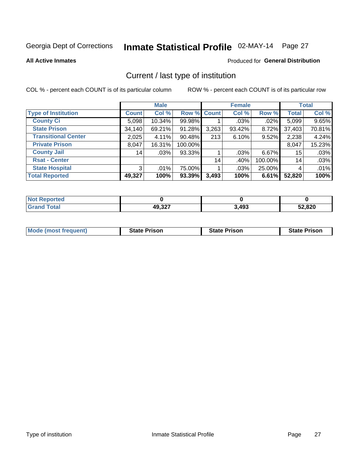# Inmate Statistical Profile 02-MAY-14 Page 27

**All Active Inmates** 

#### Produced for General Distribution

### Current / last type of institution

COL % - percent each COUNT is of its particular column

|                            |                | <b>Male</b> |                    |       | <b>Female</b> |          |              | <b>Total</b> |
|----------------------------|----------------|-------------|--------------------|-------|---------------|----------|--------------|--------------|
| <b>Type of Institution</b> | <b>Count</b>   | Col %       | <b>Row % Count</b> |       | Col %         | Row %    | <b>Total</b> | Col %        |
| <b>County Ci</b>           | 5,098          | 10.34%      | 99.98%             |       | $.03\%$       | $.02\%$  | 5,099        | 9.65%        |
| <b>State Prison</b>        | 34,140         | 69.21%      | 91.28%             | 3,263 | 93.42%        | 8.72%    | 37,403       | 70.81%       |
| <b>Transitional Center</b> | 2,025          | 4.11%       | 90.48%             | 213   | 6.10%         | 9.52%    | 2,238        | 4.24%        |
| <b>Private Prison</b>      | 8,047          | 16.31%      | 100.00%            |       |               |          | 8,047        | 15.23%       |
| <b>County Jail</b>         | 14             | .03%        | 93.33%             |       | .03%          | $6.67\%$ | 15           | .03%         |
| <b>Rsat - Center</b>       |                |             |                    | 14    | .40%          | 100.00%  | 14           | .03%         |
| <b>State Hospital</b>      | 3 <sup>1</sup> | .01%        | 75.00%             |       | .03%          | 25.00%   | 4            | .01%         |
| <b>Total Reported</b>      | 49,327         | 100%        | 93.39%             | 3,493 | 100%          | 6.61%    | 52,820       | 100%         |

| oorted<br>NOT |        |       |        |
|---------------|--------|-------|--------|
| <b>otal</b>   | 49,327 | 3,493 | 52,820 |

| <b>Mode (most frequent)</b> | <b>State Prison</b> | <b>State Prison</b> | <b>State Prison</b> |
|-----------------------------|---------------------|---------------------|---------------------|
|                             |                     |                     |                     |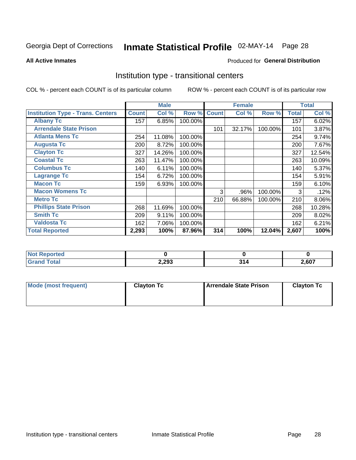# Inmate Statistical Profile 02-MAY-14 Page 28

**All Active Inmates** 

#### **Produced for General Distribution**

### Institution type - transitional centers

COL % - percent each COUNT is of its particular column

|                                          |              | <b>Male</b> |         |              | <b>Female</b> |         |              | <b>Total</b> |
|------------------------------------------|--------------|-------------|---------|--------------|---------------|---------|--------------|--------------|
| <b>Institution Type - Trans. Centers</b> | <b>Count</b> | Col %       | Row %   | <b>Count</b> | Col %         | Row %   | <b>Total</b> | Col %        |
| <b>Albany Tc</b>                         | 157          | 6.85%       | 100.00% |              |               |         | 157          | 6.02%        |
| <b>Arrendale State Prison</b>            |              |             |         | 101          | 32.17%        | 100.00% | 101          | 3.87%        |
| <b>Atlanta Mens Tc</b>                   | 254          | 11.08%      | 100.00% |              |               |         | 254          | 9.74%        |
| <b>Augusta Tc</b>                        | 200          | 8.72%       | 100.00% |              |               |         | 200          | 7.67%        |
| <b>Clayton Tc</b>                        | 327          | 14.26%      | 100.00% |              |               |         | 327          | 12.54%       |
| <b>Coastal Tc</b>                        | 263          | 11.47%      | 100.00% |              |               |         | 263          | 10.09%       |
| <b>Columbus Tc</b>                       | 140          | 6.11%       | 100.00% |              |               |         | 140          | 5.37%        |
| <b>Lagrange Tc</b>                       | 154          | 6.72%       | 100.00% |              |               |         | 154          | 5.91%        |
| <b>Macon Tc</b>                          | 159          | 6.93%       | 100.00% |              |               |         | 159          | 6.10%        |
| <b>Macon Womens Tc</b>                   |              |             |         | 3            | .96%          | 100.00% | 3            | .12%         |
| <b>Metro Tc</b>                          |              |             |         | 210          | 66.88%        | 100.00% | 210          | 8.06%        |
| <b>Phillips State Prison</b>             | 268          | 11.69%      | 100.00% |              |               |         | 268          | 10.28%       |
| <b>Smith Tc</b>                          | 209          | 9.11%       | 100.00% |              |               |         | 209          | 8.02%        |
| <b>Valdosta Tc</b>                       | 162          | 7.06%       | 100.00% |              |               |         | 162          | 6.21%        |
| <b>Total Reported</b>                    | 2,293        | 100%        | 87.96%  | 314          | 100%          | 12.04%  | 2,607        | 100%         |

| orted<br>$\sim$ |       |      |       |
|-----------------|-------|------|-------|
| <b>ota</b>      | 2,293 | - 24 | 2,607 |

| Mode (most frequent) | <b>Clayton Tc</b> | <b>Arrendale State Prison</b> | <b>Clayton Tc</b> |
|----------------------|-------------------|-------------------------------|-------------------|
|                      |                   |                               |                   |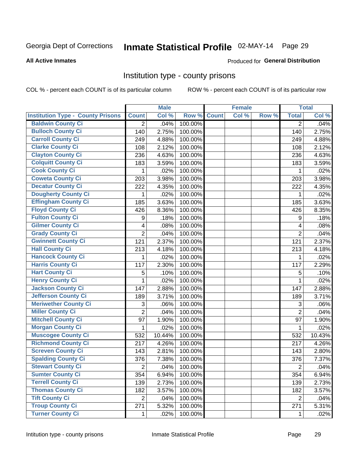# Inmate Statistical Profile 02-MAY-14 Page 29

#### **All Active Inmates**

#### Produced for General Distribution

### Institution type - county prisons

COL % - percent each COUNT is of its particular column

|                                          |                         | <b>Male</b> |         |              | <b>Female</b> |       |                | <b>Total</b> |
|------------------------------------------|-------------------------|-------------|---------|--------------|---------------|-------|----------------|--------------|
| <b>Institution Type - County Prisons</b> | <b>Count</b>            | Col %       | Row %   | <b>Count</b> | Col %         | Row % | <b>Total</b>   | Col %        |
| <b>Baldwin County Ci</b>                 | $\overline{2}$          | .04%        | 100.00% |              |               |       | $\overline{2}$ | .04%         |
| <b>Bulloch County Ci</b>                 | 140                     | 2.75%       | 100.00% |              |               |       | 140            | 2.75%        |
| <b>Carroll County Ci</b>                 | 249                     | 4.88%       | 100.00% |              |               |       | 249            | 4.88%        |
| <b>Clarke County Ci</b>                  | 108                     | 2.12%       | 100.00% |              |               |       | 108            | 2.12%        |
| <b>Clayton County Ci</b>                 | 236                     | 4.63%       | 100.00% |              |               |       | 236            | 4.63%        |
| <b>Colquitt County Ci</b>                | 183                     | 3.59%       | 100.00% |              |               |       | 183            | 3.59%        |
| <b>Cook County Ci</b>                    | 1                       | .02%        | 100.00% |              |               |       | 1              | .02%         |
| <b>Coweta County Ci</b>                  | 203                     | 3.98%       | 100.00% |              |               |       | 203            | 3.98%        |
| <b>Decatur County Ci</b>                 | 222                     | 4.35%       | 100.00% |              |               |       | 222            | 4.35%        |
| <b>Dougherty County Ci</b>               | 1                       | .02%        | 100.00% |              |               |       | 1              | .02%         |
| <b>Effingham County Ci</b>               | 185                     | 3.63%       | 100.00% |              |               |       | 185            | 3.63%        |
| <b>Floyd County Ci</b>                   | 426                     | 8.36%       | 100.00% |              |               |       | 426            | 8.35%        |
| <b>Fulton County Ci</b>                  | 9                       | .18%        | 100.00% |              |               |       | 9              | .18%         |
| <b>Gilmer County Ci</b>                  | $\overline{\mathbf{4}}$ | .08%        | 100.00% |              |               |       | 4              | .08%         |
| <b>Grady County Ci</b>                   | $\overline{2}$          | .04%        | 100.00% |              |               |       | $\overline{2}$ | .04%         |
| <b>Gwinnett County Ci</b>                | 121                     | 2.37%       | 100.00% |              |               |       | 121            | 2.37%        |
| <b>Hall County Ci</b>                    | 213                     | 4.18%       | 100.00% |              |               |       | 213            | 4.18%        |
| <b>Hancock County Ci</b>                 | 1                       | .02%        | 100.00% |              |               |       | 1              | .02%         |
| <b>Harris County Ci</b>                  | 117                     | 2.30%       | 100.00% |              |               |       | 117            | 2.29%        |
| <b>Hart County Ci</b>                    | 5                       | .10%        | 100.00% |              |               |       | 5              | .10%         |
| <b>Henry County Ci</b>                   | 1                       | .02%        | 100.00% |              |               |       | $\mathbf{1}$   | .02%         |
| <b>Jackson County Ci</b>                 | 147                     | 2.88%       | 100.00% |              |               |       | 147            | 2.88%        |
| <b>Jefferson County Ci</b>               | 189                     | 3.71%       | 100.00% |              |               |       | 189            | 3.71%        |
| <b>Meriwether County Ci</b>              | 3                       | .06%        | 100.00% |              |               |       | 3              | .06%         |
| <b>Miller County Ci</b>                  | $\overline{2}$          | .04%        | 100.00% |              |               |       | $\overline{2}$ | .04%         |
| <b>Mitchell County Ci</b>                | 97                      | 1.90%       | 100.00% |              |               |       | 97             | 1.90%        |
| <b>Morgan County Ci</b>                  | 1                       | .02%        | 100.00% |              |               |       | 1              | .02%         |
| <b>Muscogee County Ci</b>                | 532                     | 10.44%      | 100.00% |              |               |       | 532            | 10.43%       |
| <b>Richmond County Ci</b>                | 217                     | 4.26%       | 100.00% |              |               |       | 217            | 4.26%        |
| <b>Screven County Ci</b>                 | 143                     | 2.81%       | 100.00% |              |               |       | 143            | 2.80%        |
| <b>Spalding County Ci</b>                | 376                     | 7.38%       | 100.00% |              |               |       | 376            | 7.37%        |
| <b>Stewart County Ci</b>                 | $\overline{2}$          | .04%        | 100.00% |              |               |       | $\overline{2}$ | .04%         |
| <b>Sumter County Ci</b>                  | 354                     | 6.94%       | 100.00% |              |               |       | 354            | 6.94%        |
| <b>Terrell County Ci</b>                 | 139                     | 2.73%       | 100.00% |              |               |       | 139            | 2.73%        |
| <b>Thomas County Ci</b>                  | 182                     | 3.57%       | 100.00% |              |               |       | 182            | 3.57%        |
| <b>Tift County Ci</b>                    | $\overline{2}$          | .04%        | 100.00% |              |               |       | 2              | .04%         |
| <b>Troup County Ci</b>                   | 271                     | 5.32%       | 100.00% |              |               |       | 271            | 5.31%        |
| <b>Turner County Ci</b>                  | $\mathbf{1}$            | .02%        | 100.00% |              |               |       | 1              | .02%         |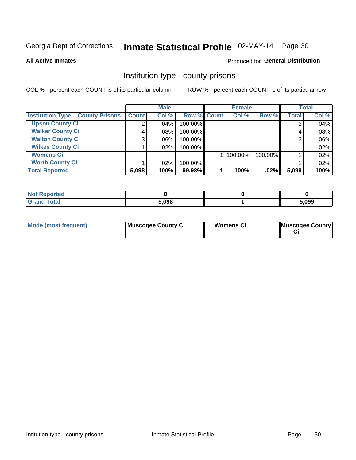# Inmate Statistical Profile 02-MAY-14 Page 30

**All Active Inmates** 

#### Produced for General Distribution

### Institution type - county prisons

COL % - percent each COUNT is of its particular column

|                                          |              | <b>Male</b> |             | <b>Female</b> |         |              | <b>Total</b> |
|------------------------------------------|--------------|-------------|-------------|---------------|---------|--------------|--------------|
| <b>Institution Type - County Prisons</b> | <b>Count</b> | Col %       | Row % Count | Col %         | Row %   | <b>Total</b> | Col %        |
| <b>Upson County Ci</b>                   | 2            | $.04\%$     | 100.00%     |               |         |              | .04%         |
| <b>Walker County Ci</b>                  | 4            | $.08\%$     | 100.00%     |               |         |              | .08%         |
| <b>Walton County Ci</b>                  | 3            | $.06\%$     | 100.00%     |               |         |              | .06%         |
| <b>Wilkes County Ci</b>                  |              | .02%        | 100.00%     |               |         |              | .02%         |
| <b>Womens Ci</b>                         |              |             |             | 100.00%       | 100.00% |              | .02%         |
| <b>Worth County Ci</b>                   |              | $.02\%$     | 100.00%     |               |         |              | .02%         |
| <b>Total Reported</b>                    | 5,098        | 100%        | 99.98%      | 100%          | .02%    | 5,099        | 100%         |

| <b>Not</b><br><b>Reported</b> |       |       |
|-------------------------------|-------|-------|
| <b>Total</b>                  | 5,098 | 5,099 |

| Mode (most frequent) | Muscogee County Ci | Womens Ci | Muscogee County |
|----------------------|--------------------|-----------|-----------------|
|----------------------|--------------------|-----------|-----------------|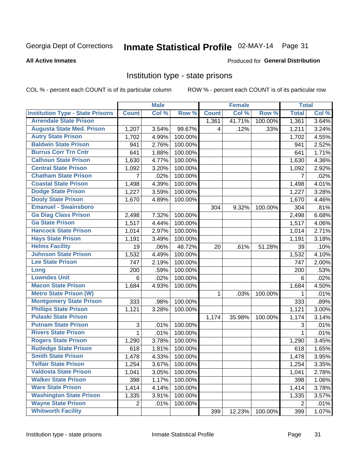# Inmate Statistical Profile 02-MAY-14 Page 31

#### **All Active Inmates**

#### Produced for General Distribution

### Institution type - state prisons

COL % - percent each COUNT is of its particular column

|                                         |              | <b>Male</b> |         |              | <b>Female</b> |         | <b>Total</b> |       |
|-----------------------------------------|--------------|-------------|---------|--------------|---------------|---------|--------------|-------|
| <b>Institution Type - State Prisons</b> | <b>Count</b> | Col %       | Row %   | <b>Count</b> | Col %         | Row %   | <b>Total</b> | Col % |
| <b>Arrendale State Prison</b>           |              |             |         | 1,361        | 41.71%        | 100.00% | 1,361        | 3.64% |
| <b>Augusta State Med. Prison</b>        | 1,207        | 3.54%       | 99.67%  | 4            | .12%          | .33%    | 1,211        | 3.24% |
| <b>Autry State Prison</b>               | 1,702        | 4.99%       | 100.00% |              |               |         | 1,702        | 4.55% |
| <b>Baldwin State Prison</b>             | 941          | 2.76%       | 100.00% |              |               |         | 941          | 2.52% |
| <b>Burrus Corr Trn Cntr</b>             | 641          | 1.88%       | 100.00% |              |               |         | 641          | 1.71% |
| <b>Calhoun State Prison</b>             | 1,630        | 4.77%       | 100.00% |              |               |         | 1,630        | 4.36% |
| <b>Central State Prison</b>             | 1,092        | 3.20%       | 100.00% |              |               |         | 1,092        | 2.92% |
| <b>Chatham State Prison</b>             | 7            | .02%        | 100.00% |              |               |         | 7            | .02%  |
| <b>Coastal State Prison</b>             | 1,498        | 4.39%       | 100.00% |              |               |         | 1,498        | 4.01% |
| <b>Dodge State Prison</b>               | 1,227        | 3.59%       | 100.00% |              |               |         | 1,227        | 3.28% |
| <b>Dooly State Prison</b>               | 1,670        | 4.89%       | 100.00% |              |               |         | 1,670        | 4.46% |
| <b>Emanuel - Swainsboro</b>             |              |             |         | 304          | 9.32%         | 100.00% | 304          | .81%  |
| <b>Ga Diag Class Prison</b>             | 2,498        | 7.32%       | 100.00% |              |               |         | 2,498        | 6.68% |
| <b>Ga State Prison</b>                  | 1,517        | 4.44%       | 100.00% |              |               |         | 1,517        | 4.06% |
| <b>Hancock State Prison</b>             | 1,014        | 2.97%       | 100.00% |              |               |         | 1,014        | 2.71% |
| <b>Hays State Prison</b>                | 1,191        | 3.49%       | 100.00% |              |               |         | 1,191        | 3.18% |
| <b>Helms Facility</b>                   | 19           | .06%        | 48.72%  | 20           | .61%          | 51.28%  | 39           | .10%  |
| <b>Johnson State Prison</b>             | 1,532        | 4.49%       | 100.00% |              |               |         | 1,532        | 4.10% |
| <b>Lee State Prison</b>                 | 747          | 2.19%       | 100.00% |              |               |         | 747          | 2.00% |
| Long                                    | 200          | .59%        | 100.00% |              |               |         | 200          | .53%  |
| <b>Lowndes Unit</b>                     | 6            | .02%        | 100.00% |              |               |         | 6            | .02%  |
| <b>Macon State Prison</b>               | 1,684        | 4.93%       | 100.00% |              |               |         | 1,684        | 4.50% |
| <b>Metro State Prison (W)</b>           |              |             |         | 1            | .03%          | 100.00% | 1            | .01%  |
| <b>Montgomery State Prison</b>          | 333          | .98%        | 100.00% |              |               |         | 333          | .89%  |
| <b>Phillips State Prison</b>            | 1,121        | 3.28%       | 100.00% |              |               |         | 1,121        | 3.00% |
| <b>Pulaski State Prison</b>             |              |             |         | 1,174        | 35.98%        | 100.00% | 1,174        | 3.14% |
| <b>Putnam State Prison</b>              | $\sqrt{3}$   | .01%        | 100.00% |              |               |         | 3            | .01%  |
| <b>Rivers State Prison</b>              | 1            | .01%        | 100.00% |              |               |         | 1            | .01%  |
| <b>Rogers State Prison</b>              | 1,290        | 3.78%       | 100.00% |              |               |         | 1,290        | 3.45% |
| <b>Rutledge State Prison</b>            | 618          | 1.81%       | 100.00% |              |               |         | 618          | 1.65% |
| <b>Smith State Prison</b>               | 1,478        | 4.33%       | 100.00% |              |               |         | 1,478        | 3.95% |
| <b>Telfair State Prison</b>             | 1,254        | 3.67%       | 100.00% |              |               |         | 1,254        | 3.35% |
| <b>Valdosta State Prison</b>            | 1,041        | 3.05%       | 100.00% |              |               |         | 1,041        | 2.78% |
| <b>Walker State Prison</b>              | 398          | 1.17%       | 100.00% |              |               |         | 398          | 1.06% |
| <b>Ware State Prison</b>                | 1,414        | 4.14%       | 100.00% |              |               |         | 1,414        | 3.78% |
| <b>Washington State Prison</b>          | 1,335        | 3.91%       | 100.00% |              |               |         | 1,335        | 3.57% |
| <b>Wayne State Prison</b>               | 2            | .01%        | 100.00% |              |               |         | 2            | .01%  |
| <b>Whitworth Facility</b>               |              |             |         | 399          | 12.23%        | 100.00% | 399          | 1.07% |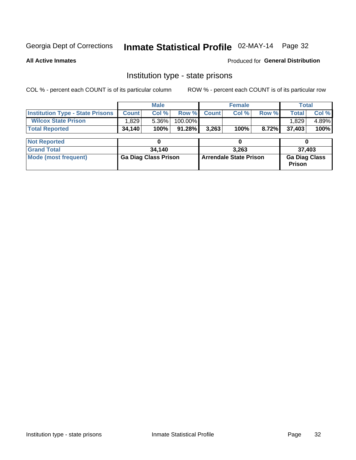# Inmate Statistical Profile 02-MAY-14 Page 32

**All Active Inmates** 

Produced for General Distribution

### Institution type - state prisons

COL % - percent each COUNT is of its particular column

|                                         |              | <b>Male</b>                 |           |                               | <b>Female</b> |       | <b>Total</b>                          |        |  |
|-----------------------------------------|--------------|-----------------------------|-----------|-------------------------------|---------------|-------|---------------------------------------|--------|--|
| <b>Institution Type - State Prisons</b> | <b>Count</b> | Col %                       | Row %     | <b>Count</b>                  | Col %         | Row % | <b>Total</b>                          | Col %  |  |
| <b>Wilcox State Prison</b>              | 1,829        | 5.36%                       | 100.00%   |                               |               |       | 1,829                                 | 4.89%  |  |
| <b>Total Reported</b>                   | 34,140       | 100%                        | $91.28\%$ | 3,263                         | 100%          | 8.72% | 37,403                                | 100%   |  |
| <b>Not Reported</b>                     |              |                             |           |                               |               |       |                                       |        |  |
|                                         |              |                             |           | 0                             |               |       |                                       |        |  |
| <b>Grand Total</b>                      |              | 34,140                      |           |                               | 3.263         |       |                                       | 37,403 |  |
| <b>Mode (most frequent)</b>             |              | <b>Ga Diag Class Prison</b> |           | <b>Arrendale State Prison</b> |               |       | <b>Ga Diag Class</b><br><b>Prison</b> |        |  |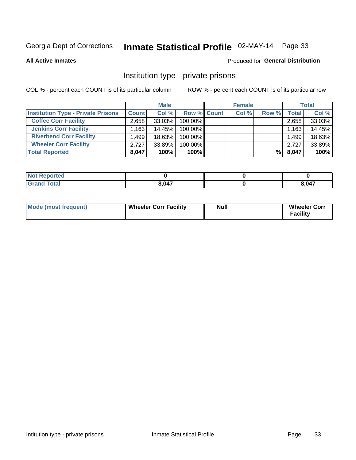# Inmate Statistical Profile 02-MAY-14 Page 33

**All Active Inmates** 

#### Produced for General Distribution

### Institution type - private prisons

COL % - percent each COUNT is of its particular column

|                                           |              | <b>Male</b> |                    | <b>Female</b> |       |              | <b>Total</b> |
|-------------------------------------------|--------------|-------------|--------------------|---------------|-------|--------------|--------------|
| <b>Institution Type - Private Prisons</b> | <b>Count</b> | Col %       | <b>Row % Count</b> | Col %         | Row % | <b>Total</b> | Col %        |
| <b>Coffee Corr Facility</b>               | 2,658        | 33.03%      | 100.00%            |               |       | 2,658        | 33.03%       |
| <b>Jenkins Corr Facility</b>              | 1,163        | 14.45%      | 100.00%            |               |       | 1,163        | 14.45%       |
| <b>Riverbend Corr Facility</b>            | .499         | $18.63\%$   | 100.00%            |               |       | 1,499        | 18.63%       |
| <b>Wheeler Corr Facility</b>              | 2.727        | 33.89%      | 100.00%            |               |       | 2,727        | 33.89%       |
| <b>Total Reported</b>                     | 8,047        | 100%        | 100%               |               | %     | 8,047        | 100%         |

| <b>Reported</b> |       |                   |
|-----------------|-------|-------------------|
| <b>otal</b>     | 8.047 | <b>047</b><br>v-1 |

| Mode (most frequent) | <b>Wheeler Corr Facility</b> | <b>Null</b> | <b>Wheeler Corr</b><br><b>Facility</b> |
|----------------------|------------------------------|-------------|----------------------------------------|
|----------------------|------------------------------|-------------|----------------------------------------|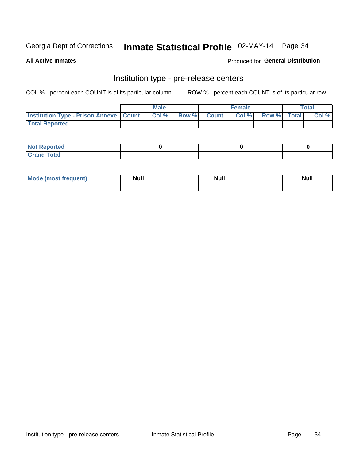### Inmate Statistical Profile 02-MAY-14 Page 34

**All Active Inmates** 

#### **Produced for General Distribution**

# Institution type - pre-release centers

COL % - percent each COUNT is of its particular column

|                                                   | <b>Male</b> |             | <b>Female</b> |             | <b>Total</b> |
|---------------------------------------------------|-------------|-------------|---------------|-------------|--------------|
| <b>Institution Type - Prison Annexe   Count  </b> | Col%        | Row % Count | Col%          | Row % Total | Col %        |
| <b>Total Reported</b>                             |             |             |               |             |              |

| <b>Reported</b><br>I NOT |  |  |
|--------------------------|--|--|
| <b>Total</b><br>$C$ ren  |  |  |

| <b>Mo</b><br>frequent)<br>(most | <b>Null</b> | <b>Null</b> | <b>Null</b> |
|---------------------------------|-------------|-------------|-------------|
|                                 |             |             |             |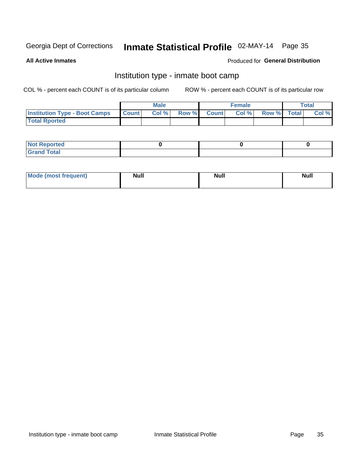# Inmate Statistical Profile 02-MAY-14 Page 35

**All Active Inmates** 

#### Produced for General Distribution

### Institution type - inmate boot camp

COL % - percent each COUNT is of its particular column

|                                      |              | <b>Male</b> |             | <b>Female</b> |             | Total |
|--------------------------------------|--------------|-------------|-------------|---------------|-------------|-------|
| <b>Institution Type - Boot Camps</b> | <b>Count</b> | Col %       | Row % Count | Col%          | Row % Total | Col % |
| <b>Total Rported</b>                 |              |             |             |               |             |       |

| <b>Not Reported</b>                   |  |  |
|---------------------------------------|--|--|
| <b>Total</b><br><b>C HAM</b><br>_____ |  |  |

| <b>AhoM</b>       | <b>Null</b> | <b>Null</b> | Ab d' |
|-------------------|-------------|-------------|-------|
| <b>"requent</b> ) |             |             |       |
|                   |             |             |       |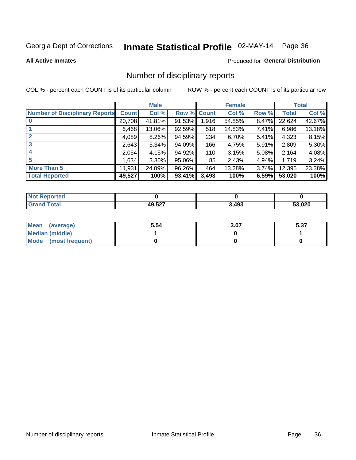# Inmate Statistical Profile 02-MAY-14 Page 36

#### **All Active Inmates**

#### Produced for General Distribution

### Number of disciplinary reports

COL % - percent each COUNT is of its particular column

|                                       |              | <b>Male</b> |             |       | <b>Female</b> |       |        | <b>Total</b> |
|---------------------------------------|--------------|-------------|-------------|-------|---------------|-------|--------|--------------|
| <b>Number of Disciplinary Reports</b> | <b>Count</b> | Col %       | Row % Count |       | Col %         | Row % | Total  | Col %        |
| $\bf{0}$                              | 20,708       | 41.81%      | $91.53\%$   | 1,916 | 54.85%        | 8.47% | 22,624 | 42.67%       |
|                                       | 6,468        | 13.06%      | 92.59%      | 518   | 14.83%        | 7.41% | 6,986  | 13.18%       |
| $\mathbf{2}$                          | 4,089        | 8.26%       | 94.59%      | 234   | 6.70%         | 5.41% | 4,323  | 8.15%        |
| 3                                     | 2,643        | 5.34%       | 94.09%      | 166   | 4.75%         | 5.91% | 2,809  | 5.30%        |
|                                       | 2,054        | 4.15%       | 94.92%      | 110   | 3.15%         | 5.08% | 2,164  | 4.08%        |
| 5                                     | 1.634        | 3.30%       | 95.06%      | 85    | 2.43%         | 4.94% | 1,719  | 3.24%        |
| <b>More Than 5</b>                    | 11,931       | 24.09%      | 96.26%      | 464   | 13.28%        | 3.74% | 12,395 | 23.38%       |
| <b>Total Reported</b>                 | 49,527       | 100%        | 93.41%      | 3,493 | 100%          | 6.59% | 53,020 | 100%         |

| orted<br><b>NOT</b> |        |       |       |
|---------------------|--------|-------|-------|
| Total               | 49.527 | 3,493 | 3.020 |

| Mean (average)       | 5.54 | 3.07 | - ^-<br>ว.ง เ |
|----------------------|------|------|---------------|
| Median (middle)      |      |      |               |
| Mode (most frequent) |      |      |               |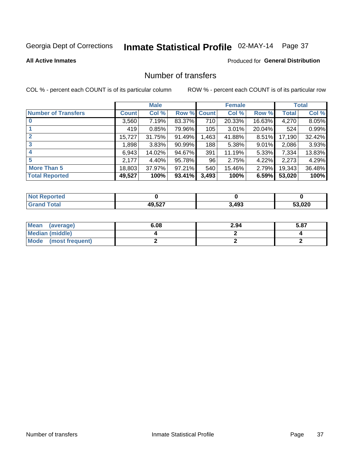# Inmate Statistical Profile 02-MAY-14 Page 37

#### **All Active Inmates**

#### **Produced for General Distribution**

### Number of transfers

COL % - percent each COUNT is of its particular column

|                            |         | <b>Male</b> |        |              | <b>Female</b> |           |        | <b>Total</b> |
|----------------------------|---------|-------------|--------|--------------|---------------|-----------|--------|--------------|
| <b>Number of Transfers</b> | Count l | Col %       | Row %  | <b>Count</b> | Col %         | Row %     | Total  | Col %        |
| $\bf{0}$                   | 3,560   | 7.19%       | 83.37% | 710          | 20.33%        | 16.63%    | 4,270  | 8.05%        |
|                            | 419     | 0.85%       | 79.96% | 105          | 3.01%         | $20.04\%$ | 524    | 0.99%        |
| $\overline{2}$             | 15,727  | 31.75%      | 91.49% | 1,463        | 41.88%        | 8.51%     | 17,190 | 32.42%       |
| 3                          | 1,898   | 3.83%       | 90.99% | 188          | 5.38%         | 9.01%     | 2,086  | 3.93%        |
| 4                          | 6,943   | 14.02%      | 94.67% | 391          | 11.19%        | 5.33%     | 7,334  | 13.83%       |
| 5                          | 2,177   | 4.40%       | 95.78% | 96           | 2.75%         | 4.22%     | 2,273  | 4.29%        |
| <b>More Than 5</b>         | 18,803  | 37.97%      | 97.21% | 540          | 15.46%        | 2.79%     | 19,343 | 36.48%       |
| <b>Total Reported</b>      | 49,527  | 100%        | 93.41% | 3,493        | 100%          | 6.59%     | 53,020 | 100%         |

| Reported<br><b>Not</b> F |                   |       |      |
|--------------------------|-------------------|-------|------|
| ™ota⊩                    | 49.527<br>19.JZ 1 | 3,493 | ,020 |

| Mean (average)         | 6.08 | 2.94 | 5.87 |
|------------------------|------|------|------|
| <b>Median (middle)</b> |      |      |      |
| Mode (most frequent)   |      |      |      |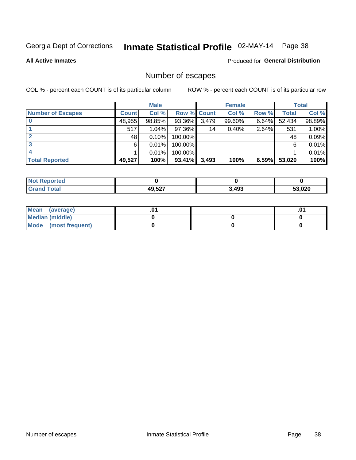# Inmate Statistical Profile 02-MAY-14 Page 38

**All Active Inmates** 

#### Produced for General Distribution

## Number of escapes

COL % - percent each COUNT is of its particular column

|                          |              | <b>Male</b> |             |       | <b>Female</b> |          |        | <b>Total</b> |
|--------------------------|--------------|-------------|-------------|-------|---------------|----------|--------|--------------|
| <b>Number of Escapes</b> | <b>Count</b> | Col %       | Row % Count |       | Col %         | Row %    | Total  | Col %        |
|                          | 48,955       | 98.85%      | 93.36%      | 3,479 | 99.60%        | $6.64\%$ | 52,434 | 98.89%       |
|                          | 517          | 1.04%       | 97.36%      | 14    | 0.40%         | 2.64%    | 531    | 1.00%        |
|                          | 48           | 0.10%       | 100.00%     |       |               |          | 48     | 0.09%        |
|                          | 6            | 0.01%       | 100.00%     |       |               |          | 6      | 0.01%        |
|                          |              | 0.01%       | 100.00%     |       |               |          |        | 0.01%        |
| <b>Total Reported</b>    | 49,527       | 100%        | $93.41\%$   | 3,493 | 100%          | 6.59%    | 53,020 | 100%         |

| <b>Not Reported</b> |        |       |        |
|---------------------|--------|-------|--------|
| Total               | 49,527 | 3,493 | 53,020 |

| Mean (average)         |  | .0 |
|------------------------|--|----|
| <b>Median (middle)</b> |  |    |
| Mode (most frequent)   |  |    |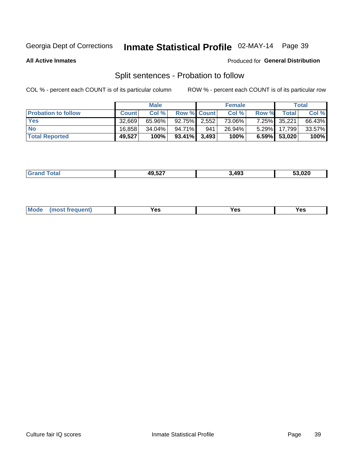# Inmate Statistical Profile 02-MAY-14 Page 39

**All Active Inmates** 

#### **Produced for General Distribution**

## Split sentences - Probation to follow

COL % - percent each COUNT is of its particular column

|                            |              | <b>Male</b> |                    |     | <b>Female</b> |          |                 | <b>Total</b> |
|----------------------------|--------------|-------------|--------------------|-----|---------------|----------|-----------------|--------------|
| <b>Probation to follow</b> | <b>Count</b> | Col%        | <b>Row % Count</b> |     | Col %         | Row %    | Total           | Col %        |
| <b>Yes</b>                 | 32.669       | 65.96%      | 92.75% 2.552       |     | 73.06%        | $7.25\%$ | 35,221          | 66.43%       |
| <b>No</b>                  | 16.858       | 34.04%      | 94.71%             | 941 | 26.94%        | $5.29\%$ | 17.799          | 33.57%       |
| <b>Total Reported</b>      | 49,527       | 100%        | $93.41\%$ 3.493    |     | 100%          |          | $6.59\%$ 53,020 | 100%         |

|  |  | 49,527<br>--- | 3,493 | 53,020 |
|--|--|---------------|-------|--------|
|--|--|---------------|-------|--------|

| M<br>reauent)<br>/٥<br>$\sim$<br>v.,<br>.<br>w<br>$\cdot$ - $\cdot$ |
|---------------------------------------------------------------------|
|---------------------------------------------------------------------|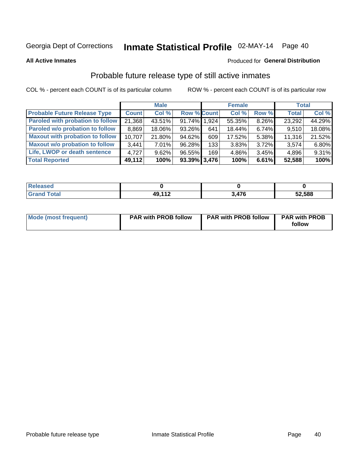# Inmate Statistical Profile 02-MAY-14 Page 40

**All Active Inmates** 

#### Produced for General Distribution

## Probable future release type of still active inmates

COL % - percent each COUNT is of its particular column

|                                         |              | <b>Male</b> |                    |     | <b>Female</b> |          | <b>Total</b> |        |
|-----------------------------------------|--------------|-------------|--------------------|-----|---------------|----------|--------------|--------|
| <b>Probable Future Release Type</b>     | <b>Count</b> | Col %       | <b>Row % Count</b> |     | Col %         | Row %    | <b>Total</b> | Col %  |
| <b>Paroled with probation to follow</b> | 21,368       | 43.51%      | 91.74% 1,924       |     | 55.35%        | 8.26%    | 23,292       | 44.29% |
| Paroled w/o probation to follow         | 8,869        | 18.06%      | 93.26%             | 641 | 18.44%        | 6.74%    | 9,510        | 18.08% |
| <b>Maxout with probation to follow</b>  | 10,707       | 21.80%      | 94.62%             | 609 | 17.52%        | 5.38%    | 11,316       | 21.52% |
| <b>Maxout w/o probation to follow</b>   | 3,441        | 7.01%       | 96.28%             | 133 | 3.83%         | $3.72\%$ | 3,574        | 6.80%  |
| Life, LWOP or death sentence            | 4.727        | 9.62%       | 96.55%             | 169 | 4.86%         | 3.45%    | 4,896        | 9.31%  |
| <b>Total Reported</b>                   | 49,112       | 100%        | $93.39\%$ 3,476    |     | 100%          | 6.61%    | 52,588       | 100%   |

| <b>ota</b> | $\overline{A}$ $\Omega$ $\overline{A}$ $\overline{D}$ | 170 | 52,588 |
|------------|-------------------------------------------------------|-----|--------|
| _____      |                                                       | . . |        |

| Mode (most frequent) | <b>PAR with PROB follow</b> | <b>PAR with PROB follow</b> | <b>PAR with PROB</b><br>follow |
|----------------------|-----------------------------|-----------------------------|--------------------------------|
|                      |                             |                             |                                |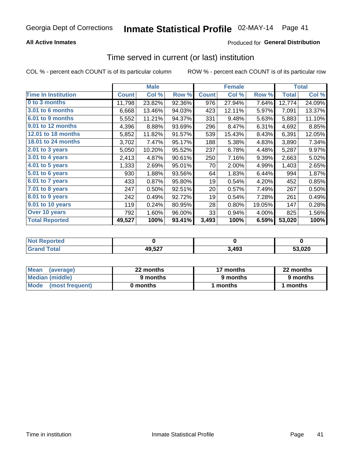### **All Active Inmates**

### Produced for General Distribution

# Time served in current (or last) institution

COL % - percent each COUNT is of its particular column

|                            |              | <b>Male</b> |        |              | <b>Female</b> |        |              | <b>Total</b> |
|----------------------------|--------------|-------------|--------|--------------|---------------|--------|--------------|--------------|
| <b>Time In Institution</b> | <b>Count</b> | Col %       | Row %  | <b>Count</b> | Col %         | Row %  | <b>Total</b> | Col %        |
| 0 to 3 months              | 11,798       | 23.82%      | 92.36% | 976          | 27.94%        | 7.64%  | 12,774       | 24.09%       |
| 3.01 to 6 months           | 6,668        | 13.46%      | 94.03% | 423          | 12.11%        | 5.97%  | 7,091        | 13.37%       |
| 6.01 to 9 months           | 5,552        | 11.21%      | 94.37% | 331          | 9.48%         | 5.63%  | 5,883        | 11.10%       |
| 9.01 to 12 months          | 4,396        | 8.88%       | 93.69% | 296          | 8.47%         | 6.31%  | 4,692        | 8.85%        |
| <b>12.01 to 18 months</b>  | 5,852        | 11.82%      | 91.57% | 539          | 15.43%        | 8.43%  | 6,391        | 12.05%       |
| <b>18.01 to 24 months</b>  | 3,702        | 7.47%       | 95.17% | 188          | 5.38%         | 4.83%  | 3,890        | 7.34%        |
| 2.01 to 3 years            | 5,050        | 10.20%      | 95.52% | 237          | 6.78%         | 4.48%  | 5,287        | 9.97%        |
| 3.01 to 4 years            | 2,413        | 4.87%       | 90.61% | 250          | 7.16%         | 9.39%  | 2,663        | 5.02%        |
| $4.01$ to 5 years          | 1,333        | 2.69%       | 95.01% | 70           | 2.00%         | 4.99%  | 1,403        | 2.65%        |
| 5.01 to 6 years            | 930          | 1.88%       | 93.56% | 64           | 1.83%         | 6.44%  | 994          | 1.87%        |
| 6.01 to 7 years            | 433          | 0.87%       | 95.80% | 19           | 0.54%         | 4.20%  | 452          | 0.85%        |
| 7.01 to 8 years            | 247          | 0.50%       | 92.51% | 20           | 0.57%         | 7.49%  | 267          | 0.50%        |
| 8.01 to 9 years            | 242          | 0.49%       | 92.72% | 19           | 0.54%         | 7.28%  | 261          | 0.49%        |
| 9.01 to 10 years           | 119          | 0.24%       | 80.95% | 28           | 0.80%         | 19.05% | 147          | 0.28%        |
| Over 10 years              | 792          | 1.60%       | 96.00% | 33           | 0.94%         | 4.00%  | 825          | 1.56%        |
| <b>Total Reported</b>      | 49,527       | 100%        | 93.41% | 3,493        | 100%          | 6.59%  | 53,020       | 100%         |

| <b>Renorted</b><br><b>Not</b> |        |      |        |
|-------------------------------|--------|------|--------|
| ⊺ิ∩tal                        | 49,527 | .493 | 53.020 |

| <b>Mean</b><br>(average) | 22 months | 17 months | 22 months |  |
|--------------------------|-----------|-----------|-----------|--|
| Median (middle)          | 9 months  | 9 months  | 9 months  |  |
| Mode<br>(most frequent)  | 0 months  | months    | ∖ months  |  |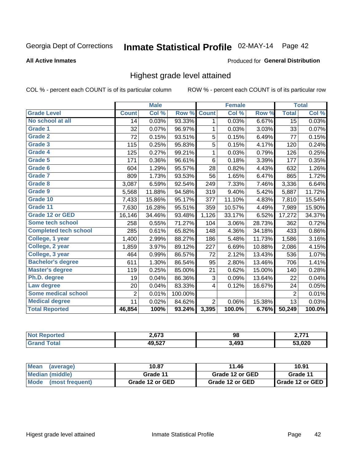# Inmate Statistical Profile 02-MAY-14 Page 42

#### **All Active Inmates**

#### **Produced for General Distribution**

### Highest grade level attained

COL % - percent each COUNT is of its particular column

|                              |                | <b>Male</b> |         |                | <b>Female</b> |        |                 | <b>Total</b> |
|------------------------------|----------------|-------------|---------|----------------|---------------|--------|-----------------|--------------|
| <b>Grade Level</b>           | <b>Count</b>   | Col %       | Row %   | <b>Count</b>   | Col %         | Row %  | <b>Total</b>    | Col %        |
| No school at all             | 14             | 0.03%       | 93.33%  | 1              | 0.03%         | 6.67%  | $\overline{15}$ | 0.03%        |
| Grade 1                      | 32             | 0.07%       | 96.97%  | 1              | 0.03%         | 3.03%  | 33              | 0.07%        |
| <b>Grade 2</b>               | 72             | 0.15%       | 93.51%  | 5              | 0.15%         | 6.49%  | 77              | 0.15%        |
| <b>Grade 3</b>               | 115            | 0.25%       | 95.83%  | 5              | 0.15%         | 4.17%  | 120             | 0.24%        |
| Grade 4                      | 125            | 0.27%       | 99.21%  | 1              | 0.03%         | 0.79%  | 126             | 0.25%        |
| Grade 5                      | 171            | 0.36%       | 96.61%  | 6              | 0.18%         | 3.39%  | 177             | 0.35%        |
| Grade 6                      | 604            | 1.29%       | 95.57%  | 28             | 0.82%         | 4.43%  | 632             | 1.26%        |
| Grade 7                      | 809            | 1.73%       | 93.53%  | 56             | 1.65%         | 6.47%  | 865             | 1.72%        |
| Grade 8                      | 3,087          | 6.59%       | 92.54%  | 249            | 7.33%         | 7.46%  | 3,336           | 6.64%        |
| Grade 9                      | 5,568          | 11.88%      | 94.58%  | 319            | 9.40%         | 5.42%  | 5,887           | 11.72%       |
| Grade 10                     | 7,433          | 15.86%      | 95.17%  | 377            | 11.10%        | 4.83%  | 7,810           | 15.54%       |
| Grade 11                     | 7,630          | 16.28%      | 95.51%  | 359            | 10.57%        | 4.49%  | 7,989           | 15.90%       |
| <b>Grade 12 or GED</b>       | 16,146         | 34.46%      | 93.48%  | 1,126          | 33.17%        | 6.52%  | 17,272          | 34.37%       |
| Some tech school             | 258            | 0.55%       | 71.27%  | 104            | 3.06%         | 28.73% | 362             | 0.72%        |
| <b>Completed tech school</b> | 285            | 0.61%       | 65.82%  | 148            | 4.36%         | 34.18% | 433             | 0.86%        |
| College, 1 year              | 1,400          | 2.99%       | 88.27%  | 186            | 5.48%         | 11.73% | 1,586           | 3.16%        |
| College, 2 year              | 1,859          | 3.97%       | 89.12%  | 227            | 6.69%         | 10.88% | 2,086           | 4.15%        |
| College, 3 year              | 464            | 0.99%       | 86.57%  | 72             | 2.12%         | 13.43% | 536             | 1.07%        |
| <b>Bachelor's degree</b>     | 611            | 1.30%       | 86.54%  | 95             | 2.80%         | 13.46% | 706             | 1.41%        |
| <b>Master's degree</b>       | 119            | 0.25%       | 85.00%  | 21             | 0.62%         | 15.00% | 140             | 0.28%        |
| Ph.D. degree                 | 19             | 0.04%       | 86.36%  | 3              | 0.09%         | 13.64% | 22              | 0.04%        |
| Law degree                   | 20             | 0.04%       | 83.33%  | 4              | 0.12%         | 16.67% | 24              | 0.05%        |
| <b>Some medical school</b>   | $\overline{2}$ | 0.01%       | 100.00% |                |               |        | $\overline{2}$  | 0.01%        |
| <b>Medical degree</b>        | 11             | 0.02%       | 84.62%  | $\overline{2}$ | 0.06%         | 15.38% | 13              | 0.03%        |
| <b>Total Reported</b>        | 46,854         | 100%        | 93.24%  | 3,395          | 100.0%        | 6.76%  | 50,249          | 100.0%       |

| 2.673                  | 98    | $-774$ |
|------------------------|-------|--------|
| 10 F27<br>ЛC<br>49.JZ. | 1.493 | 53.020 |

| <b>Mean</b><br>(average) | 10.87           | 11.46           | 10.91           |
|--------------------------|-----------------|-----------------|-----------------|
| Median (middle)          | Grade 11        | Grade 12 or GED | Grade 11        |
| Mode<br>(most frequent)  | Grade 12 or GED | Grade 12 or GED | Grade 12 or GED |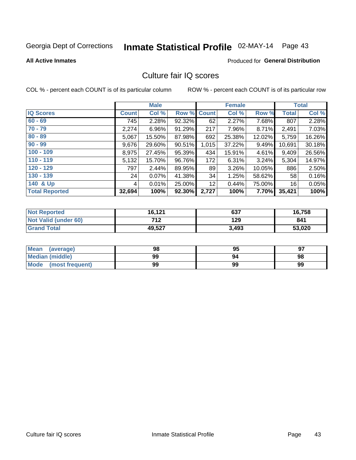# Inmate Statistical Profile 02-MAY-14 Page 43

#### **All Active Inmates**

#### **Produced for General Distribution**

### Culture fair IQ scores

COL % - percent each COUNT is of its particular column

|                       |              | <b>Male</b> |             |       | <b>Female</b> |        |              | <b>Total</b> |
|-----------------------|--------------|-------------|-------------|-------|---------------|--------|--------------|--------------|
| <b>IQ Scores</b>      | <b>Count</b> | Col %       | Row % Count |       | Col %         | Row %  | <b>Total</b> | Col %        |
| $60 - 69$             | 745          | 2.28%       | 92.32%      | 62    | 2.27%         | 7.68%  | 807          | 2.28%        |
| $70 - 79$             | 2,274        | 6.96%       | 91.29%      | 217   | 7.96%         | 8.71%  | 2,491        | 7.03%        |
| $80 - 89$             | 5,067        | 15.50%      | 87.98%      | 692   | 25.38%        | 12.02% | 5,759        | 16.26%       |
| $90 - 99$             | 9,676        | 29.60%      | 90.51%      | 1,015 | 37.22%        | 9.49%  | 10,691       | 30.18%       |
| $100 - 109$           | 8,975        | 27.45%      | 95.39%      | 434   | 15.91%        | 4.61%  | 9,409        | 26.56%       |
| $110 - 119$           | 5,132        | 15.70%      | 96.76%      | 172   | 6.31%         | 3.24%  | 5,304        | 14.97%       |
| $120 - 129$           | 797          | 2.44%       | 89.95%      | 89    | 3.26%         | 10.05% | 886          | 2.50%        |
| $130 - 139$           | 24           | 0.07%       | 41.38%      | 34    | 1.25%         | 58.62% | 58           | 0.16%        |
| 140 & Up              | 4            | 0.01%       | 25.00%      | 12    | 0.44%         | 75.00% | 16           | 0.05%        |
| <b>Total Reported</b> | 32,694       | 100%        | 92.30%      | 2,727 | 100%          | 7.70%  | 35,421       | 100%         |

| <b>Not Reported</b>         | 16,121 | 637   | 16,758 |
|-----------------------------|--------|-------|--------|
| <b>Not Valid (under 60)</b> | 712    | 129   | 841    |
| <b>Grand Total</b>          | 49,527 | 3,493 | 53,020 |

| Mean<br>(average)       | 98 | 95 | 97 |
|-------------------------|----|----|----|
| <b>Median (middle)</b>  | 99 | 94 | 98 |
| Mode<br>(most frequent) | 99 | 99 | 99 |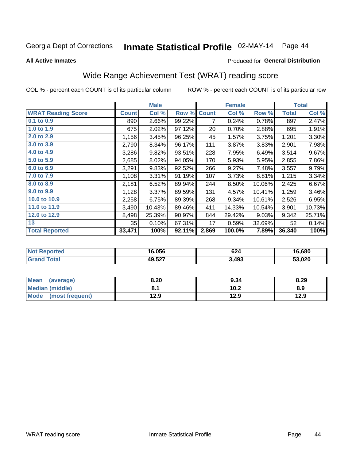# Inmate Statistical Profile 02-MAY-14 Page 44

**All Active Inmates** 

#### Produced for General Distribution

## Wide Range Achievement Test (WRAT) reading score

COL % - percent each COUNT is of its particular column

|                           |              | <b>Male</b> |        |              | <b>Female</b> |        |              | <b>Total</b> |
|---------------------------|--------------|-------------|--------|--------------|---------------|--------|--------------|--------------|
| <b>WRAT Reading Score</b> | <b>Count</b> | Col %       | Row %  | <b>Count</b> | Col %         | Row %  | <b>Total</b> | Col %        |
| 0.1 to 0.9                | 890          | 2.66%       | 99.22% | 7            | 0.24%         | 0.78%  | 897          | 2.47%        |
| 1.0 to 1.9                | 675          | 2.02%       | 97.12% | 20           | 0.70%         | 2.88%  | 695          | 1.91%        |
| 2.0 to 2.9                | 1,156        | 3.45%       | 96.25% | 45           | 1.57%         | 3.75%  | 1,201        | 3.30%        |
| 3.0 to 3.9                | 2,790        | 8.34%       | 96.17% | 111          | 3.87%         | 3.83%  | 2,901        | 7.98%        |
| 4.0 to 4.9                | 3,286        | 9.82%       | 93.51% | 228          | 7.95%         | 6.49%  | 3,514        | 9.67%        |
| 5.0 to 5.9                | 2,685        | 8.02%       | 94.05% | 170          | 5.93%         | 5.95%  | 2,855        | 7.86%        |
| 6.0 to 6.9                | 3,291        | 9.83%       | 92.52% | 266          | 9.27%         | 7.48%  | 3,557        | 9.79%        |
| 7.0 to 7.9                | 1,108        | 3.31%       | 91.19% | 107          | 3.73%         | 8.81%  | 1,215        | 3.34%        |
| 8.0 to 8.9                | 2,181        | 6.52%       | 89.94% | 244          | 8.50%         | 10.06% | 2,425        | 6.67%        |
| 9.0 to 9.9                | 1,128        | $3.37\%$    | 89.59% | 131          | 4.57%         | 10.41% | 1,259        | 3.46%        |
| 10.0 to 10.9              | 2,258        | 6.75%       | 89.39% | 268          | 9.34%         | 10.61% | 2,526        | 6.95%        |
| 11.0 to 11.9              | 3,490        | 10.43%      | 89.46% | 411          | 14.33%        | 10.54% | 3,901        | 10.73%       |
| 12.0 to 12.9              | 8,498        | 25.39%      | 90.97% | 844          | 29.42%        | 9.03%  | 9,342        | 25.71%       |
| 13                        | 35           | 0.10%       | 67.31% | 17           | 0.59%         | 32.69% | 52           | 0.14%        |
| <b>Total Reported</b>     | 33,471       | 100%        | 92.11% | 2,869        | 100.0%        | 7.89%  | 36,340       | 100%         |

| rted<br>NO | 16.056 | 624   | 16.680 |
|------------|--------|-------|--------|
|            | 49,527 | 3,493 | 53,020 |

| <b>Mean</b><br>(average) | 8.20 | 9.34 | 8.29 |
|--------------------------|------|------|------|
| Median (middle)          |      | 10.2 | 8.9  |
| Mode<br>(most frequent)  | 12.9 | 12.9 | 12.9 |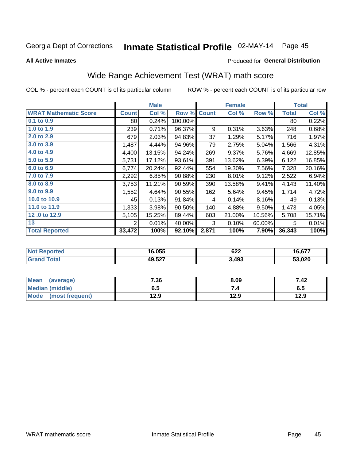# Inmate Statistical Profile 02-MAY-14 Page 45

**All Active Inmates** 

#### Produced for General Distribution

## Wide Range Achievement Test (WRAT) math score

COL % - percent each COUNT is of its particular column

|                              |              | <b>Male</b> |         |              | <b>Female</b> |        |              | <b>Total</b> |
|------------------------------|--------------|-------------|---------|--------------|---------------|--------|--------------|--------------|
| <b>WRAT Mathematic Score</b> | <b>Count</b> | Col %       | Row %   | <b>Count</b> | Col %         | Row %  | <b>Total</b> | Col %        |
| 0.1 to 0.9                   | 80 l         | 0.24%       | 100.00% |              |               |        | 80           | 0.22%        |
| 1.0 to 1.9                   | 239          | 0.71%       | 96.37%  | 9            | 0.31%         | 3.63%  | 248          | 0.68%        |
| 2.0 to 2.9                   | 679          | 2.03%       | 94.83%  | 37           | 1.29%         | 5.17%  | 716          | 1.97%        |
| 3.0 to 3.9                   | 1,487        | 4.44%       | 94.96%  | 79           | 2.75%         | 5.04%  | 1,566        | 4.31%        |
| 4.0 to 4.9                   | 4,400        | 13.15%      | 94.24%  | 269          | 9.37%         | 5.76%  | 4,669        | 12.85%       |
| 5.0 to 5.9                   | 5,731        | 17.12%      | 93.61%  | 391          | 13.62%        | 6.39%  | 6,122        | 16.85%       |
| 6.0 to 6.9                   | 6,774        | 20.24%      | 92.44%  | 554          | 19.30%        | 7.56%  | 7,328        | 20.16%       |
| 7.0 to 7.9                   | 2,292        | 6.85%       | 90.88%  | 230          | 8.01%         | 9.12%  | 2,522        | 6.94%        |
| 8.0 to 8.9                   | 3,753        | 11.21%      | 90.59%  | 390          | 13.58%        | 9.41%  | 4,143        | 11.40%       |
| 9.0 to 9.9                   | 1,552        | 4.64%       | 90.55%  | 162          | 5.64%         | 9.45%  | 1,714        | 4.72%        |
| 10.0 to 10.9                 | 45           | 0.13%       | 91.84%  | 4            | 0.14%         | 8.16%  | 49           | 0.13%        |
| 11.0 to 11.9                 | 1,333        | 3.98%       | 90.50%  | 140          | 4.88%         | 9.50%  | 1,473        | 4.05%        |
| 12.0 to 12.9                 | 5,105        | 15.25%      | 89.44%  | 603          | 21.00%        | 10.56% | 5,708        | 15.71%       |
| 13                           | 2            | 0.01%       | 40.00%  | 3            | 0.10%         | 60.00% | 5            | 0.01%        |
| <b>Total Reported</b>        | 33,472       | 100%        | 92.10%  | 2,871        | 100%          | 7.90%  | 36,343       | 100%         |

| <b>Not</b><br><b>Reported</b> | 16,055 | 622   | 16,677 |
|-------------------------------|--------|-------|--------|
| <b>Total</b>                  | 49,527 | 3,493 | 53,020 |

| <b>Mean</b><br>(average) | 7.36 | 8.09 | 7.42 |
|--------------------------|------|------|------|
| Median (middle)          | כ.ס  |      | v. o |
| Mode<br>(most frequent)  | l2.9 | 12.9 | 12.9 |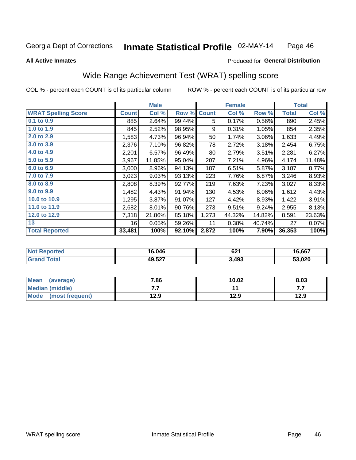#### Inmate Statistical Profile 02-MAY-14 Page 46

#### **All Active Inmates**

### Produced for General Distribution

### Wide Range Achievement Test (WRAT) spelling score

COL % - percent each COUNT is of its particular column

|                            |              | <b>Male</b> |        |              | <b>Female</b> |          |        | <b>Total</b> |
|----------------------------|--------------|-------------|--------|--------------|---------------|----------|--------|--------------|
| <b>WRAT Spelling Score</b> | <b>Count</b> | Col %       | Row %  | <b>Count</b> | Col %         | Row %    | Total  | Col %        |
| 0.1 to 0.9                 | 885          | 2.64%       | 99.44% | 5            | 0.17%         | 0.56%    | 890    | 2.45%        |
| 1.0 to 1.9                 | 845          | 2.52%       | 98.95% | 9            | 0.31%         | 1.05%    | 854    | 2.35%        |
| 2.0 to 2.9                 | 1,583        | 4.73%       | 96.94% | 50           | 1.74%         | $3.06\%$ | 1,633  | 4.49%        |
| 3.0 to 3.9                 | 2,376        | 7.10%       | 96.82% | 78           | 2.72%         | 3.18%    | 2,454  | 6.75%        |
| 4.0 to 4.9                 | 2,201        | 6.57%       | 96.49% | 80           | 2.79%         | 3.51%    | 2,281  | 6.27%        |
| 5.0 to 5.9                 | 3,967        | 11.85%      | 95.04% | 207          | 7.21%         | 4.96%    | 4,174  | 11.48%       |
| 6.0 to 6.9                 | 3,000        | 8.96%       | 94.13% | 187          | 6.51%         | 5.87%    | 3,187  | 8.77%        |
| 7.0 to 7.9                 | 3,023        | 9.03%       | 93.13% | 223          | 7.76%         | 6.87%    | 3,246  | 8.93%        |
| 8.0 to 8.9                 | 2,808        | 8.39%       | 92.77% | 219          | 7.63%         | 7.23%    | 3,027  | 8.33%        |
| 9.0 to 9.9                 | 1,482        | 4.43%       | 91.94% | 130          | 4.53%         | 8.06%    | 1,612  | 4.43%        |
| 10.0 to 10.9               | 1,295        | 3.87%       | 91.07% | 127          | 4.42%         | 8.93%    | 1,422  | 3.91%        |
| 11.0 to 11.9               | 2,682        | 8.01%       | 90.76% | 273          | 9.51%         | 9.24%    | 2,955  | 8.13%        |
| 12.0 to 12.9               | 7,318        | 21.86%      | 85.18% | 1,273        | 44.32%        | 14.82%   | 8,591  | 23.63%       |
| 13                         | 16           | 0.05%       | 59.26% | 11           | 0.38%         | 40.74%   | 27     | 0.07%        |
| <b>Total Reported</b>      | 33,481       | 100%        | 92.10% | 2,872        | 100%          | 7.90%    | 36,353 | 100%         |

| <b>vortea</b><br>NO. | 16,046 | 621   | 16,667 |
|----------------------|--------|-------|--------|
| $\sim$               | 49,527 | 3,493 | 53,020 |

| <b>Mean</b><br>(average) | 7.86 | 10.02 | 8.03 |
|--------------------------|------|-------|------|
| Median (middle)          | .    |       | .    |
| Mode (most frequent)     | 12.9 | 12.9  | 12.9 |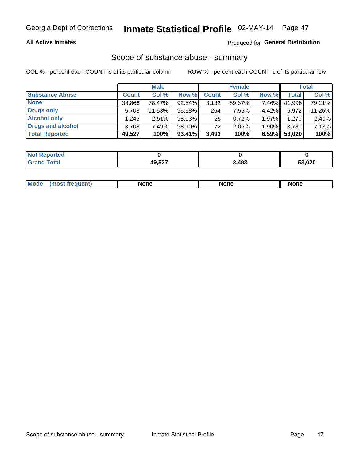#### **All Active Inmates**

#### Produced for General Distribution

# Scope of substance abuse - summary

COL % - percent each COUNT is of its particular column

|                        |              | <b>Male</b> |           |              | <b>Female</b> |       |              | <b>Total</b> |
|------------------------|--------------|-------------|-----------|--------------|---------------|-------|--------------|--------------|
| <b>Substance Abuse</b> | <b>Count</b> | Col %       | Row %     | <b>Count</b> | Col %         | Row % | <b>Total</b> | Col %        |
| <b>None</b>            | 38,866       | 78.47%      | $92.54\%$ | 3,132        | 89.67%        | 7.46% | 41,998       | 79.21%       |
| Drugs only             | 5,708        | 11.53%      | 95.58%    | 264          | 7.56%         | 4.42% | 5,972        | 11.26%       |
| <b>Alcohol only</b>    | .245         | $2.51\%$    | 98.03%    | 25           | 0.72%         | 1.97% | 1,270        | 2.40%        |
| Drugs and alcohol      | 3,708        | 7.49%       | 98.10%    | 72           | $2.06\%$      | 1.90% | 3,780        | 7.13%        |
| <b>Total Reported</b>  | 49,527       | 100%        | 93.41%    | 3,493        | 100%          | 6.59% | 53,020       | 100%         |

| <b>Not Reported</b> |        |       |        |
|---------------------|--------|-------|--------|
| <b>Grand Total</b>  | 49,527 | 3,493 | 53,020 |

| Mode<br>None<br><b>None</b><br>None<br>most<br>quenti<br>___ |
|--------------------------------------------------------------|
|--------------------------------------------------------------|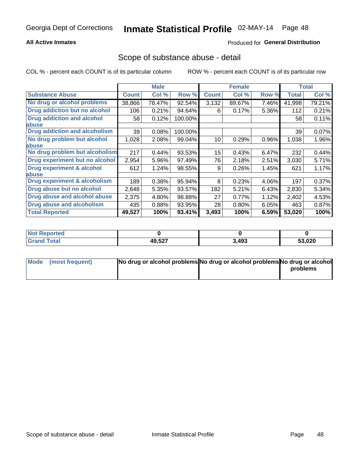#### **All Active Inmates**

### **Produced for General Distribution**

### Scope of substance abuse - detail

COL % - percent each COUNT is of its particular column

|                                      |              | <b>Male</b> |         |              | <b>Female</b> |       |              | <b>Total</b> |
|--------------------------------------|--------------|-------------|---------|--------------|---------------|-------|--------------|--------------|
| <b>Substance Abuse</b>               | <b>Count</b> | Col %       | Row %   | <b>Count</b> | Col %         | Row % | <b>Total</b> | Col %        |
| No drug or alcohol problems          | 38,866       | 78.47%      | 92.54%  | 3,132        | 89.67%        | 7.46% | 41,998       | 79.21%       |
| Drug addiction but no alcohol        | 106          | 0.21%       | 94.64%  | 6            | 0.17%         | 5.36% | 112          | 0.21%        |
| <b>Drug addiction and alcohol</b>    | 58           | 0.12%       | 100.00% |              |               |       | 58           | 0.11%        |
| <b>labuse</b>                        |              |             |         |              |               |       |              |              |
| <b>Drug addiction and alcoholism</b> | 39           | 0.08%       | 100.00% |              |               |       | 39           | 0.07%        |
| No drug problem but alcohol          | 1,028        | 2.08%       | 99.04%  | 10           | 0.29%         | 0.96% | 1,038        | 1.96%        |
| <b>labuse</b>                        |              |             |         |              |               |       |              |              |
| No drug problem but alcoholism       | 217          | 0.44%       | 93.53%  | 15           | 0.43%         | 6.47% | 232          | 0.44%        |
| Drug experiment but no alcohol       | 2,954        | 5.96%       | 97.49%  | 76           | 2.18%         | 2.51% | 3,030        | 5.71%        |
| <b>Drug experiment &amp; alcohol</b> | 612          | 1.24%       | 98.55%  | 9            | 0.26%         | 1.45% | 621          | 1.17%        |
| <b>labuse</b>                        |              |             |         |              |               |       |              |              |
| Drug experiment & alcoholism         | 189          | 0.38%       | 95.94%  | 8            | 0.23%         | 4.06% | 197          | 0.37%        |
| Drug abuse but no alcohol            | 2,648        | 5.35%       | 93.57%  | 182          | 5.21%         | 6.43% | 2,830        | 5.34%        |
| Drug abuse and alcohol abuse         | 2,375        | 4.80%       | 98.88%  | 27           | 0.77%         | 1.12% | 2,402        | 4.53%        |
| <b>Drug abuse and alcoholism</b>     | 435          | 0.88%       | 93.95%  | 28           | 0.80%         | 6.05% | 463          | 0.87%        |
| <b>Total Reported</b>                | 49,527       | 100%        | 93.41%  | 3,493        | 100%          | 6.59% | 53,020       | 100%         |

| oorted<br><b>NOT</b> |        |       |        |
|----------------------|--------|-------|--------|
| otal                 | 49,527 | 3,493 | 53,020 |

| Mode (most frequent) | No drug or alcohol problems No drug or alcohol problems No drug or alcohol |          |
|----------------------|----------------------------------------------------------------------------|----------|
|                      |                                                                            | problems |
|                      |                                                                            |          |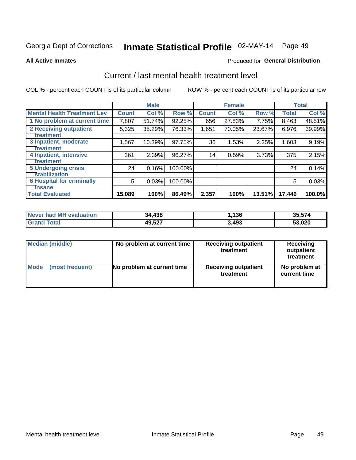# Inmate Statistical Profile 02-MAY-14 Page 49

#### **All Active Inmates**

#### **Produced for General Distribution**

### Current / last mental health treatment level

COL % - percent each COUNT is of its particular column

|                                    |              | <b>Male</b> |         |              | <b>Female</b> |        |              | <b>Total</b> |
|------------------------------------|--------------|-------------|---------|--------------|---------------|--------|--------------|--------------|
| <b>Mental Health Treatment Lev</b> | <b>Count</b> | Col %       | Row %   | <b>Count</b> | Col %         | Row %  | <b>Total</b> | Col %        |
| 1 No problem at current time       | 7,807        | 51.74%      | 92.25%  | 656          | 27.83%        | 7.75%  | 8,463        | 48.51%       |
| 2 Receiving outpatient             | 5,325        | 35.29%      | 76.33%  | 1,651        | 70.05%        | 23.67% | 6,976        | 39.99%       |
| <b>Treatment</b>                   |              |             |         |              |               |        |              |              |
| 3 Inpatient, moderate              | 1,567        | 10.39%      | 97.75%  | 36           | 1.53%         | 2.25%  | 1,603        | 9.19%        |
| Treatment                          |              |             |         |              |               |        |              |              |
| 4 Inpatient, intensive             | 361          | 2.39%       | 96.27%  | 14           | 0.59%         | 3.73%  | 375          | 2.15%        |
| <b>Treatment</b>                   |              |             |         |              |               |        |              |              |
| 5 Undergoing crisis                | 24           | 0.16%       | 100.00% |              |               |        | 24           | 0.14%        |
| <b>stabilization</b>               |              |             |         |              |               |        |              |              |
| <b>6 Hospital for criminally</b>   | 5            | 0.03%       | 100.00% |              |               |        | 5            | 0.03%        |
| <b>Tinsane</b>                     |              |             |         |              |               |        |              |              |
| <b>Total Evaluated</b>             | 15,089       | 100%        | 86.49%  | 2,357        | 100%          | 13.51% | 17,446       | 100.0%       |

| Never had MH evaluation | 34,438 | .136  | 35,574 |
|-------------------------|--------|-------|--------|
| <b>Grand Total</b>      | 49,527 | 3,493 | 53,020 |

| Median (middle) | No problem at current time | <b>Receiving outpatient</b><br>treatment | <b>Receiving</b><br>outpatient<br>treatment |
|-----------------|----------------------------|------------------------------------------|---------------------------------------------|
| <b>Mode</b>     | No problem at current time | <b>Receiving outpatient</b>              | No problem at                               |
| (most frequent) |                            | treatment                                | current time                                |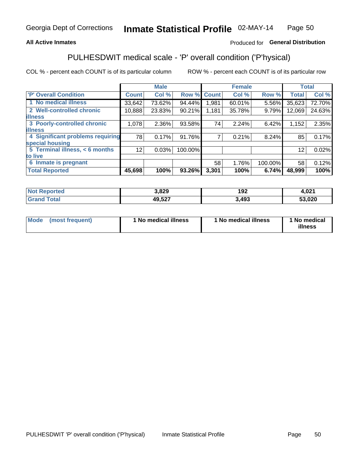#### **All Active Inmates**

### Produced for General Distribution

## PULHESDWIT medical scale - 'P' overall condition ('P'hysical)

COL % - percent each COUNT is of its particular column

|                                  |              | <b>Male</b> |         |              | <b>Female</b> |         |              | <b>Total</b> |
|----------------------------------|--------------|-------------|---------|--------------|---------------|---------|--------------|--------------|
| 'P' Overall Condition            | <b>Count</b> | Col %       | Row %   | <b>Count</b> | Col %         | Row %   | <b>Total</b> | Col %        |
| 1 No medical illness             | 33,642       | 73.62%      | 94.44%  | 1.981        | 60.01%        | 5.56%   | 35,623       | 72.70%       |
| 2 Well-controlled chronic        | 10,888       | 23.83%      | 90.21%  | 1,181        | 35.78%        | 9.79%   | 12,069       | 24.63%       |
| <b>illness</b>                   |              |             |         |              |               |         |              |              |
| 3 Poorly-controlled chronic      | 1,078        | $2.36\%$    | 93.58%  | 74           | 2.24%         | 6.42%   | 1,152        | 2.35%        |
| <b>illness</b>                   |              |             |         |              |               |         |              |              |
| 4 Significant problems requiring | 78           | 0.17%       | 91.76%  |              | 0.21%         | 8.24%   | 85           | 0.17%        |
| special housing                  |              |             |         |              |               |         |              |              |
| 5 Terminal illness, < 6 months   | 12           | 0.03%       | 100.00% |              |               |         | 12           | 0.02%        |
| to live                          |              |             |         |              |               |         |              |              |
| 6 Inmate is pregnant             |              |             |         | 58           | 1.76%         | 100.00% | 58           | 0.12%        |
| <b>Total Reported</b>            | 45,698       | 100%        | 93.26%  | 3,301        | 100%          | 6.74%   | 48,999       | 100%         |

| тео | 3,829  | 102<br>I JŁ  | 004<br>H,VZ I |
|-----|--------|--------------|---------------|
|     | 49527  | $49^{\circ}$ | $\sim$        |
|     | $-22.$ | 493          | -^            |

| Mode | (most frequent) | 1 No medical illness | 1 No medical illness | 1 No medical<br>illness |
|------|-----------------|----------------------|----------------------|-------------------------|
|------|-----------------|----------------------|----------------------|-------------------------|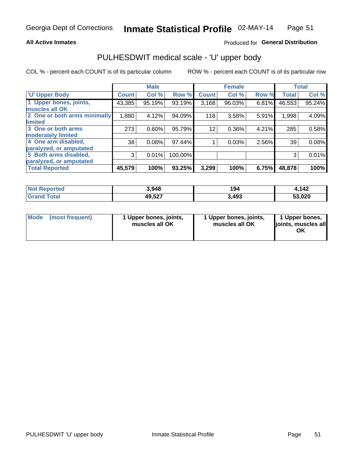#### **All Active Inmates**

### Produced for General Distribution

# PULHESDWIT medical scale - 'U' upper body

COL % - percent each COUNT is of its particular column

|                              |              | <b>Male</b> |         |              | <b>Female</b> |       |              | <b>Total</b> |
|------------------------------|--------------|-------------|---------|--------------|---------------|-------|--------------|--------------|
| <b>U' Upper Body</b>         | <b>Count</b> | Col %       | Row %   | <b>Count</b> | Col %         | Row % | <b>Total</b> | Col %        |
| 1 Upper bones, joints,       | 43,385       | 95.19%      | 93.19%  | 3,168        | 96.03%        | 6.81% | 46,553       | 95.24%       |
| muscles all OK               |              |             |         |              |               |       |              |              |
| 2 One or both arms minimally | 1,880        | 4.12%       | 94.09%  | 118          | 3.58%         | 5.91% | 1,998        | 4.09%        |
| limited                      |              |             |         |              |               |       |              |              |
| 3 One or both arms           | 273          | 0.60%       | 95.79%  | 12           | 0.36%         | 4.21% | 285          | 0.58%        |
| <b>moderately limited</b>    |              |             |         |              |               |       |              |              |
| 4 One arm disabled,          | 38           | 0.08%       | 97.44%  |              | 0.03%         | 2.56% | 39           | 0.08%        |
| paralyzed, or amputated      |              |             |         |              |               |       |              |              |
| 5 Both arms disabled,        | 3            | 0.01%       | 100.00% |              |               |       | 3            | 0.01%        |
| paralyzed, or amputated      |              |             |         |              |               |       |              |              |
| <b>Total Reported</b>        | 45,579       | 100%        | 93.25%  | 3,299        | 100%          | 6.75% | 48,878       | 100%         |

| <b>Not Reported</b>          | 3,948  | 194   | l.142  |
|------------------------------|--------|-------|--------|
| <b>Total</b><br><b>Grand</b> | 49,527 | 3,493 | 53,020 |

| Mode (most frequent) | 1 Upper bones, joints,<br>muscles all OK | 1 Upper bones, joints,<br>muscles all OK | 1 Upper bones,<br>joints, muscles all<br>ΟK |
|----------------------|------------------------------------------|------------------------------------------|---------------------------------------------|
|----------------------|------------------------------------------|------------------------------------------|---------------------------------------------|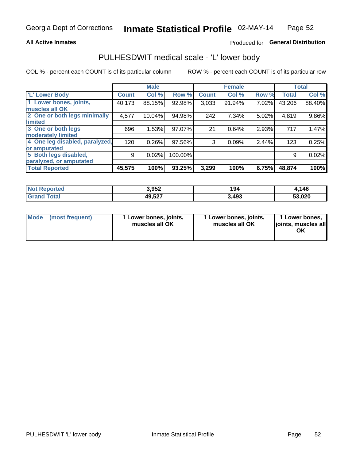#### **All Active Inmates**

#### Produced for General Distribution

### PULHESDWIT medical scale - 'L' lower body

COL % - percent each COUNT is of its particular column

|                                |              | <b>Male</b> |         |              | <b>Female</b> |       |              | <b>Total</b> |
|--------------------------------|--------------|-------------|---------|--------------|---------------|-------|--------------|--------------|
| 'L' Lower Body                 | <b>Count</b> | Col %       | Row %   | <b>Count</b> | Col %         | Row % | <b>Total</b> | Col %        |
| 1 Lower bones, joints,         | 40,173       | 88.15%      | 92.98%  | 3,033        | 91.94%        | 7.02% | 43,206       | 88.40%       |
| muscles all OK                 |              |             |         |              |               |       |              |              |
| 2 One or both legs minimally   | 4,577        | 10.04%      | 94.98%  | 242          | 7.34%         | 5.02% | 4,819        | 9.86%        |
| limited                        |              |             |         |              |               |       |              |              |
| 3 One or both legs             | 696          | 1.53%       | 97.07%  | 21           | 0.64%         | 2.93% | 717          | 1.47%        |
| moderately limited             |              |             |         |              |               |       |              |              |
| 4 One leg disabled, paralyzed, | 120          | 0.26%       | 97.56%  | 3            | 0.09%         | 2.44% | 123          | 0.25%        |
| or amputated                   |              |             |         |              |               |       |              |              |
| 5 Both legs disabled,          | 9            | 0.02%       | 100.00% |              |               |       | 9            | 0.02%        |
| paralyzed, or amputated        |              |             |         |              |               |       |              |              |
| <b>Total Reported</b>          | 45,575       | 100%        | 93.25%  | 3,299        | 100%          | 6.75% | 48,874       | 100%         |

| <b>Not Reported</b>   | 3,952  | 194   | .146،  |
|-----------------------|--------|-------|--------|
| <b>Total</b><br>Grand | 49,527 | 3,493 | 53,020 |

|  | Mode (most frequent) | 1 Lower bones, joints,<br>muscles all OK | 1 Lower bones, joints,<br>muscles all OK | 1 Lower bones,<br>joints, muscles all<br>ΟK |
|--|----------------------|------------------------------------------|------------------------------------------|---------------------------------------------|
|--|----------------------|------------------------------------------|------------------------------------------|---------------------------------------------|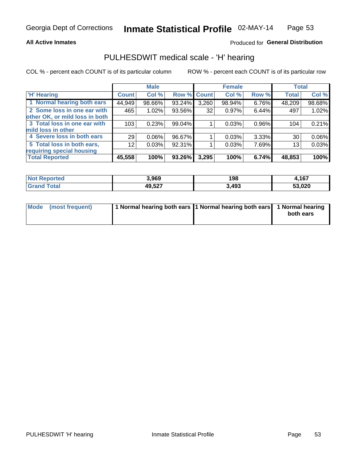#### **All Active Inmates**

### Produced for General Distribution

### PULHESDWIT medical scale - 'H' hearing

COL % - percent each COUNT is of its particular column

|                                |              | <b>Male</b> |             |       | <b>Female</b> |       | <b>Total</b> |        |
|--------------------------------|--------------|-------------|-------------|-------|---------------|-------|--------------|--------|
| <b>H' Hearing</b>              | <b>Count</b> | Col %       | Row % Count |       | Col %         | Row % | <b>Total</b> | Col %  |
| 1 Normal hearing both ears     | 44,949       | 98.66%      | 93.24%      | 3,260 | 98.94%        | 6.76% | 48,209       | 98.68% |
| 2 Some loss in one ear with    | 465          | 1.02%       | 93.56%      | 32    | 0.97%         | 6.44% | 497          | 1.02%  |
| other OK, or mild loss in both |              |             |             |       |               |       |              |        |
| 3 Total loss in one ear with   | 103          | 0.23%       | 99.04%      |       | 0.03%         | 0.96% | 104          | 0.21%  |
| mild loss in other             |              |             |             |       |               |       |              |        |
| 4 Severe loss in both ears     | 29           | $0.06\%$    | 96.67%      |       | 0.03%         | 3.33% | 30           | 0.06%  |
| 5 Total loss in both ears,     | 12           | 0.03%       | 92.31%      |       | 0.03%         | 7.69% | 13           | 0.03%  |
| requiring special housing      |              |             |             |       |               |       |              |        |
| <b>Total Reported</b>          | 45,558       | 100%        | $93.26\%$   | 3,295 | 100%          | 6.74% | 48,853       | 100%   |

| <b>Not Reno</b><br>ਾ∩rted | 3,969  | 198  | 167<br>101 |
|---------------------------|--------|------|------------|
| Total                     | 49,527 | ,493 | 53,020     |

| Mode (most frequent) | 1 Normal hearing both ears 11 Normal hearing both ears 1 Normal hearing | both ears |
|----------------------|-------------------------------------------------------------------------|-----------|
|                      |                                                                         |           |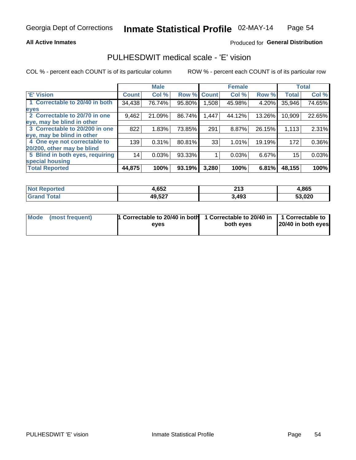#### **All Active Inmates**

#### Produced for General Distribution

### PULHESDWIT medical scale - 'E' vision

COL % - percent each COUNT is of its particular column

|                                 |              | <b>Male</b> |        |              | <b>Female</b> |        |              | <b>Total</b> |
|---------------------------------|--------------|-------------|--------|--------------|---------------|--------|--------------|--------------|
| 'E' Vision                      | <b>Count</b> | Col %       | Row %  | <b>Count</b> | Col %         | Row %  | <b>Total</b> | Col %        |
| 1 Correctable to 20/40 in both  | 34,438       | 76.74%      | 95.80% | ا 508.       | 45.98%        | 4.20%  | 35,946       | 74.65%       |
| eyes                            |              |             |        |              |               |        |              |              |
| 2 Correctable to 20/70 in one   | 9,462        | 21.09%      | 86.74% | 1,447        | 44.12%        | 13.26% | 10,909       | 22.65%       |
| eye, may be blind in other      |              |             |        |              |               |        |              |              |
| 3 Correctable to 20/200 in one  | 822          | 1.83%       | 73.85% | 291          | 8.87%         | 26.15% | 1,113        | 2.31%        |
| eye, may be blind in other      |              |             |        |              |               |        |              |              |
| 4 One eye not correctable to    | 139          | 0.31%       | 80.81% | 33           | 1.01%         | 19.19% | 172          | 0.36%        |
| 20/200, other may be blind      |              |             |        |              |               |        |              |              |
| 5 Blind in both eyes, requiring | 14           | 0.03%       | 93.33% |              | 0.03%         | 6.67%  | 15           | 0.03%        |
| special housing                 |              |             |        |              |               |        |              |              |
| <b>Total Reported</b>           | 44,875       | 100%        | 93.19% | 3,280        | 100%          | 6.81%  | 48,155       | 100%         |

| <b>Not Reported</b> | 4,652  | 245<br>4 I J<br>____ | 4,865  |
|---------------------|--------|----------------------|--------|
| ⊺ota                | 49,527 | 3,493                | 53,020 |

| Mode (most frequent) | 1 Correctable to 20/40 in both<br>eves | 1 Correctable to 20/40 in   1 Correctable to  <br>both eves | 20/40 in both eyes |
|----------------------|----------------------------------------|-------------------------------------------------------------|--------------------|
|                      |                                        |                                                             |                    |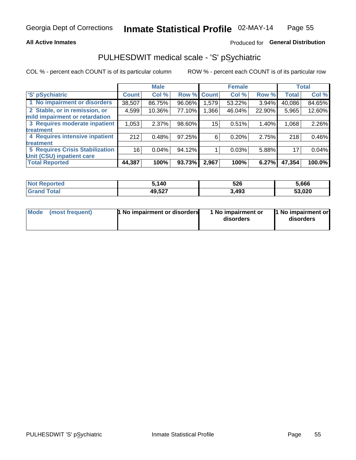#### **All Active Inmates**

### Produced for General Distribution

## PULHESDWIT medical scale - 'S' pSychiatric

COL % - percent each COUNT is of its particular column

|                                        |              | <b>Male</b> |        |              | <b>Female</b> |        |              | <b>Total</b> |
|----------------------------------------|--------------|-------------|--------|--------------|---------------|--------|--------------|--------------|
| 'S' pSychiatric                        | <b>Count</b> | Col %       | Row %  | <b>Count</b> | Col %         | Row %  | <b>Total</b> | Col %        |
| 1 No impairment or disorders           | 38,507       | 86.75%      | 96.06% | 1,579        | 53.22%        | 3.94%  | 40,086       | 84.65%       |
| 2 Stable, or in remission, or          | 4,599        | 10.36%      | 77.10% | 1,366        | 46.04%        | 22.90% | 5,965        | 12.60%       |
| mild impairment or retardation         |              |             |        |              |               |        |              |              |
| 3 Requires moderate inpatient          | 1,053        | 2.37%       | 98.60% | 15           | 0.51%         | 1.40%  | 1,068        | 2.26%        |
| treatment                              |              |             |        |              |               |        |              |              |
| 4 Requires intensive inpatient         | 212          | 0.48%       | 97.25% | 6            | 0.20%         | 2.75%  | 218          | 0.46%        |
| treatment                              |              |             |        |              |               |        |              |              |
| <b>5 Requires Crisis Stabilization</b> | 16           | 0.04%       | 94.12% |              | 0.03%         | 5.88%  | 17           | 0.04%        |
| Unit (CSU) inpatient care              |              |             |        |              |               |        |              |              |
| <b>Total Reported</b>                  | 44,387       | 100%        | 93.73% | 2,967        | 100%          | 6.27%  | 47,354       | 100.0%       |

| <b>Not Reported</b>   | , 140  | 526   | 5,666  |
|-----------------------|--------|-------|--------|
| Total<br><b>Grand</b> | 49,527 | 3,493 | 53,020 |

| Mode<br>1 No impairment or disorders<br>(most frequent) | 1 No impairment or<br>disorders | 1 No impairment or<br>disorders |
|---------------------------------------------------------|---------------------------------|---------------------------------|
|---------------------------------------------------------|---------------------------------|---------------------------------|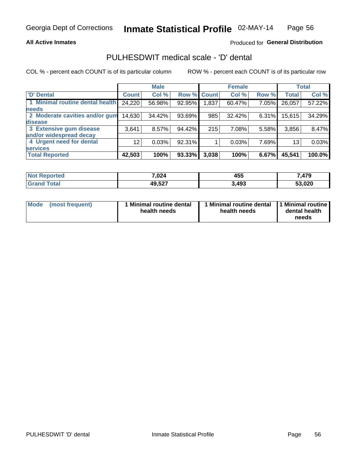#### **All Active Inmates**

#### Produced for General Distribution

## PULHESDWIT medical scale - 'D' dental

COL % - percent each COUNT is of its particular column

|                                 |              | <b>Male</b> |        |             | <b>Female</b> |          |              | <b>Total</b> |
|---------------------------------|--------------|-------------|--------|-------------|---------------|----------|--------------|--------------|
| <b>D'</b> Dental                | <b>Count</b> | Col %       |        | Row % Count | Col %         | Row %    | <b>Total</b> | Col %        |
| 1 Minimal routine dental health | 24,220       | 56.98%      | 92.95% | 1,837       | 60.47%        | $7.05\%$ | 26,057       | 57.22%       |
| <b>needs</b>                    |              |             |        |             |               |          |              |              |
| 2 Moderate cavities and/or gum  | 14,630       | 34.42%      | 93.69% | 985         | 32.42%        | $6.31\%$ | 15,615       | 34.29%       |
| disease                         |              |             |        |             |               |          |              |              |
| 3 Extensive gum disease         | 3,641        | 8.57%       | 94.42% | 215         | 7.08%         | 5.58%    | 3,856        | 8.47%        |
| and/or widespread decay         |              |             |        |             |               |          |              |              |
| 4 Urgent need for dental        | 12           | 0.03%       | 92.31% |             | 0.03%         | 7.69%    | 13           | 0.03%        |
| <b>services</b>                 |              |             |        |             |               |          |              |              |
| <b>Total Reported</b>           | 42,503       | 100%        | 93.33% | 3,038       | 100%          | 6.67%    | 45,541       | 100.0%       |

| <b>Not Renc</b><br><b>orted</b> | 7,024  | 455   | A7C<br>л.<br>, <del>,</del> , , , |
|---------------------------------|--------|-------|-----------------------------------|
| <b>Total</b>                    | 49,527 | 3,493 | 53,020                            |

| <b>Mode</b> | (most frequent) | <b>Minimal routine dental</b><br>health needs | 1 Minimal routine dental   1 Minimal routine  <br>health needs | dental health<br>needs |
|-------------|-----------------|-----------------------------------------------|----------------------------------------------------------------|------------------------|
|-------------|-----------------|-----------------------------------------------|----------------------------------------------------------------|------------------------|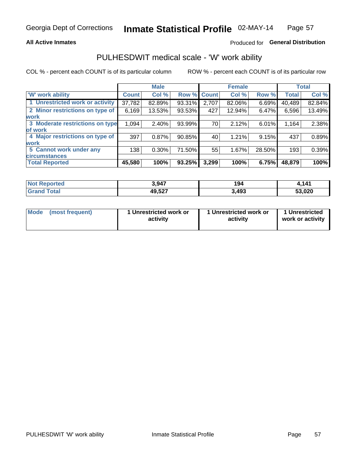#### **All Active Inmates**

### Produced for General Distribution

### PULHESDWIT medical scale - 'W' work ability

COL % - percent each COUNT is of its particular column

|                                 |              | <b>Male</b> |        |             | <b>Female</b> |        |              | <b>Total</b> |
|---------------------------------|--------------|-------------|--------|-------------|---------------|--------|--------------|--------------|
| <b>W' work ability</b>          | <b>Count</b> | Col %       |        | Row % Count | Col %         | Row %  | <b>Total</b> | Col %        |
| 1 Unrestricted work or activity | 37,782       | 82.89%      | 93.31% | 2,707       | 82.06%        | 6.69%  | 40,489       | 82.84%       |
| 2 Minor restrictions on type of | 6,169        | 13.53%      | 93.53% | 427         | 12.94%        | 6.47%  | 6,596        | 13.49%       |
| <b>work</b>                     |              |             |        |             |               |        |              |              |
| 3 Moderate restrictions on type | 1,094        | 2.40%       | 93.99% | 70          | 2.12%         | 6.01%  | 1,164        | 2.38%        |
| lof work                        |              |             |        |             |               |        |              |              |
| 4 Major restrictions on type of | 397          | 0.87%       | 90.85% | 40          | 1.21%         | 9.15%  | 437          | 0.89%        |
| <b>work</b>                     |              |             |        |             |               |        |              |              |
| 5 Cannot work under any         | 138          | 0.30%       | 71.50% | 55          | 1.67%         | 28.50% | 193          | 0.39%        |
| <b>circumstances</b>            |              |             |        |             |               |        |              |              |
| <b>Total Reported</b>           | 45,580       | 100%        | 93.25% | 3,299       | 100%          | 6.75%  | 48,879       | 100%         |

| <b>Not Reported</b>          | 3,947  | 194   | ,141   |
|------------------------------|--------|-------|--------|
| <b>Total</b><br><b>Grand</b> | 49,527 | 3,493 | 53,020 |

| Mode            | 1 Unrestricted work or | 1 Unrestricted work or | 1 Unrestricted   |
|-----------------|------------------------|------------------------|------------------|
| (most frequent) | activity               | activity               | work or activity |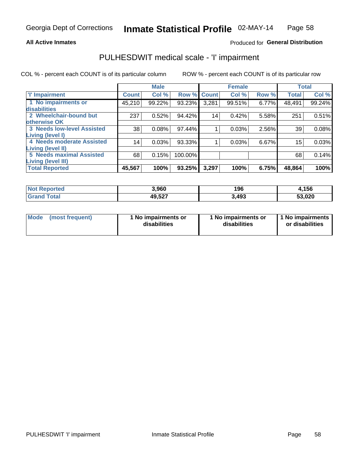#### **All Active Inmates**

#### Produced for General Distribution

### PULHESDWIT medical scale - 'I' impairment

COL % - percent each COUNT is of its particular column ROW % - percent each COUNT is of its particular row

**Female Male Total**  $Col%$ 'l' Impairment Col % Row % **Count** Col % Row % **Count Total** 1 No impairments or 45,210 99.22% 93.23%  $3,281$ 99.51% 6.77% 48,491 99.24% disabilities 2 Wheelchair-bound but  $237$  $0.52%$ 94.42%  $\overline{14}$  $0.42%$ 5.58%  $251$  $0.51%$ otherwise OK **3 Needs low-level Assisted**  $\overline{38}$ 97.44% 0.08%  $1$  $0.03%$ 2.56% 39 0.08% **Living (level I)** 4 Needs moderate Assisted  $|14|$  $0.03%$ 93.33% 0.03% 6.67%  $\mathbf{1}$  $15$ 0.03% Living (level II) **5 Needs maximal Assisted**  $68$  $0.15%$ 100.00% 68  $0.14%$ Living (level III) **Total Reported** 45,567 100% 93.25%  $3,297$ 100%  $6.75%$ 48,864 100%

| <b>No</b><br><b>ported</b> | 3,960  | 196   | ,156              |
|----------------------------|--------|-------|-------------------|
| ota.                       | 49,527 | 3,493 | ,020<br><b>ro</b> |

| Mode            | 1 No impairments or | 1 No impairments or | 1 No impairments |
|-----------------|---------------------|---------------------|------------------|
| (most frequent) | disabilities        | disabilities        | or disabilities  |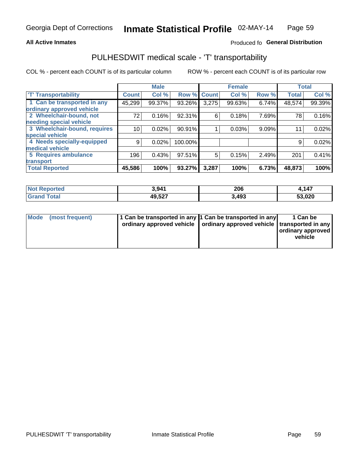#### **All Active Inmates**

### Produced fo General Distribution

### PULHESDWIT medical scale - 'T' transportability

COL % - percent each COUNT is of its particular column

|                              |                    | <b>Male</b> |         |              | <b>Female</b> |       |              | <b>Total</b> |
|------------------------------|--------------------|-------------|---------|--------------|---------------|-------|--------------|--------------|
| <b>T' Transportability</b>   | Count <sup>!</sup> | Col %       | Row %   | <b>Count</b> | Col %         | Row % | <b>Total</b> | Col %        |
| 1 Can be transported in any  | 45,299             | 99.37%      | 93.26%  | 3,275        | 99.63%        | 6.74% | 48,574       | 99.39%       |
| ordinary approved vehicle    |                    |             |         |              |               |       |              |              |
| 2 Wheelchair-bound, not      | 72                 | 0.16%       | 92.31%  | 6            | 0.18%         | 7.69% | 78           | 0.16%        |
| needing special vehicle      |                    |             |         |              |               |       |              |              |
| 3 Wheelchair-bound, requires | 10                 | 0.02%       | 90.91%  |              | 0.03%         | 9.09% | 11           | 0.02%        |
| special vehicle              |                    |             |         |              |               |       |              |              |
| 4 Needs specially-equipped   | 9                  | 0.02%       | 100.00% |              |               |       | 9            | 0.02%        |
| medical vehicle              |                    |             |         |              |               |       |              |              |
| <b>5 Requires ambulance</b>  | 196                | 0.43%       | 97.51%  | 5            | 0.15%         | 2.49% | 201          | 0.41%        |
| transport                    |                    |             |         |              |               |       |              |              |
| <b>Total Reported</b>        | 45,586             | 100%        | 93.27%  | 3,287        | 100%          | 6.73% | 48,873       | 100%         |

| enorted     | 3,941  | 206   | 147.ء  |
|-------------|--------|-------|--------|
| <b>otal</b> | 49,527 | 3,493 | 53,020 |

|  | Mode (most frequent) | 1 Can be transported in any 1 Can be transported in any<br>ordinary approved vehicle   ordinary approved vehicle   transported in any |  | 1 Can be<br>  ordinary approved  <br>vehicle |
|--|----------------------|---------------------------------------------------------------------------------------------------------------------------------------|--|----------------------------------------------|
|--|----------------------|---------------------------------------------------------------------------------------------------------------------------------------|--|----------------------------------------------|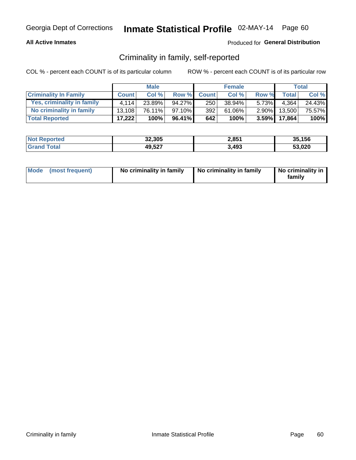#### **All Active Inmates**

### Produced for General Distribution

### Criminality in family, self-reported

COL % - percent each COUNT is of its particular column

|                              | <b>Male</b>  |           | <b>Female</b> |              |        | <b>Total</b> |              |         |
|------------------------------|--------------|-----------|---------------|--------------|--------|--------------|--------------|---------|
| <b>Criminality In Family</b> | <b>Count</b> | Col%      | Row %         | <b>Count</b> | Col %  | Row %        | <b>Total</b> | Col %   |
| Yes, criminality in family   | 4.114        | $23.89\%$ | 94.27%        | 250          | 38.94% | $5.73\%$     | 4.364        | 24.43%  |
| No criminality in family     | 13.108       | 76.11%    | $97.10\%$     | 392          | 61.06% | $2.90\%$     | 13,500       | 75.57%  |
| <b>Total Reported</b>        | 17,222       | 100%      | 96.41%        | 642          | 100%   |              | 3.59% 17,864 | $100\%$ |

| <b>Not Reported</b> | 32,305 | 2,851 | 35,156 |
|---------------------|--------|-------|--------|
| <b>i</b> otal       | 49,527 | 3,493 | 53,020 |

|  | Mode (most frequent) | No criminality in family | No criminality in family | No criminality in<br>family |
|--|----------------------|--------------------------|--------------------------|-----------------------------|
|--|----------------------|--------------------------|--------------------------|-----------------------------|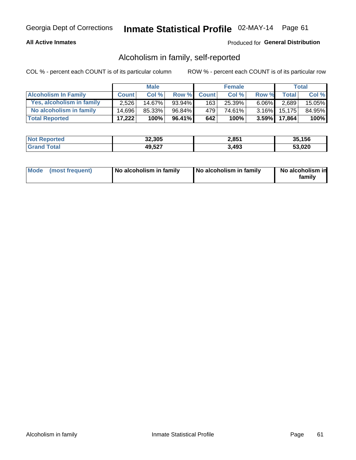#### **All Active Inmates**

#### Produced for General Distribution

### Alcoholism in family, self-reported

COL % - percent each COUNT is of its particular column

|                             | <b>Male</b>  |        | <b>Female</b> |              |        | Total    |              |         |
|-----------------------------|--------------|--------|---------------|--------------|--------|----------|--------------|---------|
| <b>Alcoholism In Family</b> | <b>Count</b> | Col%   | Row %         | <b>Count</b> | Col%   | Row %    | <b>Total</b> | Col %   |
| Yes, alcoholism in family   | 2.526        | 14.67% | 93.94%        | 163          | 25.39% | $6.06\%$ | 2,689        | 15.05%  |
| No alcoholism in family     | 14.696       | 85.33% | 96.84%        | 4791         | 74.61% | $3.16\%$ | 15,175       | 84.95%  |
| <b>Total Reported</b>       | 17,222       | 100%   | 96.41%        | 642          | 100%   |          | 3.59% 17,864 | $100\%$ |

| <b>Not Reported</b>      | 32,305 | 2,851 | 35.156 |
|--------------------------|--------|-------|--------|
| <b>∣Grand T</b><br>Total | 49,527 | 3,493 | 53,020 |

|  | Mode (most frequent) | No alcoholism in family | No alcoholism in family | No alcoholism in<br>family |
|--|----------------------|-------------------------|-------------------------|----------------------------|
|--|----------------------|-------------------------|-------------------------|----------------------------|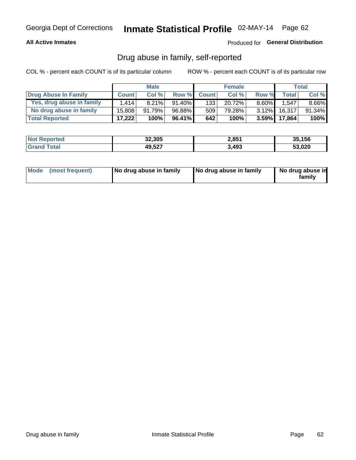#### **All Active Inmates**

#### Produced for General Distribution

### Drug abuse in family, self-reported

COL % - percent each COUNT is of its particular column

|                           | <b>Male</b>  |        | <b>Female</b> |                  |        | <b>Total</b> |              |          |
|---------------------------|--------------|--------|---------------|------------------|--------|--------------|--------------|----------|
| Drug Abuse In Family      | <b>Count</b> | Col%   | Row %         | <b>Count</b>     | Col%   | Row %        | Total        | Col %    |
| Yes, drug abuse in family | 1.414        | 8.21%  | $91.40\%$     | 133 <sup>1</sup> | 20.72% | $8.60\%$     | .547         | $8.66\%$ |
| No drug abuse in family   | 15.808       | 91.79% | 96.88%        | 509              | 79.28% | $3.12\%$     | 16,317       | 91.34%   |
| <b>Total Reported</b>     | 17,222       | 100%   | 96.41%        | 642              | 100%   |              | 3.59% 17,864 | $100\%$  |

| <b>Not Reported</b> | 32,305 | 2,851 | 35,156 |
|---------------------|--------|-------|--------|
| ota <sup>-</sup>    | 49,527 | 3,493 | 53,020 |

|  | Mode (most frequent) | No drug abuse in family | No drug abuse in family | No drug abuse in<br>familv |
|--|----------------------|-------------------------|-------------------------|----------------------------|
|--|----------------------|-------------------------|-------------------------|----------------------------|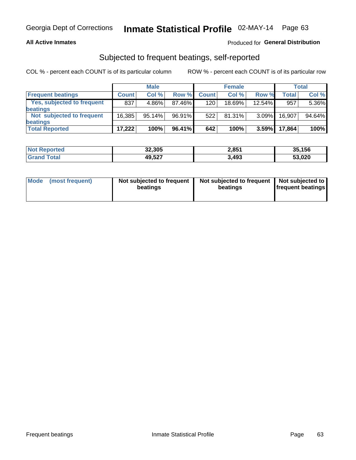#### **All Active Inmates**

### Produced for General Distribution

### Subjected to frequent beatings, self-reported

COL % - percent each COUNT is of its particular column

|                            |              | <b>Male</b> |        |              | <b>Female</b> |          |              | Total  |
|----------------------------|--------------|-------------|--------|--------------|---------------|----------|--------------|--------|
| <b>Frequent beatings</b>   | <b>Count</b> | Col %       | Row %  | <b>Count</b> | Col %         | Row %    | <b>Total</b> | Col %  |
| Yes, subjected to frequent | 837          | 4.86%       | 87.46% | 120          | 18.69%        | 12.54%   | 957          | 5.36%  |
| beatings                   |              |             |        |              |               |          |              |        |
| Not subjected to frequent  | 16.385       | 95.14%      | 96.91% | 522          | $81.31\%$     | $3.09\%$ | 16,907       | 94.64% |
| beatings                   |              |             |        |              |               |          |              |        |
| <b>Total Reported</b>      | 17,222       | 100%        | 96.41% | 642          | 100%          | 3.59%    | 17,864       | 100%   |

| <b>Not Reported</b> | 32,305 | 2,851 | 35,156 |
|---------------------|--------|-------|--------|
| <b>'Grand Total</b> | 49,527 | 3,493 | 53,020 |

| Mode (most frequent) | Not subjected to frequent<br>beatings | Not subjected to frequent<br>beatings | Not subjected to<br><b>frequent beatings</b> |
|----------------------|---------------------------------------|---------------------------------------|----------------------------------------------|
|                      |                                       |                                       |                                              |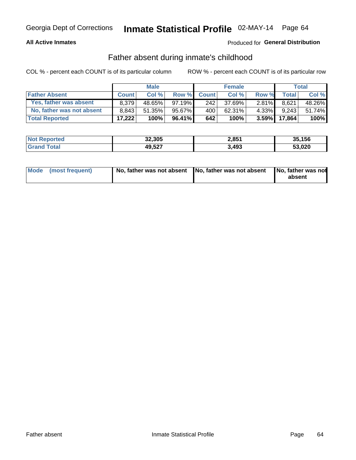#### **All Active Inmates**

### Produced for General Distribution

### Father absent during inmate's childhood

COL % - percent each COUNT is of its particular column

|                           | <b>Male</b>  |           | <b>Female</b> |                  |        | <b>Total</b> |        |        |
|---------------------------|--------------|-----------|---------------|------------------|--------|--------------|--------|--------|
| <b>Father Absent</b>      | <b>Count</b> | Col%      | Row %         | <b>Count</b>     | Col %  | Row %        | Total  | Col %  |
| Yes, father was absent    | 8.379        | 48.65%    | $97.19\%$     | 242 <sub>1</sub> | 37.69% | $2.81\%$     | 8,621  | 48.26% |
| No, father was not absent | 8.843        | $51.35\%$ | 95.67%        | 400              | 62.31% | 4.33%I       | 9.243  | 51.74% |
| <b>Total Reported</b>     | 17,222       | 100%      | $96.41\%$     | 642              | 100%   | $3.59\%$     | 17,864 | 100%   |

| <b>Not Reported</b> | 32,305 | 2,851 | 35,156 |
|---------------------|--------|-------|--------|
| <b>Grand Total</b>  | 49,527 | 3,493 | 53,020 |

| Mode (most frequent) |  | No, father was not absent No, father was not absent No, father was not | absent |
|----------------------|--|------------------------------------------------------------------------|--------|
|----------------------|--|------------------------------------------------------------------------|--------|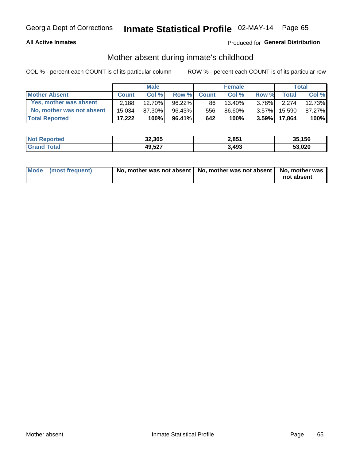#### **All Active Inmates**

### Produced for General Distribution

### Mother absent during inmate's childhood

COL % - percent each COUNT is of its particular column

|                           | <b>Male</b>  |        | <b>Female</b> |              |        | Total    |              |         |
|---------------------------|--------------|--------|---------------|--------------|--------|----------|--------------|---------|
| <b>Mother Absent</b>      | <b>Count</b> | Col%   | Row %         | <b>Count</b> | Col %  | Row %    | <b>Total</b> | Col %   |
| Yes, mother was absent    | 2.188        | 12.70% | $96.22\%$     | 861          | 13.40% | $3.78\%$ | 2.274        | 12.73%  |
| No, mother was not absent | 15.034       | 87.30% | 96.43%        | 556          | 86.60% | $3.57\%$ | 15,590       | 87.27%  |
| <b>Total Reported</b>     | 17,222       | 100%   | 96.41%        | 642          | 100%   | $3.59\%$ | 17,864       | $100\%$ |

| <b>Not Reported</b> | 32,305 | 2,851 | 35,156 |
|---------------------|--------|-------|--------|
| ⊺ota                | 49,527 | 3,493 | 53,020 |

| Mode (most frequent) | No, mother was not absent   No, mother was not absent   No, mother was | not absent |
|----------------------|------------------------------------------------------------------------|------------|
|                      |                                                                        |            |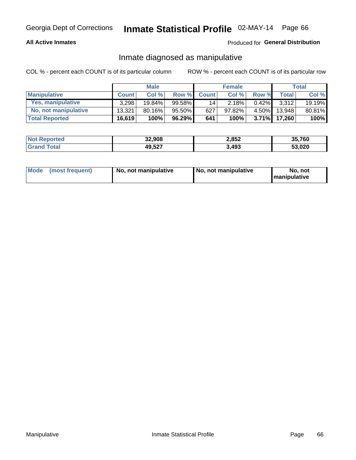#### **All Active Inmates**

### Produced for General Distribution

### Inmate diagnosed as manipulative

COL % - percent each COUNT is of its particular column

|                       | <b>Male</b>  |           |           | <b>Female</b> |        |          | Total  |        |
|-----------------------|--------------|-----------|-----------|---------------|--------|----------|--------|--------|
| <b>Manipulative</b>   | <b>Count</b> | Col%      | Row %     | <b>Count</b>  | Col%   | Row %    | Total  | Col %  |
| Yes, manipulative     | 3,298        | $19.84\%$ | $99.58\%$ | 14            | 2.18%  | $0.42\%$ | 3.312  | 19.19% |
| No, not manipulative  | 13.321       | 80.16%    | 95.50%    | 627           | 97.82% | $4.50\%$ | 13.948 | 80.81% |
| <b>Total Reported</b> | 16,619       | 100%      | 96.29%    | 641           | 100%   | $3.71\%$ | 17.260 | 100%   |

| <b>Not</b> | 32,908 | 2,852 | 35,760 |
|------------|--------|-------|--------|
| nta        | 49,527 | 3,493 | 53,020 |

|  | Mode (most frequent) | No, not manipulative | , No, not manipulative | No. not<br><b>I</b> manipulative |
|--|----------------------|----------------------|------------------------|----------------------------------|
|--|----------------------|----------------------|------------------------|----------------------------------|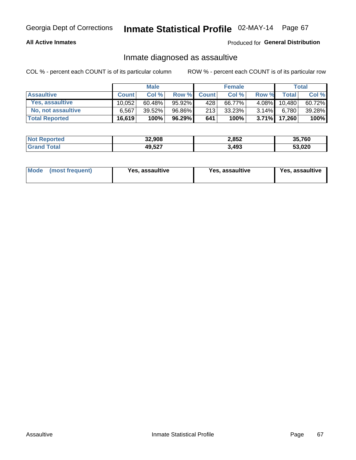#### **All Active Inmates**

Produced for General Distribution

### Inmate diagnosed as assaultive

COL % - percent each COUNT is of its particular column

|                       | <b>Male</b>  |           |        | <b>Female</b> |        |          | Total        |        |
|-----------------------|--------------|-----------|--------|---------------|--------|----------|--------------|--------|
| <b>Assaultive</b>     | <b>Count</b> | Col%      | Row %  | <b>Count</b>  | Col %  | Row %    | <b>Total</b> | Col %  |
| Yes, assaultive       | 10.052       | $60.48\%$ | 95.92% | 428           | 66.77% | $4.08\%$ | 10,480       | 60.72% |
| No, not assaultive    | 6.567        | $39.52\%$ | 96.86% | 213           | 33.23% | $3.14\%$ | 6,780        | 39.28% |
| <b>Total Reported</b> | 16,619       | 100%      | 96.29% | 641           | 100%   |          | 3.71% 17,260 | 100%   |

| <b>Not Reported</b> | 32,908 | 2,852 | 35,760 |
|---------------------|--------|-------|--------|
| `ota                | 49,527 | 3,493 | 53,020 |

| Mode<br>(most frequent) | Yes, assaultive | Yes, assaultive | <b>Yes, assaultive</b> |
|-------------------------|-----------------|-----------------|------------------------|
|-------------------------|-----------------|-----------------|------------------------|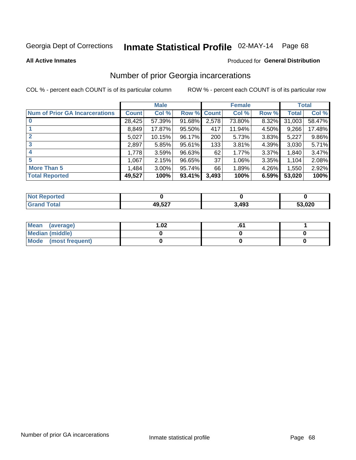# Inmate Statistical Profile 02-MAY-14 Page 68

**All Active Inmates** 

#### **Produced for General Distribution**

### Number of prior Georgia incarcerations

COL % - percent each COUNT is of its particular column

|                                       | <b>Male</b>  |          |                    | <b>Female</b> |        |       | <b>Total</b> |        |
|---------------------------------------|--------------|----------|--------------------|---------------|--------|-------|--------------|--------|
| <b>Num of Prior GA Incarcerations</b> | <b>Count</b> | Col %    | <b>Row % Count</b> |               | Col %  | Row % | Total        | Col %  |
| $\bf{0}$                              | 28,425       | 57.39%   | 91.68%             | 2,578         | 73.80% | 8.32% | 31,003       | 58.47% |
|                                       | 8,849        | 17.87%   | 95.50%             | 417           | 11.94% | 4.50% | 9,266        | 17.48% |
| $\mathbf{2}$                          | 5,027        | 10.15%   | 96.17%             | 200           | 5.73%  | 3.83% | 5,227        | 9.86%  |
| 3                                     | 2,897        | 5.85%    | 95.61%             | 133           | 3.81%  | 4.39% | 3,030        | 5.71%  |
| 4                                     | 1,778        | 3.59%    | 96.63%             | 62            | 1.77%  | 3.37% | 1,840        | 3.47%  |
| 5                                     | 1,067        | 2.15%    | 96.65%             | 37            | 1.06%  | 3.35% | 1,104        | 2.08%  |
| <b>More Than 5</b>                    | 1,484        | $3.00\%$ | 95.74%             | 66            | 1.89%  | 4.26% | 1,550        | 2.92%  |
| <b>Total Reported</b>                 | 49,527       | 100%     | 93.41%             | 3,493         | 100%   | 6.59% | 53,020       | 100%   |

| <b>Not</b><br>Reported         |        |       |        |
|--------------------------------|--------|-------|--------|
| <b>Total</b><br><b>'</b> Gran∟ | 49,527 | 3,493 | 53,020 |

| Mean (average)       | $\overline{.02}$ |  |
|----------------------|------------------|--|
| Median (middle)      |                  |  |
| Mode (most frequent) |                  |  |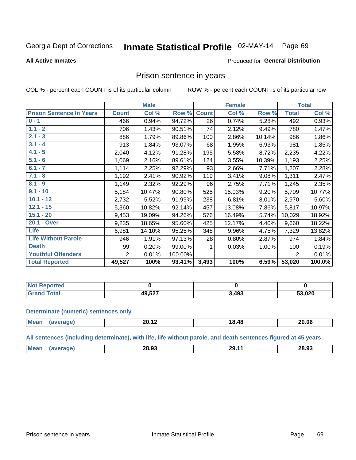# Inmate Statistical Profile 02-MAY-14 Page 69

#### **All Active Inmates**

#### Produced for General Distribution

### Prison sentence in years

COL % - percent each COUNT is of its particular column

ROW % - percent each COUNT is of its particular row

|                                 |              | <b>Male</b> |         |              | <b>Female</b> |        |                | <b>Total</b> |
|---------------------------------|--------------|-------------|---------|--------------|---------------|--------|----------------|--------------|
| <b>Prison Sentence In Years</b> | <b>Count</b> | Col %       | Row %   | <b>Count</b> | Col %         | Row %  | <b>Total</b>   | Col %        |
| $0 - 1$                         | 466          | 0.94%       | 94.72%  | 26           | 0.74%         | 5.28%  | 492            | 0.93%        |
| $1.1 - 2$                       | 706          | 1.43%       | 90.51%  | 74           | 2.12%         | 9.49%  | 780            | 1.47%        |
| $2.1 - 3$                       | 886          | 1.79%       | 89.86%  | 100          | 2.86%         | 10.14% | 986            | 1.86%        |
| $3.1 - 4$                       | 913          | 1.84%       | 93.07%  | 68           | 1.95%         | 6.93%  | 981            | 1.85%        |
| $4.1 - 5$                       | 2,040        | 4.12%       | 91.28%  | 195          | 5.58%         | 8.72%  | 2,235          | 4.22%        |
| $5.1 - 6$                       | 1,069        | 2.16%       | 89.61%  | 124          | 3.55%         | 10.39% | 1,193          | 2.25%        |
| $6.1 - 7$                       | 1,114        | 2.25%       | 92.29%  | 93           | 2.66%         | 7.71%  | 1,207          | 2.28%        |
| $7.1 - 8$                       | 1,192        | 2.41%       | 90.92%  | 119          | 3.41%         | 9.08%  | 1,311          | 2.47%        |
| $8.1 - 9$                       | 1,149        | 2.32%       | 92.29%  | 96           | 2.75%         | 7.71%  | 1,245          | 2.35%        |
| $9.1 - 10$                      | 5,184        | 10.47%      | 90.80%  | 525          | 15.03%        | 9.20%  | 5,709          | 10.77%       |
| $10.1 - 12$                     | 2,732        | 5.52%       | 91.99%  | 238          | 6.81%         | 8.01%  | 2,970          | 5.60%        |
| $12.1 - 15$                     | 5,360        | 10.82%      | 92.14%  | 457          | 13.08%        | 7.86%  | 5,817          | 10.97%       |
| $15.1 - 20$                     | 9,453        | 19.09%      | 94.26%  | 576          | 16.49%        | 5.74%  | 10,029         | 18.92%       |
| 20.1 - Over                     | 9,235        | 18.65%      | 95.60%  | 425          | 12.17%        | 4.40%  | 9,660          | 18.22%       |
| <b>Life</b>                     | 6,981        | 14.10%      | 95.25%  | 348          | 9.96%         | 4.75%  | 7,329          | 13.82%       |
| <b>Life Without Parole</b>      | 946          | 1.91%       | 97.13%  | 28           | 0.80%         | 2.87%  | 974            | 1.84%        |
| <b>Death</b>                    | 99           | 0.20%       | 99.00%  |              | 0.03%         | 1.00%  | 100            | 0.19%        |
| <b>Youthful Offenders</b>       | 2            | 0.01%       | 100.00% |              |               |        | $\overline{2}$ | 0.01%        |
| <b>Total Reported</b>           | 49,527       | 100%        | 93.41%  | 3,493        | 100%          | 6.59%  | 53,020         | 100.0%       |

| <b>Not Reported</b>     |        |                   |        |
|-------------------------|--------|-------------------|--------|
| $\sim$<br>$CT^{\prime}$ | דפה חו | 2.10 <sup>o</sup> | 53,020 |

#### **Determinate (numeric) sentences only**

| <b>Mear</b> | ZU. IZ | $\overline{AB}$<br>18.4٤ | 20.06 |
|-------------|--------|--------------------------|-------|
|             |        |                          |       |

All sentences (including determinate), with life, life without parole, and death sentences figured at 45 years

| Me<br>00.00<br>28.93<br>nn<br>'ч<br><br>-0.99<br>_____ |  |  |  |
|--------------------------------------------------------|--|--|--|
|                                                        |  |  |  |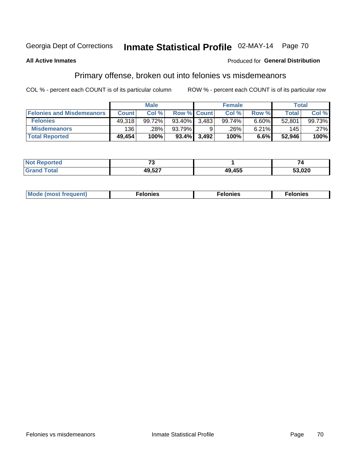# Inmate Statistical Profile 02-MAY-14 Page 70

#### **All Active Inmates**

### **Produced for General Distribution**

### Primary offense, broken out into felonies vs misdemeanors

COL % - percent each COUNT is of its particular column

|                                  | <b>Male</b>  |        |          | <b>Female</b>      |        |          | Total  |        |
|----------------------------------|--------------|--------|----------|--------------------|--------|----------|--------|--------|
| <b>Felonies and Misdemeanors</b> | <b>Count</b> | Col%   |          | <b>Row % Count</b> | Col%   | Row %    | Total, | Col %  |
| <b>Felonies</b>                  | 49,318       | 99.72% | 93.40%   | 3.483              | 99.74% | $6.60\%$ | 52,801 | 99.73% |
| <b>Misdemeanors</b>              | 136          | .28%   | 93.79%   |                    | .26%'  | 6.21%    | 145    | .27%   |
| <b>Total Reported</b>            | 49,454       | 100%   | $93.4\%$ | 3,492              | 100%   | 6.6%     | 52.946 | 100%   |

| <b>Not</b><br>rted<br>reno <sub>r</sub> | $\rightarrow$ |        | -      |
|-----------------------------------------|---------------|--------|--------|
| <b>Granc</b><br>™otaı                   | 10 527        | 49,455 | 53,020 |

| M      | .    | nes | onies |
|--------|------|-----|-------|
| nuenti | ____ | .   | .     |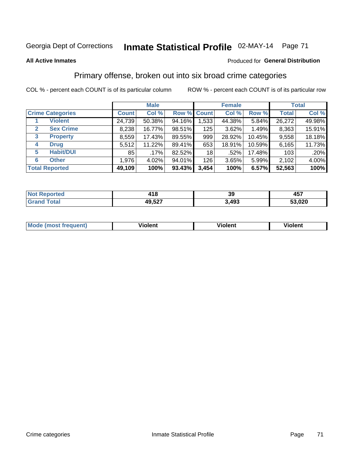## Georgia Dept of Corrections **Inmate Statistical Profile** 02-MAY-14 Page 71

#### **All Active Inmates**

#### Produced for **General Distribution**

### Primary offense, broken out into six broad crime categories

COL % - percent each COUNT is of its particular column ROW % - percent each COUNT is of its particular row

|                                 |              | <b>Male</b> |        |             | <b>Female</b> |        |              | <b>Total</b> |  |
|---------------------------------|--------------|-------------|--------|-------------|---------------|--------|--------------|--------------|--|
| <b>Crime Categories</b>         | <b>Count</b> | Col %       |        | Row % Count | Col %         | Row %  | <b>Total</b> | Col %        |  |
| <b>Violent</b>                  | 24,739       | 50.38%      | 94.16% | 1,533       | 44.38%        | 5.84%  | 26,272       | 49.98%       |  |
| <b>Sex Crime</b><br>2           | 8,238        | 16.77%      | 98.51% | 125         | 3.62%         | 1.49%  | 8,363        | 15.91%       |  |
| $\mathbf{3}$<br><b>Property</b> | 8,559        | 17.43%      | 89.55% | 999         | 28.92%        | 10.45% | 9,558        | 18.18%       |  |
| <b>Drug</b><br>4                | 5,512        | 11.22%      | 89.41% | 653         | 18.91%        | 10.59% | 6,165        | 11.73%       |  |
| <b>Habit/DUI</b><br>5           | 85           | $.17\%$     | 82.52% | 18          | .52%          | 17.48% | 103          | .20%         |  |
| <b>Other</b><br>6               | 1,976        | 4.02%       | 94.01% | 126         | 3.65%         | 5.99%  | 2,102        | 4.00%        |  |
| <b>Total Reported</b>           | 49,109       | 100%        | 93.43% | 3,454       | 100%          | 6.57%  | 52,563       | 100%         |  |

| rtea<br>NO | 118    | 39                | <b>A57</b><br>491 |
|------------|--------|-------------------|-------------------|
|            | 49,527 | <b>103</b><br>495 | 53.020            |

| <b>Mode (most frequent)</b> | .<br><b>iolent</b> | 'iolent | ---<br>Violent |
|-----------------------------|--------------------|---------|----------------|
|                             |                    |         |                |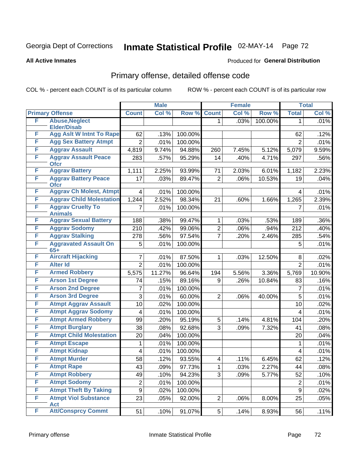## Georgia Dept of Corrections **Inmate Statistical Profile** 02-MAY-14 Page 72

#### **All Active Inmates**

#### Produced for **General Distribution**

## Primary offense, detailed offense code

COL % - percent each COUNT is of its particular column ROW % - percent each COUNT is of its particular row

|   |                                            |                  | <b>Male</b> |         |                | <b>Female</b> |         |                | <b>Total</b> |
|---|--------------------------------------------|------------------|-------------|---------|----------------|---------------|---------|----------------|--------------|
|   | <b>Primary Offense</b>                     | <b>Count</b>     | Col %       | Row %   | <b>Count</b>   | Col %         | Row %   | <b>Total</b>   | Col %        |
| F | <b>Abuse, Neglect</b>                      |                  |             |         | 1              | .03%          | 100.00% | 1              | .01%         |
|   | <b>Elder/Disab</b>                         |                  |             |         |                |               |         |                |              |
| F | <b>Agg Aslt W Intnt To Rape</b>            | 62               | .13%        | 100.00% |                |               |         | 62             | .12%         |
| F | <b>Agg Sex Battery Atmpt</b>               | $\overline{2}$   | .01%        | 100.00% |                |               |         | $\overline{2}$ | .01%         |
| F | <b>Aggrav Assault</b>                      | 4,819            | 9.74%       | 94.88%  | 260            | 7.45%         | 5.12%   | 5,079          | 9.59%        |
| F | <b>Aggrav Assault Peace</b><br><b>Ofcr</b> | 283              | .57%        | 95.29%  | 14             | .40%          | 4.71%   | 297            | .56%         |
| F | <b>Aggrav Battery</b>                      | 1,111            | 2.25%       | 93.99%  | 71             | 2.03%         | 6.01%   | 1,182          | 2.23%        |
| F | <b>Aggrav Battery Peace</b><br><b>Ofcr</b> | 17               | .03%        | 89.47%  | $\overline{2}$ | .06%          | 10.53%  | 19             | .04%         |
| F | <b>Aggrav Ch Molest, Atmpt</b>             | $\overline{4}$   | .01%        | 100.00% |                |               |         | 4              | .01%         |
| F | <b>Aggrav Child Molestation</b>            | 1,244            | 2.52%       | 98.34%  | 21             | .60%          | 1.66%   | 1,265          | 2.39%        |
| F | <b>Aggrav Cruelty To</b><br><b>Animals</b> | 7                | .01%        | 100.00% |                |               |         | 7              | .01%         |
| F | <b>Aggrav Sexual Battery</b>               | 188              | .38%        | 99.47%  | 1              | .03%          | .53%    | 189            | .36%         |
| F | <b>Aggrav Sodomy</b>                       | 210              | .42%        | 99.06%  | $\overline{2}$ | .06%          | .94%    | 212            | .40%         |
| F | <b>Aggrav Stalking</b>                     | 278              | .56%        | 97.54%  | $\overline{7}$ | .20%          | 2.46%   | 285            | .54%         |
| F | <b>Aggravated Assault On</b><br>$65+$      | 5                | .01%        | 100.00% |                |               |         | 5              | .01%         |
| F | <b>Aircraft Hijacking</b>                  | $\overline{7}$   | .01%        | 87.50%  | 1              | .03%          | 12.50%  | 8              | .02%         |
| F | <b>Alter Id</b>                            | $\overline{2}$   | .01%        | 100.00% |                |               |         | $\overline{2}$ | .01%         |
| F | <b>Armed Robbery</b>                       | 5,575            | 11.27%      | 96.64%  | 194            | 5.56%         | 3.36%   | 5,769          | 10.90%       |
| F | <b>Arson 1st Degree</b>                    | 74               | .15%        | 89.16%  | 9              | .26%          | 10.84%  | 83             | .16%         |
| F | <b>Arson 2nd Degree</b>                    | 7                | .01%        | 100.00% |                |               |         | 7              | .01%         |
| F | <b>Arson 3rd Degree</b>                    | 3                | .01%        | 60.00%  | $\overline{2}$ | .06%          | 40.00%  | 5              | .01%         |
| F | <b>Atmpt Aggrav Assault</b>                | 10               | .02%        | 100.00% |                |               |         | 10             | .02%         |
| F | <b>Atmpt Aggrav Sodomy</b>                 | $\overline{4}$   | .01%        | 100.00% |                |               |         | 4              | .01%         |
| F | <b>Atmpt Armed Robbery</b>                 | 99               | .20%        | 95.19%  | 5              | .14%          | 4.81%   | 104            | .20%         |
| F | <b>Atmpt Burglary</b>                      | 38               | .08%        | 92.68%  | 3              | .09%          | 7.32%   | 41             | .08%         |
| F | <b>Atmpt Child Molestation</b>             | 20               | .04%        | 100.00% |                |               |         | 20             | .04%         |
| F | <b>Atmpt Escape</b>                        | 1                | .01%        | 100.00% |                |               |         | $\mathbf 1$    | .01%         |
| F | <b>Atmpt Kidnap</b>                        | 4                | .01%        | 100.00% |                |               |         | 4              | .01%         |
| F | <b>Atmpt Murder</b>                        | 58               | .12%        | 93.55%  | 4              | .11%          | 6.45%   | 62             | .12%         |
| F | <b>Atmpt Rape</b>                          | 43               | .09%        | 97.73%  | 1              | .03%          | 2.27%   | 44             | .08%         |
| F | <b>Atmpt Robbery</b>                       | 49               | .10%        | 94.23%  | 3              | .09%          | 5.77%   | 52             | .10%         |
| F | <b>Atmpt Sodomy</b>                        | $\overline{2}$   | .01%        | 100.00% |                |               |         | $\overline{c}$ | .01%         |
| F | <b>Atmpt Theft By Taking</b>               | $\boldsymbol{9}$ | .02%        | 100.00% |                |               |         | 9              | .02%         |
| F | <b>Atmpt Viol Substance</b><br><b>Act</b>  | 23               | .05%        | 92.00%  | $\overline{2}$ | .06%          | 8.00%   | 25             | .05%         |
| F | <b>Att/Consprcy Commt</b>                  | 51               | .10%        | 91.07%  | 5 <sup>1</sup> | .14%          | 8.93%   | 56             | .11%         |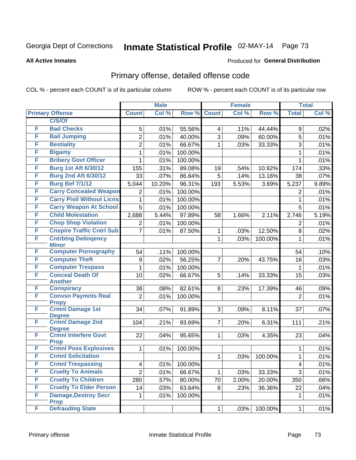#### **All Active Inmates**

#### Produced for **General Distribution**

### Primary offense, detailed offense code

|   |                                            |                | <b>Male</b> |         |                | <b>Female</b> |         |                | <b>Total</b> |
|---|--------------------------------------------|----------------|-------------|---------|----------------|---------------|---------|----------------|--------------|
|   | <b>Primary Offense</b>                     | <b>Count</b>   | Col %       | Row %   | <b>Count</b>   | Col %         | Row %   | <b>Total</b>   | Col %        |
|   | C/S/Of                                     |                |             |         |                |               |         |                |              |
| F | <b>Bad Checks</b>                          | 5              | .01%        | 55.56%  | 4              | .11%          | 44.44%  | 9              | .02%         |
| F | <b>Bail Jumping</b>                        | $\overline{2}$ | .01%        | 40.00%  | 3              | .09%          | 60.00%  | $\overline{5}$ | .01%         |
| F | <b>Bestiality</b>                          | $\overline{2}$ | .01%        | 66.67%  | 1              | .03%          | 33.33%  | 3              | .01%         |
| F | <b>Bigamy</b>                              | 1              | .01%        | 100.00% |                |               |         | $\mathbf{1}$   | .01%         |
| F | <b>Bribery Govt Officer</b>                | 1              | .01%        | 100.00% |                |               |         | $\mathbf{1}$   | .01%         |
| F | <b>Burg 1st Aft 6/30/12</b>                | 155            | .31%        | 89.08%  | 19             | .54%          | 10.92%  | 174            | .33%         |
| F | <b>Burg 2nd Aft 6/30/12</b>                | 33             | .07%        | 86.84%  | $\overline{5}$ | .14%          | 13.16%  | 38             | .07%         |
| F | <b>Burg Bef 7/1/12</b>                     | 5,044          | 10.20%      | 96.31%  | 193            | 5.53%         | 3.69%   | 5,237          | 9.89%        |
| F | <b>Carry Concealed Weapon</b>              | $\overline{2}$ | .01%        | 100.00% |                |               |         | $\overline{2}$ | .01%         |
| F | <b>Carry Pistl Without Licns</b>           | 1              | .01%        | 100.00% |                |               |         | $\mathbf{1}$   | .01%         |
| F | <b>Carry Weapon At School</b>              | 5              | .01%        | 100.00% |                |               |         | 5              | .01%         |
| F | <b>Child Molestation</b>                   | 2,688          | 5.44%       | 97.89%  | 58             | 1.66%         | 2.11%   | 2,746          | 5.19%        |
| F | <b>Chop Shop Violation</b>                 | $\overline{2}$ | .01%        | 100.00% |                |               |         | $\overline{2}$ | .01%         |
| F | <b>Cnspire Traffic Cntrl Sub</b>           | $\overline{7}$ | .01%        | 87.50%  | 1              | .03%          | 12.50%  | 8              | .02%         |
| F | <b>Cntrbtng Delingency</b><br><b>Minor</b> |                |             |         | $\mathbf 1$    | .03%          | 100.00% | 1              | .01%         |
| F | <b>Computer Pornography</b>                | 54             | .11%        | 100.00% |                |               |         | 54             | .10%         |
| F | <b>Computer Theft</b>                      | 9              | .02%        | 56.25%  | $\overline{7}$ | .20%          | 43.75%  | 16             | .03%         |
| F | <b>Computer Trespass</b>                   | 1              | .01%        | 100.00% |                |               |         | $\mathbf{1}$   | .01%         |
| F | <b>Conceal Death Of</b>                    | 10             | .02%        | 66.67%  | 5              | .14%          | 33.33%  | 15             | .03%         |
|   | <b>Another</b>                             |                |             |         |                |               |         |                |              |
| F | <b>Conspiracy</b>                          | 38             | .08%        | 82.61%  | 8              | .23%          | 17.39%  | 46             | .09%         |
| F | <b>Convsn Paymnts Real</b>                 | $\overline{2}$ | .01%        | 100.00% |                |               |         | $\overline{2}$ | .01%         |
| F | <b>Propy</b><br><b>Crmnl Damage 1st</b>    | 34             | .07%        | 91.89%  | 3              | .09%          | 8.11%   | 37             | .07%         |
|   | <b>Degree</b>                              |                |             |         |                |               |         |                |              |
| F | <b>Crmnl Damage 2nd</b>                    | 104            | .21%        | 93.69%  | 7 <sup>1</sup> | .20%          | 6.31%   | 111            | .21%         |
|   | <b>Degree</b>                              |                |             |         |                |               |         |                |              |
| F | <b>Crmnl Interfere Govt</b><br><b>Prop</b> | 22             | .04%        | 95.65%  | $\mathbf{1}$   | .03%          | 4.35%   | 23             | .04%         |
| F | <b>Crmnl Poss Explosives</b>               | 1              | .01%        | 100.00% |                |               |         | 1              | .01%         |
| F | <b>Crmnl Solicitation</b>                  |                |             |         | 1              | .03%          | 100.00% | 1              | .01%         |
| F | <b>Crmnl Trespassing</b>                   | 4              | .01%        | 100.00% |                |               |         | 4              | .01%         |
| F | <b>Cruelty To Animals</b>                  | $\overline{2}$ | .01%        | 66.67%  | $\mathbf{1}$   | .03%          | 33.33%  | $\overline{3}$ | .01%         |
| F | <b>Cruelty To Children</b>                 | 280            | .57%        | 80.00%  | 70             | 2.00%         | 20.00%  | 350            | .66%         |
| F | <b>Cruelty To Elder Person</b>             | 14             | .03%        | 63.64%  | 8              | .23%          | 36.36%  | 22             | .04%         |
| F | <b>Damage, Destroy Secr</b>                | 1              | .01%        | 100.00% |                |               |         | 1              | .01%         |
|   | <b>Prop</b>                                |                |             |         |                |               |         |                |              |
| F | <b>Defrauding State</b>                    |                |             |         | $\mathbf{1}$   | .03%          | 100.00% | $\mathbf{1}$   | .01%         |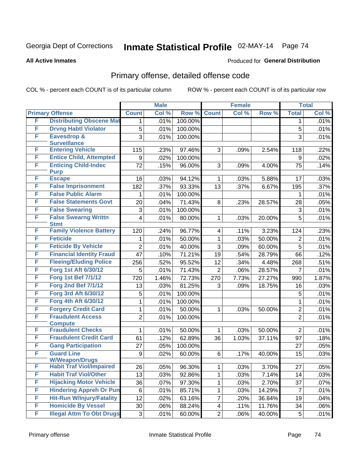#### **All Active Inmates**

#### Produced for **General Distribution**

### Primary offense, detailed offense code

|   |                                                          |                         | <b>Male</b> |         |                | <b>Female</b> |        |                | <b>Total</b> |
|---|----------------------------------------------------------|-------------------------|-------------|---------|----------------|---------------|--------|----------------|--------------|
|   | <b>Primary Offense</b>                                   | <b>Count</b>            | Col %       | Row %   | <b>Count</b>   | Col %         | Row %  | <b>Total</b>   | Col %        |
| F | <b>Distributing Obscene Mat</b>                          | 1                       | .01%        | 100.00% |                |               |        | 1              | .01%         |
| F | <b>Drvng Habtl Violator</b>                              | 5                       | .01%        | 100.00% |                |               |        | 5              | .01%         |
| F | <b>Eavesdrop &amp;</b>                                   | 3                       | .01%        | 100.00% |                |               |        | 3              | .01%         |
|   | <b>Surveillance</b>                                      |                         |             |         |                |               |        |                |              |
| F | <b>Entering Vehicle</b>                                  | 115                     | .23%        | 97.46%  | 3              | .09%          | 2.54%  | 118            | .22%         |
| F | <b>Entice Child, Attempted</b>                           | 9                       | .02%        | 100.00% |                |               |        | 9              | .02%         |
| F | <b>Enticing Child-Indec</b>                              | 72                      | .15%        | 96.00%  | 3              | .09%          | 4.00%  | 75             | .14%         |
| F | <b>Purp</b><br><b>Escape</b>                             | 16                      | .03%        | 94.12%  | $\mathbf 1$    | .03%          | 5.88%  | 17             | .03%         |
| F | <b>False Imprisonment</b>                                | 182                     | .37%        | 93.33%  | 13             | .37%          | 6.67%  | 195            | .37%         |
| F | <b>False Public Alarm</b>                                | 1                       | .01%        | 100.00% |                |               |        | 1              | .01%         |
| F | <b>False Statements Govt</b>                             | 20                      | .04%        | 71.43%  | 8              | .23%          | 28.57% | 28             | .05%         |
| F | <b>False Swearing</b>                                    |                         |             | 100.00% |                |               |        |                |              |
| F | <b>False Swearng Writtn</b>                              | 3                       | .01%        |         |                |               |        | 3              | .01%         |
|   | <b>Stmt</b>                                              | $\overline{\mathbf{4}}$ | .01%        | 80.00%  | $\mathbf{1}$   | .03%          | 20.00% | 5              | .01%         |
| F | <b>Family Violence Battery</b>                           | 120                     | .24%        | 96.77%  | $\overline{4}$ | .11%          | 3.23%  | 124            | .23%         |
| F | <b>Feticide</b>                                          | 1.                      | .01%        | 50.00%  | $\mathbf{1}$   | .03%          | 50.00% | $\overline{2}$ | .01%         |
| F | <b>Feticide By Vehicle</b>                               | $\overline{2}$          | .01%        | 40.00%  | 3              | .09%          | 60.00% | 5              | .01%         |
| F | <b>Financial Identity Fraud</b>                          | 47                      | .10%        | 71.21%  | 19             | .54%          | 28.79% | 66             | .12%         |
| F | <b>Fleeing/Eluding Police</b>                            | 256                     | .52%        | 95.52%  | 12             | .34%          | 4.48%  | 268            | .51%         |
| F | <b>Forg 1st Aft 6/30/12</b>                              | 5                       | .01%        | 71.43%  | $\overline{2}$ | .06%          | 28.57% | $\overline{7}$ | .01%         |
| F | <b>Forg 1st Bef 7/1/12</b>                               | 720                     | 1.46%       | 72.73%  | 270            | 7.73%         | 27.27% | 990            | 1.87%        |
| F | <b>Forg 2nd Bef 7/1/12</b>                               | 13                      | .03%        | 81.25%  | 3              | .09%          | 18.75% | 16             | .03%         |
| F | <b>Forg 3rd Aft 6/30/12</b>                              | 5                       | .01%        | 100.00% |                |               |        | 5              | .01%         |
| F | Forg 4th Aft 6/30/12                                     | 1                       | .01%        | 100.00% |                |               |        | $\mathbf 1$    | .01%         |
| F | <b>Forgery Credit Card</b>                               | 1                       | .01%        | 50.00%  | $\mathbf{1}$   | .03%          | 50.00% | $\overline{2}$ | .01%         |
| F | <b>Fraudulent Access</b>                                 | $\overline{2}$          | .01%        | 100.00% |                |               |        | $\overline{2}$ | .01%         |
|   | <b>Compute</b>                                           |                         |             |         |                |               |        |                |              |
| F | <b>Fraudulent Checks</b>                                 | 1                       | .01%        | 50.00%  | $\mathbf{1}$   | .03%          | 50.00% | $\overline{2}$ | .01%         |
| F | <b>Fraudulent Credit Card</b>                            | 61                      | .12%        | 62.89%  | 36             | 1.03%         | 37.11% | 97             | .18%         |
| F | <b>Gang Participation</b>                                | 27                      | .05%        | 100.00% |                |               |        | 27             | .05%         |
| F | <b>Guard Line</b>                                        | 9                       | .02%        | 60.00%  | 6              | .17%          | 40.00% | 15             | .03%         |
| F | <b>W/Weapon/Drugs</b><br><b>Habit Traf Viol/Impaired</b> |                         |             |         |                |               |        |                |              |
| F |                                                          | 26                      | .05%        | 96.30%  | $\mathbf 1$    | .03%          | 3.70%  | 27             | .05%         |
|   | <b>Habit Traf Viol/Other</b>                             | 13                      | .03%        | 92.86%  | $\mathbf 1$    | .03%          | 7.14%  | 14             | .03%         |
| F | <b>Hijacking Motor Vehicle</b>                           | 36                      | .07%        | 97.30%  | $\mathbf 1$    | .03%          | 2.70%  | 37             | .07%         |
| F | <b>Hindering Appreh Or Pun</b>                           | 6                       | .01%        | 85.71%  | $\mathbf 1$    | .03%          | 14.29% | $\overline{7}$ | .01%         |
| F | <b>Hit-Run W/Injury/Fatality</b>                         | 12                      | .02%        | 63.16%  | $\overline{7}$ | .20%          | 36.84% | 19             | .04%         |
| F | <b>Homicide By Vessel</b>                                | 30                      | .06%        | 88.24%  | 4              | .11%          | 11.76% | 34             | .06%         |
| F | <b>Illegal Attm To Obt Drugs</b>                         | 3                       | .01%        | 60.00%  | $\overline{2}$ | .06%          | 40.00% | 5              | .01%         |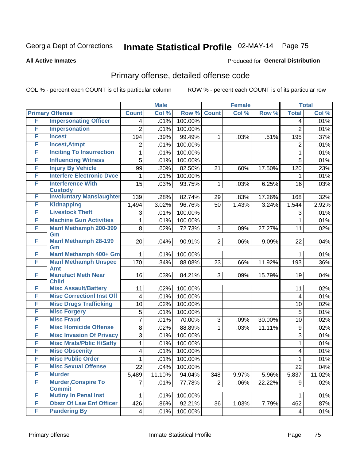#### **All Active Inmates**

#### Produced for **General Distribution**

### Primary offense, detailed offense code

|   |                                             |                         | <b>Male</b> |         |                 | <b>Female</b> |        |                    | <b>Total</b> |
|---|---------------------------------------------|-------------------------|-------------|---------|-----------------|---------------|--------|--------------------|--------------|
|   | <b>Primary Offense</b>                      | <b>Count</b>            | Col %       | Row %   | <b>Count</b>    | Col %         | Row %  | <b>Total</b>       | Col %        |
| F | <b>Impersonating Officer</b>                | 4                       | .01%        | 100.00% |                 |               |        | 4                  | .01%         |
| F | <b>Impersonation</b>                        | $\overline{2}$          | .01%        | 100.00% |                 |               |        | $\overline{2}$     | .01%         |
| F | <b>Incest</b>                               | 194                     | .39%        | 99.49%  | 1               | .03%          | .51%   | 195                | .37%         |
| F | <b>Incest, Atmpt</b>                        | 2                       | .01%        | 100.00% |                 |               |        | 2                  | .01%         |
| F | <b>Inciting To Insurrection</b>             | 1                       | .01%        | 100.00% |                 |               |        | 1                  | .01%         |
| F | <b>Influencing Witness</b>                  | 5                       | .01%        | 100.00% |                 |               |        | 5                  | .01%         |
| F | <b>Injury By Vehicle</b>                    | 99                      | .20%        | 82.50%  | 21              | .60%          | 17.50% | 120                | .23%         |
| F | <b>Interfere Electronic Dvce</b>            | $\mathbf{1}$            | .01%        | 100.00% |                 |               |        | 1                  | .01%         |
| F | <b>Interference With</b><br><b>Custody</b>  | 15                      | .03%        | 93.75%  | 1               | .03%          | 6.25%  | 16                 | .03%         |
| F | <b>Involuntary Manslaughter</b>             | 139                     | .28%        | 82.74%  | 29              | .83%          | 17.26% | 168                | .32%         |
| F | <b>Kidnapping</b>                           | 1,494                   | 3.02%       | 96.76%  | 50              | 1.43%         | 3.24%  | $\overline{1,544}$ | 2.92%        |
| F | <b>Livestock Theft</b>                      | 3                       | .01%        | 100.00% |                 |               |        | 3                  | .01%         |
| F | <b>Machine Gun Activities</b>               | 1                       | .01%        | 100.00% |                 |               |        | 1                  | .01%         |
| F | <b>Manf Methamph 200-399</b><br>Gm          | 8                       | .02%        | 72.73%  | 3               | .09%          | 27.27% | 11                 | .02%         |
| F | <b>Manf Methamph 28-199</b><br>Gm           | 20                      | .04%        | 90.91%  | $\overline{2}$  | .06%          | 9.09%  | 22                 | .04%         |
| F | Manf Methamph 400+ Gm                       | 1                       | .01%        | 100.00% |                 |               |        | 1                  | .01%         |
| F | <b>Manf Methamph Unspec</b><br><b>Amt</b>   | 170                     | .34%        | 88.08%  | 23              | .66%          | 11.92% | 193                | .36%         |
| F | <b>Manufact Meth Near</b><br><b>Child</b>   | 16                      | .03%        | 84.21%  | 3               | .09%          | 15.79% | 19                 | .04%         |
| F | <b>Misc Assault/Battery</b>                 | 11                      | .02%        | 100.00% |                 |               |        | 11                 | .02%         |
| F | <b>Misc CorrectionI Inst Off</b>            | 4                       | .01%        | 100.00% |                 |               |        | 4                  | .01%         |
| F | <b>Misc Drugs Trafficking</b>               | 10                      | .02%        | 100.00% |                 |               |        | 10                 | .02%         |
| F | <b>Misc Forgery</b>                         | 5                       | .01%        | 100.00% |                 |               |        | 5                  | .01%         |
| F | <b>Misc Fraud</b>                           | $\overline{7}$          | .01%        | 70.00%  | 3               | .09%          | 30.00% | 10                 | .02%         |
| F | <b>Misc Homicide Offense</b>                | 8                       | .02%        | 88.89%  | 1               | .03%          | 11.11% | $\boldsymbol{9}$   | .02%         |
| F | <b>Misc Invasion Of Privacy</b>             | 3                       | .01%        | 100.00% |                 |               |        | $\overline{3}$     | .01%         |
| F | <b>Misc Mrals/Pblic H/Safty</b>             | $\mathbf{1}$            | .01%        | 100.00% |                 |               |        | $\mathbf{1}$       | .01%         |
| F | <b>Misc Obscenity</b>                       | 4                       | .01%        | 100.00% |                 |               |        | 4                  | .01%         |
| F | <b>Misc Public Order</b>                    | $\mathbf{1}$            | .01%        | 100.00% |                 |               |        | $\mathbf{1}$       | .01%         |
| F | <b>Misc Sexual Offense</b>                  | 22                      | .04%        | 100.00% |                 |               |        | 22                 | .04%         |
| F | <b>Murder</b>                               | 5,489                   | 11.10%      | 94.04%  | 348             | 9.97%         | 5.96%  | 5,837              | 11.02%       |
| F | <b>Murder, Conspire To</b><br><b>Commit</b> | $\overline{7}$          | .01%        | 77.78%  | $\overline{2}$  | .06%          | 22.22% | 9                  | .02%         |
| F | <b>Mutiny In Penal Inst</b>                 | 1                       | .01%        | 100.00% |                 |               |        | 1                  | .01%         |
| F | <b>Obstr Of Law Enf Officer</b>             | 426                     | .86%        | 92.21%  | $\overline{36}$ | 1.03%         | 7.79%  | 462                | .87%         |
| F | <b>Pandering By</b>                         | $\overline{\mathbf{4}}$ | .01%        | 100.00% |                 |               |        | 4                  | .01%         |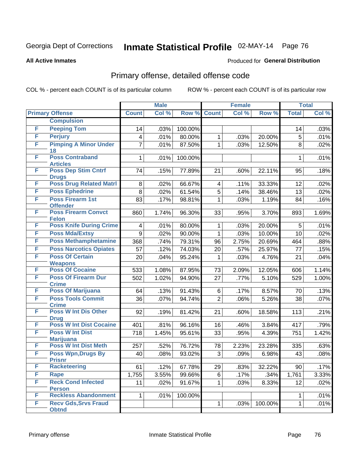#### **All Active Inmates**

#### Produced for **General Distribution**

#### Primary offense, detailed offense code

|   |                                             |                | <b>Male</b> |         |                | <b>Female</b> |         |              | <b>Total</b> |
|---|---------------------------------------------|----------------|-------------|---------|----------------|---------------|---------|--------------|--------------|
|   | <b>Primary Offense</b>                      | <b>Count</b>   | Col %       | Row %   | <b>Count</b>   | Col %         | Row %   | <b>Total</b> | Col %        |
|   | <b>Compulsion</b>                           |                |             |         |                |               |         |              |              |
| F | <b>Peeping Tom</b>                          | 14             | .03%        | 100.00% |                |               |         | 14           | .03%         |
| F | <b>Perjury</b>                              | 4              | .01%        | 80.00%  | 1              | .03%          | 20.00%  | 5            | .01%         |
| F | <b>Pimping A Minor Under</b>                | $\overline{7}$ | .01%        | 87.50%  | $\mathbf 1$    | .03%          | 12.50%  | 8            | .02%         |
|   | 18                                          |                |             |         |                |               |         |              |              |
| F | <b>Poss Contraband</b><br><b>Articles</b>   | 1              | .01%        | 100.00% |                |               |         | 1            | .01%         |
| F | <b>Poss Dep Stim Cntrf</b>                  | 74             | .15%        | 77.89%  | 21             | .60%          | 22.11%  | 95           | .18%         |
|   | <b>Drugs</b>                                |                |             |         |                |               |         |              |              |
| F | <b>Poss Drug Related Matri</b>              | 8              | .02%        | 66.67%  | 4              | .11%          | 33.33%  | 12           | .02%         |
| F | <b>Poss Ephedrine</b>                       | $\,8\,$        | .02%        | 61.54%  | $\overline{5}$ | .14%          | 38.46%  | 13           | .02%         |
| F | <b>Poss Firearm 1st</b>                     | 83             | .17%        | 98.81%  | $\mathbf{1}$   | .03%          | 1.19%   | 84           | .16%         |
|   | <b>Offender</b>                             |                |             |         |                |               |         |              |              |
| F | <b>Poss Firearm Convct</b><br><b>Felon</b>  | 860            | 1.74%       | 96.30%  | 33             | .95%          | 3.70%   | 893          | 1.69%        |
| F | <b>Poss Knife During Crime</b>              | 4              | .01%        | 80.00%  | $\mathbf 1$    | .03%          | 20.00%  | 5            | .01%         |
| F | <b>Poss Mda/Extsy</b>                       | 9              | .02%        | 90.00%  | $\mathbf{1}$   | .03%          | 10.00%  | 10           | .02%         |
| F | <b>Poss Methamphetamine</b>                 | 368            | .74%        | 79.31%  | 96             | 2.75%         | 20.69%  | 464          | .88%         |
| F | <b>Poss Narcotics Opiates</b>               | 57             | .12%        | 74.03%  | 20             | .57%          | 25.97%  | 77           | .15%         |
| F | <b>Poss Of Certain</b>                      | 20             | .04%        | 95.24%  | 1              | .03%          | 4.76%   | 21           | .04%         |
|   | <b>Weapons</b>                              |                |             |         |                |               |         |              |              |
| F | <b>Poss Of Cocaine</b>                      | 533            | 1.08%       | 87.95%  | 73             | 2.09%         | 12.05%  | 606          | 1.14%        |
| F | <b>Poss Of Firearm Dur</b>                  | 502            | 1.02%       | 94.90%  | 27             | .77%          | 5.10%   | 529          | 1.00%        |
|   | <b>Crime</b>                                |                |             |         |                |               |         |              |              |
| F | <b>Poss Of Marijuana</b>                    | 64             | .13%        | 91.43%  | 6              | .17%          | 8.57%   | 70           | .13%         |
| F | <b>Poss Tools Commit</b>                    | 36             | .07%        | 94.74%  | $\overline{2}$ | .06%          | 5.26%   | 38           | .07%         |
| F | <b>Crime</b><br><b>Poss W Int Dis Other</b> | 92             | .19%        | 81.42%  | 21             | .60%          | 18.58%  | 113          | .21%         |
|   | <b>Drug</b>                                 |                |             |         |                |               |         |              |              |
| F | <b>Poss W Int Dist Cocaine</b>              | 401            | .81%        | 96.16%  | 16             | .46%          | 3.84%   | 417          | .79%         |
| F | <b>Poss W Int Dist</b>                      | 718            | 1.45%       | 95.61%  | 33             | .95%          | 4.39%   | 751          | 1.42%        |
|   | <b>Marijuana</b>                            |                |             |         |                |               |         |              |              |
| F | <b>Poss W Int Dist Meth</b>                 | 257            | .52%        | 76.72%  | 78             | 2.23%         | 23.28%  | 335          | .63%         |
| F | <b>Poss Wpn, Drugs By</b>                   | 40             | .08%        | 93.02%  | 3              | .09%          | 6.98%   | 43           | .08%         |
| F | <b>Prisnr</b><br><b>Racketeering</b>        |                |             |         |                |               |         |              |              |
| F |                                             | 61             | .12%        | 67.78%  | 29             | .83%          | 32.22%  | 90           | .17%         |
| F | Rape<br><b>Reck Cond Infected</b>           | 1,755          | 3.55%       | 99.66%  | 6              | .17%          | .34%    | 1,761        | 3.33%        |
|   | <b>Person</b>                               | 11             | .02%        | 91.67%  | $\mathbf{1}$   | .03%          | 8.33%   | 12           | .02%         |
| F | <b>Reckless Abandonment</b>                 | 1              | .01%        | 100.00% |                |               |         | 1            | .01%         |
| F | <b>Recv Gds, Srvs Fraud</b>                 |                |             |         | $\mathbf{1}$   | .03%          | 100.00% | $\mathbf 1$  | .01%         |
|   | <b>Obtnd</b>                                |                |             |         |                |               |         |              |              |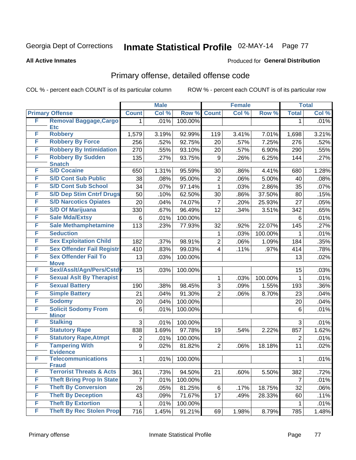**All Active Inmates**

#### Produced for **General Distribution**

### Primary offense, detailed offense code

|        |                                            |                  | <b>Male</b> |         |                         | <b>Female</b> |         |                  | <b>Total</b> |
|--------|--------------------------------------------|------------------|-------------|---------|-------------------------|---------------|---------|------------------|--------------|
|        | <b>Primary Offense</b>                     | <b>Count</b>     | Col %       | Row %   | <b>Count</b>            | Col %         | Row %   | <b>Total</b>     | Col %        |
| F      | <b>Removal Baggage, Cargo</b>              | 1                | .01%        | 100.00% |                         |               |         | 1                | .01%         |
| F      | <b>Etc</b><br><b>Robbery</b>               |                  |             |         |                         |               |         |                  |              |
|        |                                            | 1,579            | 3.19%       | 92.99%  | 119                     | 3.41%         | 7.01%   | 1,698            | 3.21%        |
| F<br>F | <b>Robbery By Force</b>                    | 256              | .52%        | 92.75%  | 20                      | .57%          | 7.25%   | 276              | .52%         |
|        | <b>Robbery By Intimidation</b>             | 270              | .55%        | 93.10%  | 20                      | .57%          | 6.90%   | 290              | .55%         |
| F      | <b>Robbery By Sudden</b><br><b>Snatch</b>  | 135              | .27%        | 93.75%  | 9                       | .26%          | 6.25%   | 144              | .27%         |
| F      | <b>S/D Cocaine</b>                         | 650              | 1.31%       | 95.59%  | 30                      | .86%          | 4.41%   | 680              | 1.28%        |
| F      | <b>S/D Cont Sub Public</b>                 | 38               | .08%        | 95.00%  | $\overline{\mathbf{c}}$ | .06%          | 5.00%   | 40               | .08%         |
| F      | <b>S/D Cont Sub School</b>                 | 34               | .07%        | 97.14%  | 1                       | .03%          | 2.86%   | 35               | .07%         |
| F      | <b>S/D Dep Stim Cntrf Drugs</b>            | 50               | .10%        | 62.50%  | 30                      | .86%          | 37.50%  | 80               | .15%         |
| F      | <b>S/D Narcotics Opiates</b>               | 20               | .04%        | 74.07%  | 7                       | .20%          | 25.93%  | 27               | .05%         |
| F      | <b>S/D Of Marijuana</b>                    | 330              | .67%        | 96.49%  | 12                      | .34%          | 3.51%   | $\overline{3}42$ | .65%         |
| F      | <b>Sale Mda/Extsy</b>                      | 6                | .01%        | 100.00% |                         |               |         | 6                | .01%         |
| F      | <b>Sale Methamphetamine</b>                | 113              | .23%        | 77.93%  | 32                      | .92%          | 22.07%  | 145              | .27%         |
| F      | <b>Seduction</b>                           |                  |             |         | 1                       | .03%          | 100.00% | 1                | .01%         |
| F      | <b>Sex Exploitation Child</b>              | 182              | .37%        | 98.91%  | $\overline{c}$          | .06%          | 1.09%   | 184              | .35%         |
| F      | <b>Sex Offender Fail Registr</b>           | 410              | .83%        | 99.03%  | 4                       | .11%          | .97%    | 414              | .78%         |
| F      | <b>Sex Offender Fail To</b>                | 13               | .03%        | 100.00% |                         |               |         | 13               | .02%         |
|        | <b>Move</b>                                |                  |             |         |                         |               |         |                  |              |
| F      | Sexl/Asslt/Agn/Pers/Cstd                   | 15               | .03%        | 100.00% |                         |               |         | 15               | .03%         |
| F      | <b>Sexual Aslt By Therapist</b>            |                  |             |         | 1                       | .03%          | 100.00% | $\mathbf{1}$     | .01%         |
| F      | <b>Sexual Battery</b>                      | 190              | .38%        | 98.45%  | $\overline{3}$          | .09%          | 1.55%   | 193              | .36%         |
| F      | <b>Simple Battery</b>                      | 21               | .04%        | 91.30%  | $\overline{2}$          | .06%          | 8.70%   | 23               | .04%         |
| F      | <b>Sodomy</b>                              | 20               | .04%        | 100.00% |                         |               |         | 20               | .04%         |
| F      | <b>Solicit Sodomy From</b><br><b>Minor</b> | 6                | .01%        | 100.00% |                         |               |         | 6                | .01%         |
| F      | <b>Stalking</b>                            | 3                | .01%        | 100.00% |                         |               |         | 3                | .01%         |
| F      | <b>Statutory Rape</b>                      | 838              | 1.69%       | 97.78%  | 19                      | .54%          | 2.22%   | 857              | 1.62%        |
| F      | <b>Statutory Rape, Atmpt</b>               | 2                | .01%        | 100.00% |                         |               |         | $\overline{2}$   | .01%         |
| F      | <b>Tampering With</b><br><b>Evidence</b>   | $\boldsymbol{9}$ | .02%        | 81.82%  | $\overline{2}$          | .06%          | 18.18%  | 11               | .02%         |
| F      | <b>Telecommunications</b><br><b>Fraud</b>  | $\mathbf{1}$     | .01%        | 100.00% |                         |               |         | $\mathbf{1}$     | .01%         |
| F      | <b>Terrorist Threats &amp; Acts</b>        | 361              | .73%        | 94.50%  | 21                      | .60%          | 5.50%   | 382              | .72%         |
| F      | <b>Theft Bring Prop In State</b>           | $\overline{7}$   | .01%        | 100.00% |                         |               |         | $\overline{7}$   | .01%         |
| F      | <b>Theft By Conversion</b>                 | 26               | .05%        | 81.25%  | 6                       | .17%          | 18.75%  | 32               | .06%         |
| F      | <b>Theft By Deception</b>                  | 43               | .09%        | 71.67%  | 17                      | .49%          | 28.33%  | 60               | .11%         |
| F      | <b>Theft By Extortion</b>                  | $\mathbf{1}$     | .01%        | 100.00% |                         |               |         | 1                | .01%         |
| F      | <b>Theft By Rec Stolen Prop</b>            | 716              | 1.45%       | 91.21%  | 69                      | 1.98%         | 8.79%   | 785              | 1.48%        |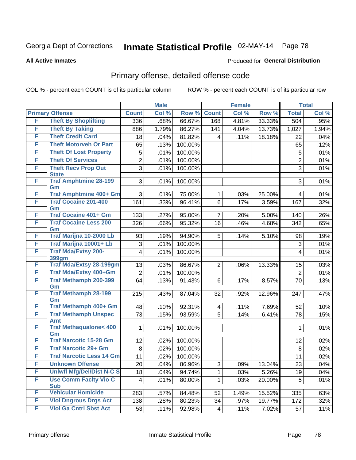**All Active Inmates**

#### Produced for **General Distribution**

### Primary offense, detailed offense code

|   |                                            | <b>Male</b>             |                    |         | <b>Female</b>  |       |        | <b>Total</b>   |       |
|---|--------------------------------------------|-------------------------|--------------------|---------|----------------|-------|--------|----------------|-------|
|   | <b>Primary Offense</b>                     | <b>Count</b>            | Col %              | Row %   | <b>Count</b>   | Col % | Row %  | <b>Total</b>   | Col % |
| F | <b>Theft By Shoplifting</b>                | 336                     | .68%               | 66.67%  | 168            | 4.81% | 33.33% | 504            | .95%  |
| F | <b>Theft By Taking</b>                     | 886                     | 1.79%              | 86.27%  | 141            | 4.04% | 13.73% | 1,027          | 1.94% |
| F | <b>Theft Credit Card</b>                   | 18                      | .04%               | 81.82%  | 4              | .11%  | 18.18% | 22             | .04%  |
| F | <b>Theft Motorveh Or Part</b>              | 65                      | .13%               | 100.00% |                |       |        | 65             | .12%  |
| F | <b>Theft Of Lost Property</b>              | 5                       | .01%               | 100.00% |                |       |        | 5              | .01%  |
| F | <b>Theft Of Services</b>                   | $\overline{c}$          | .01%               | 100.00% |                |       |        | $\overline{2}$ | .01%  |
| F | <b>Theft Recv Prop Out</b><br><b>State</b> | $\overline{3}$          | .01%               | 100.00% |                |       |        | $\overline{3}$ | .01%  |
| F | <b>Traf Amphtmine 28-199</b><br>Gm         | 3                       | .01%               | 100.00% |                |       |        | 3              | .01%  |
| F | <b>Traf Amphtmine 400+ Gm</b>              | 3                       | .01%               | 75.00%  | $\mathbf{1}$   | .03%  | 25.00% | 4              | .01%  |
| F | <b>Traf Cocaine 201-400</b><br>Gm          | 161                     | .33%               | 96.41%  | 6              | .17%  | 3.59%  | 167            | .32%  |
| F | <b>Traf Cocaine 401+ Gm</b>                | 133                     | .27%               | 95.00%  | $\overline{7}$ | .20%  | 5.00%  | 140            | .26%  |
| F | <b>Traf Cocaine Less 200</b><br>Gm         | 326                     | .66%               | 95.32%  | 16             | .46%  | 4.68%  | 342            | .65%  |
| F | Traf Marijna 10-2000 Lb                    | 93                      | .19%               | 94.90%  | 5              | .14%  | 5.10%  | 98             | .19%  |
| F | Traf Marijna 10001+ Lb                     | 3                       | .01%               | 100.00% |                |       |        | 3              | .01%  |
| F | <b>Traf Mda/Extsy 200-</b><br>399gm        | $\overline{\mathbf{4}}$ | .01%               | 100.00% |                |       |        | 4              | .01%  |
| F | Traf Mda/Extsy 28-199gm                    | 13                      | .03%               | 86.67%  | $\overline{2}$ | .06%  | 13.33% | 15             | .03%  |
| F | Traf Mda/Extsy 400+Gm                      | $\overline{2}$          | .01%               | 100.00% |                |       |        | $\overline{2}$ | .01%  |
| F | <b>Traf Methamph 200-399</b><br>Gm         | 64                      | $\overline{.13\%}$ | 91.43%  | 6              | .17%  | 8.57%  | 70             | .13%  |
| F | <b>Traf Methamph 28-199</b><br>Gm          | 215                     | .43%               | 87.04%  | 32             | .92%  | 12.96% | 247            | .47%  |
| F | Traf Methamph 400+ Gm                      | 48                      | .10%               | 92.31%  | 4              | .11%  | 7.69%  | 52             | .10%  |
| F | <b>Traf Methamph Unspec</b><br><b>Amt</b>  | 73                      | .15%               | 93.59%  | $\overline{5}$ | .14%  | 6.41%  | 78             | .15%  |
| F | <b>Traf Methaqualone&lt; 400</b><br>Gm     | 1                       | .01%               | 100.00% |                |       |        | 1              | .01%  |
| F | <b>Traf Narcotic 15-28 Gm</b>              | 12                      | .02%               | 100.00% |                |       |        | 12             | .02%  |
| F | <b>Traf Narcotic 29+ Gm</b>                | 8                       | .02%               | 100.00% |                |       |        | $\, 8$         | .02%  |
| F | <b>Traf Narcotic Less 14 Gm</b>            | 11                      | .02%               | 100.00% |                |       |        | 11             | .02%  |
| F | <b>Unknown Offense</b>                     | 20                      | .04%               | 86.96%  | 3              | .09%  | 13.04% | 23             | .04%  |
| F | <b>Uniwfl Mfg/Del/Dist N-C S</b>           | 18                      | .04%               | 94.74%  | 1              | .03%  | 5.26%  | 19             | .04%  |
| F | <b>Use Comm Facity Vio C</b><br><b>Sub</b> | 4                       | .01%               | 80.00%  | 1.             | .03%  | 20.00% | 5              | .01%  |
| F | <b>Vehicular Homicide</b>                  | 283                     | .57%               | 84.48%  | 52             | 1.49% | 15.52% | 335            | .63%  |
| F | <b>Viol Dngrous Drgs Act</b>               | 138                     | .28%               | 80.23%  | 34             | .97%  | 19.77% | 172            | .32%  |
| F | <b>Viol Ga Cntrl Sbst Act</b>              | 53                      | .11%               | 92.98%  | 4              | .11%  | 7.02%  | 57             | .11%  |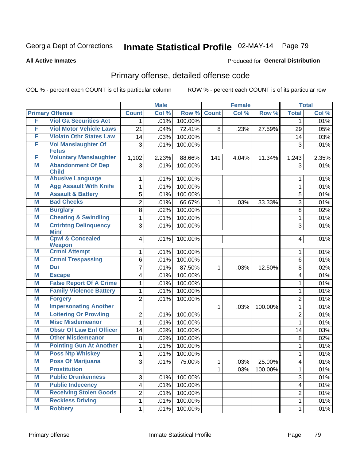#### **All Active Inmates**

#### Produced for **General Distribution**

### Primary offense, detailed offense code

|   |                                           |                | <b>Male</b> |         |              | <b>Female</b> |         |                         | <b>Total</b> |
|---|-------------------------------------------|----------------|-------------|---------|--------------|---------------|---------|-------------------------|--------------|
|   | <b>Primary Offense</b>                    | <b>Count</b>   | Col %       | Row %   | <b>Count</b> | Col %         | Row %   | <b>Total</b>            | Col %        |
| F | <b>Viol Ga Securities Act</b>             | 1              | .01%        | 100.00% |              |               |         | 1                       | .01%         |
| F | <b>Viol Motor Vehicle Laws</b>            | 21             | .04%        | 72.41%  | 8            | .23%          | 27.59%  | 29                      | .05%         |
| F | <b>Violatn Othr States Law</b>            | 14             | .03%        | 100.00% |              |               |         | 14                      | .03%         |
| F | <b>Vol Manslaughter Of</b>                | 3              | .01%        | 100.00% |              |               |         | 3                       | .01%         |
|   | <b>Fetus</b>                              |                |             |         |              |               |         |                         |              |
| F | <b>Voluntary Manslaughter</b>             | 1,102          | 2.23%       | 88.66%  | 141          | 4.04%         | 11.34%  | 1,243                   | 2.35%        |
| Μ | <b>Abandonment Of Dep</b><br><b>Child</b> | 3              | .01%        | 100.00% |              |               |         | 3                       | .01%         |
| M | <b>Abusive Language</b>                   | 1              | .01%        | 100.00% |              |               |         | 1                       | .01%         |
| Μ | <b>Agg Assault With Knife</b>             | 1              | .01%        | 100.00% |              |               |         | 1                       | .01%         |
| Μ | <b>Assault &amp; Battery</b>              | 5              | .01%        | 100.00% |              |               |         | 5                       | .01%         |
| M | <b>Bad Checks</b>                         | $\overline{2}$ | .01%        | 66.67%  | $\mathbf{1}$ | .03%          | 33.33%  | 3                       | .01%         |
| Μ | <b>Burglary</b>                           | 8              | .02%        | 100.00% |              |               |         | 8                       | .02%         |
| Μ | <b>Cheating &amp; Swindling</b>           | 1              | .01%        | 100.00% |              |               |         | 1                       | .01%         |
| Μ | <b>Cntrbtng Delinquency</b>               | 3              | .01%        | 100.00% |              |               |         | 3                       | .01%         |
|   | <b>Minr</b>                               |                |             |         |              |               |         |                         |              |
| Μ | <b>Cpwl &amp; Concealed</b>               | 4              | .01%        | 100.00% |              |               |         | 4                       | .01%         |
|   | <b>Weapon</b>                             |                |             |         |              |               |         |                         |              |
| M | <b>Crmnl Attempt</b>                      | 1              | .01%        | 100.00% |              |               |         | 1                       | .01%         |
| Μ | <b>Crmnl Trespassing</b>                  | 6              | .01%        | 100.00% |              |               |         | 6                       | .01%         |
| Μ | <b>Dui</b>                                | $\overline{7}$ | .01%        | 87.50%  | $\mathbf{1}$ | .03%          | 12.50%  | 8                       | .02%         |
| Μ | <b>Escape</b>                             | 4              | .01%        | 100.00% |              |               |         | 4                       | .01%         |
| M | <b>False Report Of A Crime</b>            | 1              | .01%        | 100.00% |              |               |         | 1                       | .01%         |
| Μ | <b>Family Violence Battery</b>            | 1              | .01%        | 100.00% |              |               |         | 1                       | .01%         |
| M | <b>Forgery</b>                            | $\overline{2}$ | .01%        | 100.00% |              |               |         | $\overline{2}$          | .01%         |
| Μ | <b>Impersonating Another</b>              |                |             |         | 1            | .03%          | 100.00% | 1                       | .01%         |
| M | <b>Loitering Or Prowling</b>              | 2              | .01%        | 100.00% |              |               |         | $\overline{2}$          | .01%         |
| Μ | <b>Misc Misdemeanor</b>                   | 1              | .01%        | 100.00% |              |               |         | 1                       | .01%         |
| Μ | <b>Obstr Of Law Enf Officer</b>           | 14             | .03%        | 100.00% |              |               |         | 14                      | .03%         |
| M | <b>Other Misdemeanor</b>                  | 8              | .02%        | 100.00% |              |               |         | 8                       | .02%         |
| M | <b>Pointing Gun At Another</b>            | 1              | .01%        | 100.00% |              |               |         | 1                       | .01%         |
| Μ | <b>Poss Ntp Whiskey</b>                   | 1              | .01%        | 100.00% |              |               |         | 1                       | .01%         |
| M | <b>Poss Of Marijuana</b>                  | $\overline{3}$ | .01%        | 75.00%  | $\mathbf 1$  | .03%          | 25.00%  | 4                       | .01%         |
| M | <b>Prostitution</b>                       |                |             |         | 1            | .03%          | 100.00% | 1                       | .01%         |
| M | <b>Public Drunkenness</b>                 | 3              | .01%        | 100.00% |              |               |         | 3                       | .01%         |
| M | <b>Public Indecency</b>                   | 4              | .01%        | 100.00% |              |               |         | $\overline{\mathbf{4}}$ | .01%         |
| M | <b>Receiving Stolen Goods</b>             | 2              | .01%        | 100.00% |              |               |         | $\overline{2}$          | .01%         |
| M | <b>Reckless Driving</b>                   | 1              | .01%        | 100.00% |              |               |         | 1                       | .01%         |
| M | <b>Robbery</b>                            | 1              | .01%        | 100.00% |              |               |         | $\mathbf{1}$            | .01%         |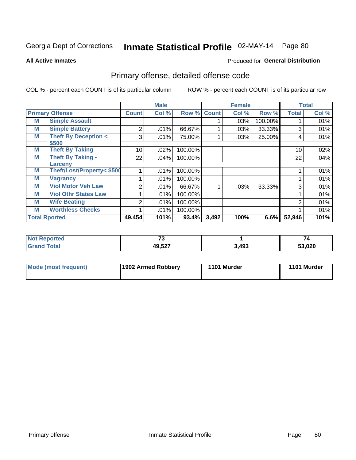Produced for **General Distribution**

#### **All Active Inmates**

# Primary offense, detailed offense code

|   |                                         |              | <b>Male</b> |         |              | <b>Female</b> |         |              | <b>Total</b> |
|---|-----------------------------------------|--------------|-------------|---------|--------------|---------------|---------|--------------|--------------|
|   | <b>Primary Offense</b>                  | <b>Count</b> | Col %       | Row %   | <b>Count</b> | Col %         | Row %   | <b>Total</b> | Col %        |
| M | <b>Simple Assault</b>                   |              |             |         |              | .03%          | 100.00% |              | .01%         |
| M | <b>Simple Battery</b>                   | 2            | .01%        | 66.67%  |              | .03%          | 33.33%  | 3            | .01%         |
| M | <b>Theft By Deception &lt;</b><br>\$500 | 3            | .01%        | 75.00%  |              | $.03\%$       | 25.00%  | 4            | .01%         |
| M | <b>Theft By Taking</b>                  | 10           | .02%        | 100.00% |              |               |         | 10           | .02%         |
| М | <b>Theft By Taking -</b><br>Larcenv     | 22           | .04%        | 100.00% |              |               |         | 22           | .04%         |
| M | Theft/Lost/Property< \$500              |              | .01%        | 100.00% |              |               |         |              | .01%         |
| M | <b>Vagrancy</b>                         |              | .01%        | 100.00% |              |               |         |              | .01%         |
| M | <b>Viol Motor Veh Law</b>               | 2            | .01%        | 66.67%  |              | .03%          | 33.33%  | 3            | .01%         |
| M | <b>Viol Othr States Law</b>             |              | $.01\%$     | 100.00% |              |               |         |              | .01%         |
| M | <b>Wife Beating</b>                     | 2            | .01%        | 100.00% |              |               |         | 2            | .01%         |
| M | <b>Worthless Checks</b>                 |              | .01%        | 100.00% |              |               |         |              | .01%         |
|   | <b>Total Rported</b>                    | 49,454       | 101%        | 93.4%   | 3,492        | 100%          | $6.6\%$ | 52,946       | 101%         |

| 160 | $\rightarrow$ |       | $\overline{\phantom{0}}$<br>74 |
|-----|---------------|-------|--------------------------------|
|     | 49,527        | 3,493 | ES NON<br>ZU                   |

| Mode (most frequent) | 1902 Armed Robbery | 1101 Murder | 1101 Murder |
|----------------------|--------------------|-------------|-------------|
|----------------------|--------------------|-------------|-------------|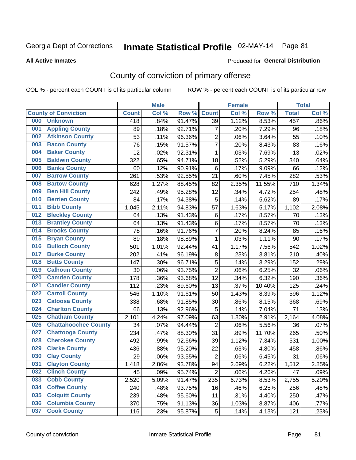#### **All Active Inmates**

#### Produced for **General Distribution**

### County of conviction of primary offense

|                                    |              | <b>Male</b> |           |                  | <b>Female</b> |        |              | <b>Total</b> |
|------------------------------------|--------------|-------------|-----------|------------------|---------------|--------|--------------|--------------|
| <b>County of Conviction</b>        | <b>Count</b> | Col %       | Row %     | <b>Count</b>     | Col %         | Row %  | <b>Total</b> | Col %        |
| 000<br><b>Unknown</b>              | 418          | .84%        | 91.47%    | 39               | 1.12%         | 8.53%  | 457          | .86%         |
| <b>Appling County</b><br>001       | 89           | .18%        | 92.71%    | $\overline{7}$   | .20%          | 7.29%  | 96           | .18%         |
| <b>Atkinson County</b><br>002      | 53           | .11%        | 96.36%    | $\overline{c}$   | .06%          | 3.64%  | 55           | .10%         |
| <b>Bacon County</b><br>003         | 76           | .15%        | 91.57%    | $\overline{7}$   | .20%          | 8.43%  | 83           | .16%         |
| <b>Baker County</b><br>004         | 12           | .02%        | 92.31%    | $\mathbf{1}$     | .03%          | 7.69%  | 13           | .02%         |
| <b>Baldwin County</b><br>005       | 322          | .65%        | 94.71%    | 18               | .52%          | 5.29%  | 340          | .64%         |
| <b>Banks County</b><br>006         | 60           | .12%        | 90.91%    | 6                | .17%          | 9.09%  | 66           | .12%         |
| <b>Barrow County</b><br>007        | 261          | .53%        | 92.55%    | 21               | .60%          | 7.45%  | 282          | .53%         |
| <b>Bartow County</b><br>008        | 628          | 1.27%       | 88.45%    | 82               | 2.35%         | 11.55% | 710          | 1.34%        |
| <b>Ben Hill County</b><br>009      | 242          | .49%        | 95.28%    | 12               | .34%          | 4.72%  | 254          | .48%         |
| <b>Berrien County</b><br>010       | 84           | .17%        | 94.38%    | 5                | .14%          | 5.62%  | 89           | .17%         |
| <b>Bibb County</b><br>011          | 1,045        | 2.11%       | 94.83%    | 57               | 1.63%         | 5.17%  | 1,102        | 2.08%        |
| <b>Bleckley County</b><br>012      | 64           | .13%        | 91.43%    | $\,6$            | .17%          | 8.57%  | 70           | .13%         |
| 013<br><b>Brantley County</b>      | 64           | .13%        | 91.43%    | 6                | .17%          | 8.57%  | 70           | .13%         |
| <b>Brooks County</b><br>014        | 78           | .16%        | 91.76%    | $\overline{7}$   | .20%          | 8.24%  | 85           | .16%         |
| <b>Bryan County</b><br>015         | 89           | .18%        | 98.89%    | $\mathbf 1$      | .03%          | 1.11%  | 90           | .17%         |
| <b>Bulloch County</b><br>016       | 501          | 1.01%       | 92.44%    | 41               | 1.17%         | 7.56%  | 542          | 1.02%        |
| <b>Burke County</b><br>017         | 202          | .41%        | 96.19%    | 8                | .23%          | 3.81%  | 210          | .40%         |
| <b>Butts County</b><br>018         | 147          | .30%        | 96.71%    | 5                | .14%          | 3.29%  | 152          | .29%         |
| <b>Calhoun County</b><br>019       | 30           | .06%        | 93.75%    | $\overline{2}$   | .06%          | 6.25%  | 32           | .06%         |
| <b>Camden County</b><br>020        | 178          | .36%        | 93.68%    | 12               | .34%          | 6.32%  | 190          | .36%         |
| <b>Candler County</b><br>021       | 112          | .23%        | 89.60%    | 13               | .37%          | 10.40% | 125          | .24%         |
| <b>Carroll County</b><br>022       | 546          | 1.10%       | $91.61\%$ | 50               | 1.43%         | 8.39%  | 596          | 1.12%        |
| <b>Catoosa County</b><br>023       | 338          | .68%        | 91.85%    | 30               | .86%          | 8.15%  | 368          | .69%         |
| <b>Charlton County</b><br>024      | 66           | .13%        | 92.96%    | 5                | .14%          | 7.04%  | 71           | .13%         |
| <b>Chatham County</b><br>025       | 2,101        | 4.24%       | 97.09%    | 63               | 1.80%         | 2.91%  | 2,164        | 4.08%        |
| <b>Chattahoochee County</b><br>026 | 34           | .07%        | 94.44%    | $\overline{2}$   | .06%          | 5.56%  | 36           | .07%         |
| <b>Chattooga County</b><br>027     | 234          | .47%        | 88.30%    | 31               | .89%          | 11.70% | 265          | .50%         |
| <b>Cherokee County</b><br>028      | 492          | .99%        | 92.66%    | 39               | 1.12%         | 7.34%  | 531          | 1.00%        |
| <b>Clarke County</b><br>029        | 436          | .88%        | 95.20%    | 22               | .63%          | 4.80%  | 458          | .86%         |
| <b>Clay County</b><br>030          | 29           | .06%        | 93.55%    | $\boldsymbol{2}$ | .06%          | 6.45%  | 31           | .06%         |
| 031<br><b>Clayton County</b>       | 1,418        | 2.86%       | 93.78%    | 94               | 2.69%         | 6.22%  | 1,512        | 2.85%        |
| <b>Clinch County</b><br>032        | 45           | .09%        | 95.74%    | $\overline{2}$   | .06%          | 4.26%  | 47           | .09%         |
| <b>Cobb County</b><br>033          | 2,520        | 5.09%       | 91.47%    | 235              | 6.73%         | 8.53%  | 2,755        | 5.20%        |
| <b>Coffee County</b><br>034        | 240          | .48%        | 93.75%    | 16               | .46%          | 6.25%  | 256          | .48%         |
| <b>Colquitt County</b><br>035      | 239          | .48%        | 95.60%    | 11               | .31%          | 4.40%  | 250          | .47%         |
| <b>Columbia County</b><br>036      | 370          | .75%        | 91.13%    | 36               | 1.03%         | 8.87%  | 406          | .77%         |
| <b>Cook County</b><br>037          | 116          | .23%        | 95.87%    | $\overline{5}$   | .14%          | 4.13%  | 121          | .23%         |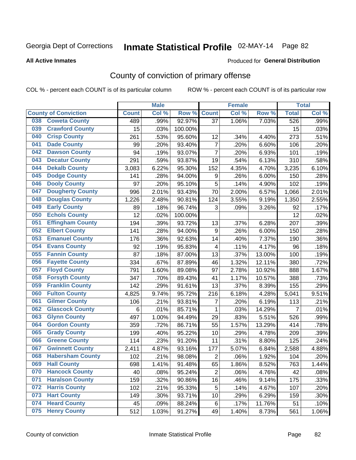#### **All Active Inmates**

#### Produced for **General Distribution**

### County of conviction of primary offense

|                                |              | <b>Male</b> |         |                         | <b>Female</b> |        |                | <b>Total</b> |
|--------------------------------|--------------|-------------|---------|-------------------------|---------------|--------|----------------|--------------|
| <b>County of Conviction</b>    | <b>Count</b> | Col%        | Row %   | <b>Count</b>            | Col %         | Row %  | <b>Total</b>   | Col %        |
| <b>Coweta County</b><br>038    | 489          | .99%        | 92.97%  | 37                      | 1.06%         | 7.03%  | 526            | .99%         |
| <b>Crawford County</b><br>039  | 15           | .03%        | 100.00% |                         |               |        | 15             | .03%         |
| <b>Crisp County</b><br>040     | 261          | .53%        | 95.60%  | 12                      | .34%          | 4.40%  | 273            | .51%         |
| <b>Dade County</b><br>041      | 99           | .20%        | 93.40%  | $\overline{7}$          | .20%          | 6.60%  | 106            | .20%         |
| <b>Dawson County</b><br>042    | 94           | .19%        | 93.07%  | $\overline{7}$          | .20%          | 6.93%  | 101            | .19%         |
| 043<br><b>Decatur County</b>   | 291          | .59%        | 93.87%  | 19                      | .54%          | 6.13%  | 310            | .58%         |
| <b>Dekalb County</b><br>044    | 3,083        | 6.22%       | 95.30%  | 152                     | 4.35%         | 4.70%  | 3,235          | 6.10%        |
| <b>Dodge County</b><br>045     | 141          | .28%        | 94.00%  | 9                       | .26%          | 6.00%  | 150            | .28%         |
| <b>Dooly County</b><br>046     | 97           | .20%        | 95.10%  | 5                       | .14%          | 4.90%  | 102            | .19%         |
| <b>Dougherty County</b><br>047 | 996          | 2.01%       | 93.43%  | 70                      | 2.00%         | 6.57%  | 1,066          | 2.01%        |
| <b>Douglas County</b><br>048   | 1,226        | 2.48%       | 90.81%  | 124                     | 3.55%         | 9.19%  | 1,350          | 2.55%        |
| <b>Early County</b><br>049     | 89           | .18%        | 96.74%  | 3                       | .09%          | 3.26%  | 92             | .17%         |
| <b>Echols County</b><br>050    | 12           | .02%        | 100.00% |                         |               |        | 12             | .02%         |
| <b>Effingham County</b><br>051 | 194          | .39%        | 93.72%  | 13                      | .37%          | 6.28%  | 207            | .39%         |
| <b>Elbert County</b><br>052    | 141          | .28%        | 94.00%  | 9                       | .26%          | 6.00%  | 150            | .28%         |
| <b>Emanuel County</b><br>053   | 176          | .36%        | 92.63%  | 14                      | .40%          | 7.37%  | 190            | .36%         |
| <b>Evans County</b><br>054     | 92           | .19%        | 95.83%  | $\overline{\mathbf{4}}$ | .11%          | 4.17%  | 96             | .18%         |
| <b>Fannin County</b><br>055    | 87           | .18%        | 87.00%  | 13                      | .37%          | 13.00% | 100            | .19%         |
| <b>Fayette County</b><br>056   | 334          | .67%        | 87.89%  | 46                      | 1.32%         | 12.11% | 380            | .72%         |
| <b>Floyd County</b><br>057     | 791          | 1.60%       | 89.08%  | 97                      | 2.78%         | 10.92% | 888            | 1.67%        |
| <b>Forsyth County</b><br>058   | 347          | .70%        | 89.43%  | 41                      | 1.17%         | 10.57% | 388            | .73%         |
| <b>Franklin County</b><br>059  | 142          | .29%        | 91.61%  | 13                      | .37%          | 8.39%  | 155            | .29%         |
| <b>Fulton County</b><br>060    | 4,825        | 9.74%       | 95.72%  | 216                     | 6.18%         | 4.28%  | 5,041          | 9.51%        |
| <b>Gilmer County</b><br>061    | 106          | .21%        | 93.81%  | $\overline{7}$          | .20%          | 6.19%  | 113            | .21%         |
| <b>Glascock County</b><br>062  | 6            | .01%        | 85.71%  | $\mathbf{1}$            | .03%          | 14.29% | $\overline{7}$ | .01%         |
| 063<br><b>Glynn County</b>     | 497          | 1.00%       | 94.49%  | 29                      | .83%          | 5.51%  | 526            | .99%         |
| <b>Gordon County</b><br>064    | 359          | .72%        | 86.71%  | 55                      | 1.57%         | 13.29% | 414            | .78%         |
| 065<br><b>Grady County</b>     | 199          | .40%        | 95.22%  | 10                      | .29%          | 4.78%  | 209            | .39%         |
| <b>Greene County</b><br>066    | 114          | .23%        | 91.20%  | 11                      | .31%          | 8.80%  | 125            | .24%         |
| <b>Gwinnett County</b><br>067  | 2,411        | 4.87%       | 93.16%  | 177                     | 5.07%         | 6.84%  | 2,588          | 4.88%        |
| <b>Habersham County</b><br>068 | 102          | .21%        | 98.08%  | $\overline{2}$          | .06%          | 1.92%  | 104            | .20%         |
| 069<br><b>Hall County</b>      | 698          | 1.41%       | 91.48%  | 65                      | 1.86%         | 8.52%  | 763            | 1.44%        |
| <b>Hancock County</b><br>070   | 40           | .08%        | 95.24%  | $\overline{2}$          | .06%          | 4.76%  | 42             | .08%         |
| <b>Haralson County</b><br>071  | 159          | .32%        | 90.86%  | 16                      | .46%          | 9.14%  | 175            | .33%         |
| <b>Harris County</b><br>072    | 102          | .21%        | 95.33%  | 5                       | .14%          | 4.67%  | 107            | .20%         |
| <b>Hart County</b><br>073      | 149          | .30%        | 93.71%  | 10                      | .29%          | 6.29%  | 159            | .30%         |
| <b>Heard County</b><br>074     | 45           | .09%        | 88.24%  | 6                       | .17%          | 11.76% | 51             | .10%         |
| <b>Henry County</b><br>075     | 512          | 1.03%       | 91.27%  | 49                      | 1.40%         | 8.73%  | 561            | 1.06%        |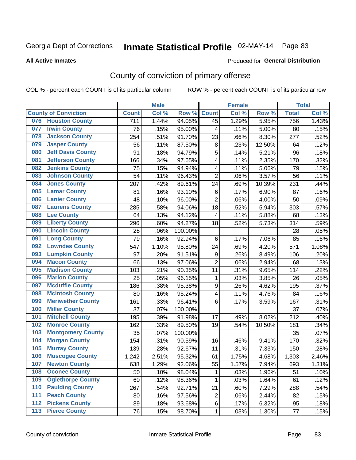#### **All Active Inmates**

#### Produced for **General Distribution**

### County of conviction of primary offense

|     |                             |              | <b>Male</b> |         |                         | <b>Female</b> |        |              | <b>Total</b> |
|-----|-----------------------------|--------------|-------------|---------|-------------------------|---------------|--------|--------------|--------------|
|     | <b>County of Conviction</b> | <b>Count</b> | Col %       | Row %   | <b>Count</b>            | Col %         | Row %  | <b>Total</b> | Col %        |
| 076 | <b>Houston County</b>       | 711          | 1.44%       | 94.05%  | 45                      | 1.29%         | 5.95%  | 756          | 1.43%        |
| 077 | <b>Irwin County</b>         | 76           | .15%        | 95.00%  | 4                       | .11%          | 5.00%  | 80           | .15%         |
| 078 | <b>Jackson County</b>       | 254          | .51%        | 91.70%  | 23                      | .66%          | 8.30%  | 277          | .52%         |
| 079 | <b>Jasper County</b>        | 56           | .11%        | 87.50%  | 8                       | .23%          | 12.50% | 64           | .12%         |
| 080 | <b>Jeff Davis County</b>    | 91           | .18%        | 94.79%  | 5                       | .14%          | 5.21%  | 96           | .18%         |
| 081 | <b>Jefferson County</b>     | 166          | .34%        | 97.65%  | 4                       | .11%          | 2.35%  | 170          | .32%         |
| 082 | <b>Jenkins County</b>       | 75           | .15%        | 94.94%  | $\overline{\mathbf{4}}$ | .11%          | 5.06%  | 79           | .15%         |
| 083 | <b>Johnson County</b>       | 54           | .11%        | 96.43%  | $\overline{2}$          | .06%          | 3.57%  | 56           | .11%         |
| 084 | <b>Jones County</b>         | 207          | .42%        | 89.61%  | 24                      | .69%          | 10.39% | 231          | .44%         |
| 085 | <b>Lamar County</b>         | 81           | .16%        | 93.10%  | 6                       | .17%          | 6.90%  | 87           | .16%         |
| 086 | <b>Lanier County</b>        | 48           | .10%        | 96.00%  | $\overline{2}$          | .06%          | 4.00%  | 50           | .09%         |
| 087 | <b>Laurens County</b>       | 285          | .58%        | 94.06%  | 18                      | .52%          | 5.94%  | 303          | .57%         |
| 088 | <b>Lee County</b>           | 64           | .13%        | 94.12%  | 4                       | .11%          | 5.88%  | 68           | .13%         |
| 089 | <b>Liberty County</b>       | 296          | .60%        | 94.27%  | 18                      | .52%          | 5.73%  | 314          | .59%         |
| 090 | <b>Lincoln County</b>       | 28           | .06%        | 100.00% |                         |               |        | 28           | .05%         |
| 091 | <b>Long County</b>          | 79           | .16%        | 92.94%  | 6                       | .17%          | 7.06%  | 85           | .16%         |
| 092 | <b>Lowndes County</b>       | 547          | 1.10%       | 95.80%  | 24                      | .69%          | 4.20%  | 571          | 1.08%        |
| 093 | <b>Lumpkin County</b>       | 97           | .20%        | 91.51%  | 9                       | .26%          | 8.49%  | 106          | .20%         |
| 094 | <b>Macon County</b>         | 66           | .13%        | 97.06%  | $\overline{2}$          | .06%          | 2.94%  | 68           | .13%         |
| 095 | <b>Madison County</b>       | 103          | .21%        | 90.35%  | 11                      | .31%          | 9.65%  | 114          | .22%         |
| 096 | <b>Marion County</b>        | 25           | .05%        | 96.15%  | $\mathbf{1}$            | .03%          | 3.85%  | 26           | .05%         |
| 097 | <b>Mcduffie County</b>      | 186          | .38%        | 95.38%  | $\boldsymbol{9}$        | .26%          | 4.62%  | 195          | .37%         |
| 098 | <b>Mcintosh County</b>      | 80           | .16%        | 95.24%  | 4                       | .11%          | 4.76%  | 84           | .16%         |
| 099 | <b>Meriwether County</b>    | 161          | .33%        | 96.41%  | 6                       | .17%          | 3.59%  | 167          | .31%         |
| 100 | <b>Miller County</b>        | 37           | .07%        | 100.00% |                         |               |        | 37           | .07%         |
| 101 | <b>Mitchell County</b>      | 195          | .39%        | 91.98%  | 17                      | .49%          | 8.02%  | 212          | .40%         |
| 102 | <b>Monroe County</b>        | 162          | .33%        | 89.50%  | 19                      | .54%          | 10.50% | 181          | .34%         |
| 103 | <b>Montgomery County</b>    | 35           | .07%        | 100.00% |                         |               |        | 35           | .07%         |
| 104 | <b>Morgan County</b>        | 154          | .31%        | 90.59%  | 16                      | .46%          | 9.41%  | 170          | .32%         |
| 105 | <b>Murray County</b>        | 139          | .28%        | 92.67%  | 11                      | .31%          | 7.33%  | 150          | .28%         |
| 106 | <b>Muscogee County</b>      | 1,242        | 2.51%       | 95.32%  | 61                      | 1.75%         | 4.68%  | 1,303        | 2.46%        |
| 107 | <b>Newton County</b>        | 638          | 1.29%       | 92.06%  | 55                      | 1.57%         | 7.94%  | 693          | 1.31%        |
| 108 | <b>Oconee County</b>        | 50           | .10%        | 98.04%  | 1                       | .03%          | 1.96%  | 51           | .10%         |
| 109 | <b>Oglethorpe County</b>    | 60           | .12%        | 98.36%  | 1                       | .03%          | 1.64%  | 61           | .12%         |
| 110 | <b>Paulding County</b>      | 267          | .54%        | 92.71%  | 21                      | .60%          | 7.29%  | 288          | .54%         |
| 111 | <b>Peach County</b>         | 80           | .16%        | 97.56%  | $\mathbf 2$             | .06%          | 2.44%  | 82           | .15%         |
| 112 | <b>Pickens County</b>       | 89           | .18%        | 93.68%  | 6                       | .17%          | 6.32%  | 95           | .18%         |
| 113 | <b>Pierce County</b>        | 76           | .15%        | 98.70%  | $\mathbf{1}$            | .03%          | 1.30%  | 77           | .15%         |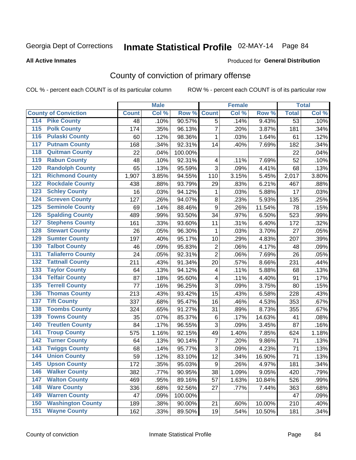**All Active Inmates**

#### Produced for **General Distribution**

### County of conviction of primary offense

|                                          |              | <b>Male</b> |         |                | <b>Female</b> |        |                 | <b>Total</b> |
|------------------------------------------|--------------|-------------|---------|----------------|---------------|--------|-----------------|--------------|
| <b>County of Conviction</b>              | <b>Count</b> | Col %       | Row %   | <b>Count</b>   | Col %         | Row %  | <b>Total</b>    | Col %        |
| <b>Pike County</b><br>114                | 48           | .10%        | 90.57%  | $\overline{5}$ | .14%          | 9.43%  | $\overline{53}$ | .10%         |
| <b>Polk County</b><br>$\overline{115}$   | 174          | .35%        | 96.13%  | $\overline{7}$ | .20%          | 3.87%  | 181             | .34%         |
| <b>Pulaski County</b><br>116             | 60           | .12%        | 98.36%  | 1              | .03%          | 1.64%  | 61              | .12%         |
| <b>Putnam County</b><br>117              | 168          | .34%        | 92.31%  | 14             | .40%          | 7.69%  | 182             | .34%         |
| <b>Quitman County</b><br>118             | 22           | .04%        | 100.00% |                |               |        | 22              | .04%         |
| <b>Rabun County</b><br>119               | 48           | .10%        | 92.31%  | 4              | .11%          | 7.69%  | 52              | .10%         |
| <b>Randolph County</b><br>120            | 65           | .13%        | 95.59%  | 3              | .09%          | 4.41%  | 68              | .13%         |
| <b>Richmond County</b><br>121            | 1,907        | 3.85%       | 94.55%  | 110            | 3.15%         | 5.45%  | 2,017           | 3.80%        |
| <b>Rockdale County</b><br>122            | 438          | .88%        | 93.79%  | 29             | .83%          | 6.21%  | 467             | .88%         |
| <b>Schley County</b><br>123              | 16           | .03%        | 94.12%  | 1              | .03%          | 5.88%  | 17              | .03%         |
| <b>Screven County</b><br>124             | 127          | .26%        | 94.07%  | 8              | .23%          | 5.93%  | 135             | .25%         |
| <b>Seminole County</b><br>125            | 69           | .14%        | 88.46%  | 9              | .26%          | 11.54% | 78              | .15%         |
| <b>Spalding County</b><br>126            | 489          | .99%        | 93.50%  | 34             | .97%          | 6.50%  | 523             | .99%         |
| <b>Stephens County</b><br>127            | 161          | .33%        | 93.60%  | 11             | .31%          | 6.40%  | 172             | .32%         |
| <b>Stewart County</b><br>128             | 26           | .05%        | 96.30%  | 1              | .03%          | 3.70%  | 27              | .05%         |
| <b>Sumter County</b><br>129              | 197          | .40%        | 95.17%  | 10             | .29%          | 4.83%  | 207             | .39%         |
| <b>Talbot County</b><br>130              | 46           | .09%        | 95.83%  | $\overline{2}$ | .06%          | 4.17%  | 48              | .09%         |
| <b>Taliaferro County</b><br>131          | 24           | .05%        | 92.31%  | $\overline{2}$ | .06%          | 7.69%  | 26              | .05%         |
| <b>Tattnall County</b><br>132            | 211          | .43%        | 91.34%  | 20             | .57%          | 8.66%  | 231             | .44%         |
| <b>Taylor County</b><br>133              | 64           | .13%        | 94.12%  | 4              | .11%          | 5.88%  | 68              | .13%         |
| <b>Telfair County</b><br>134             | 87           | .18%        | 95.60%  | 4              | .11%          | 4.40%  | 91              | .17%         |
| <b>Terrell County</b><br>135             | 77           | .16%        | 96.25%  | 3              | .09%          | 3.75%  | 80              | .15%         |
| <b>Thomas County</b><br>136              | 213          | .43%        | 93.42%  | 15             | .43%          | 6.58%  | 228             | .43%         |
| <b>Tift County</b><br>137                | 337          | .68%        | 95.47%  | 16             | .46%          | 4.53%  | 353             | .67%         |
| <b>Toombs County</b><br>138              | 324          | .65%        | 91.27%  | 31             | .89%          | 8.73%  | 355             | .67%         |
| <b>Towns County</b><br>139               | 35           | .07%        | 85.37%  | $\,6$          | .17%          | 14.63% | 41              | .08%         |
| <b>Treutlen County</b><br>140            | 84           | .17%        | 96.55%  | 3              | .09%          | 3.45%  | 87              | .16%         |
| <b>Troup County</b><br>141               | 575          | 1.16%       | 92.15%  | 49             | 1.40%         | 7.85%  | 624             | 1.18%        |
| <b>Turner County</b><br>142              | 64           | .13%        | 90.14%  | $\overline{7}$ | .20%          | 9.86%  | 71              | .13%         |
| <b>Twiggs County</b><br>$\overline{143}$ | 68           | .14%        | 95.77%  | 3              | .09%          | 4.23%  | 71              | .13%         |
| <b>Union County</b><br>144               | 59           | .12%        | 83.10%  | 12             | .34%          | 16.90% | 71              | .13%         |
| 145<br><b>Upson County</b>               | 172          | .35%        | 95.03%  | 9              | .26%          | 4.97%  | 181             | .34%         |
| <b>Walker County</b><br>146              | 382          | .77%        | 90.95%  | 38             | 1.09%         | 9.05%  | 420             | .79%         |
| <b>Walton County</b><br>147              | 469          | .95%        | 89.16%  | 57             | 1.63%         | 10.84% | 526             | .99%         |
| <b>Ware County</b><br>148                | 336          | .68%        | 92.56%  | 27             | .77%          | 7.44%  | 363             | .68%         |
| <b>Warren County</b><br>149              | 47           | .09%        | 100.00% |                |               |        | 47              | .09%         |
| <b>Washington County</b><br>150          | 189          | .38%        | 90.00%  | 21             | .60%          | 10.00% | 210             | .40%         |
| <b>Wayne County</b><br>151               | 162          | .33%        | 89.50%  | 19             | .54%          | 10.50% | 181             | .34%         |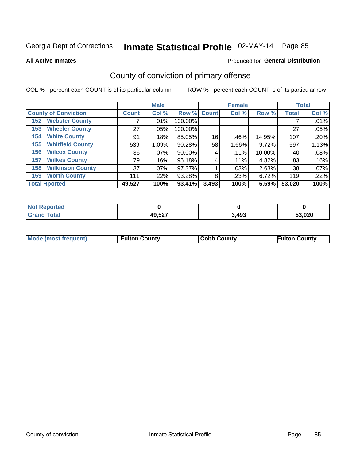**All Active Inmates**

#### Produced for **General Distribution**

### County of conviction of primary offense

|                                |                    | <b>Male</b> |             |       | <b>Female</b> |        |              | <b>Total</b> |
|--------------------------------|--------------------|-------------|-------------|-------|---------------|--------|--------------|--------------|
| <b>County of Conviction</b>    | Count <sup>'</sup> | Col %       | Row % Count |       | Col %         | Row %  | <b>Total</b> | Col %        |
| <b>Webster County</b><br>152   |                    | $.01\%$     | 100.00%     |       |               |        |              | .01%         |
| <b>Wheeler County</b><br>153   | 27                 | $.05\%$     | 100.00%     |       |               |        | 27           | .05%         |
| <b>White County</b><br>154     | 91                 | .18%        | 85.05%      | 16    | .46%          | 14.95% | 107          | .20%         |
| <b>Whitfield County</b><br>155 | 539                | 1.09%       | 90.28%      | 58    | 1.66%         | 9.72%  | 597          | 1.13%        |
| <b>Wilcox County</b><br>156    | 36                 | $.07\%$     | 90.00%      | 4     | $.11\%$       | 10.00% | 40           | .08%         |
| <b>Wilkes County</b><br>157    | 79                 | .16%        | 95.18%      | 4     | $.11\%$       | 4.82%  | 83           | .16%         |
| <b>Wilkinson County</b><br>158 | 37                 | .07%        | 97.37%      |       | .03%          | 2.63%  | 38           | .07%         |
| <b>Worth County</b><br>159     | 111                | .22%        | 93.28%      | 8     | .23%          | 6.72%  | 119          | .22%         |
| <b>Total Rported</b>           | 49,527             | 100%        | 93.41%      | 3,493 | 100%          | 6.59%  | 53,020       | 100%         |

| <b>Not Reported</b> |        |       |        |
|---------------------|--------|-------|--------|
| <b>Grand Total</b>  | 49,527 | 3,493 | 53,020 |

| Mode (most frequent) | <b>Fulton County</b> | <b>Cobb County</b> | <b>Fulton County</b> |
|----------------------|----------------------|--------------------|----------------------|
|                      |                      |                    |                      |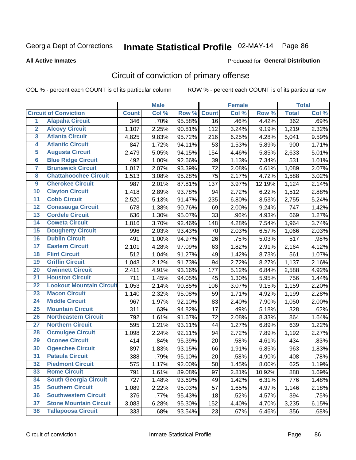Produced for **General Distribution**

#### **All Active Inmates**

### Circuit of conviction of primary offense

|                         |                                 |              | <b>Male</b> |        |              | <b>Female</b> |        |              | <b>Total</b> |
|-------------------------|---------------------------------|--------------|-------------|--------|--------------|---------------|--------|--------------|--------------|
|                         | <b>Circuit of Conviction</b>    | <b>Count</b> | Col %       | Row %  | <b>Count</b> | Col%          | Row %  | <b>Total</b> | Col %        |
| $\overline{1}$          | <b>Alapaha Circuit</b>          | 346          | .70%        | 95.58% | 16           | .46%          | 4.42%  | 362          | .69%         |
| $\overline{2}$          | <b>Alcovy Circuit</b>           | 1,107        | 2.25%       | 90.81% | 112          | 3.24%         | 9.19%  | 1,219        | 2.32%        |
| $\overline{\mathbf{3}}$ | <b>Atlanta Circuit</b>          | 4,825        | 9.83%       | 95.72% | 216          | 6.25%         | 4.28%  | 5,041        | 9.59%        |
| 4                       | <b>Atlantic Circuit</b>         | 847          | 1.72%       | 94.11% | 53           | 1.53%         | 5.89%  | 900          | 1.71%        |
| 5                       | <b>Augusta Circuit</b>          | 2,479        | 5.05%       | 94.15% | 154          | 4.46%         | 5.85%  | 2,633        | 5.01%        |
| $\overline{\mathbf{6}}$ | <b>Blue Ridge Circuit</b>       | 492          | 1.00%       | 92.66% | 39           | 1.13%         | 7.34%  | 531          | 1.01%        |
| $\overline{\mathbf{7}}$ | <b>Brunswick Circuit</b>        | 1,017        | 2.07%       | 93.39% | 72           | 2.08%         | 6.61%  | 1,089        | 2.07%        |
| 8                       | <b>Chattahoochee Circuit</b>    | 1,513        | 3.08%       | 95.28% | 75           | 2.17%         | 4.72%  | 1,588        | 3.02%        |
| $\overline{9}$          | <b>Cherokee Circuit</b>         | 987          | 2.01%       | 87.81% | 137          | 3.97%         | 12.19% | 1,124        | 2.14%        |
| 10                      | <b>Clayton Circuit</b>          | 1,418        | 2.89%       | 93.78% | 94           | 2.72%         | 6.22%  | 1,512        | 2.88%        |
| 11                      | <b>Cobb Circuit</b>             | 2,520        | 5.13%       | 91.47% | 235          | 6.80%         | 8.53%  | 2,755        | 5.24%        |
| 12                      | <b>Conasauga Circuit</b>        | 678          | 1.38%       | 90.76% | 69           | 2.00%         | 9.24%  | 747          | 1.42%        |
| 13                      | <b>Cordele Circuit</b>          | 636          | 1.30%       | 95.07% | 33           | .96%          | 4.93%  | 669          | 1.27%        |
| 14                      | <b>Coweta Circuit</b>           | 1,816        | 3.70%       | 92.46% | 148          | 4.28%         | 7.54%  | 1,964        | 3.74%        |
| 15                      | <b>Dougherty Circuit</b>        | 996          | 2.03%       | 93.43% | 70           | 2.03%         | 6.57%  | 1,066        | 2.03%        |
| 16                      | <b>Dublin Circuit</b>           | 491          | 1.00%       | 94.97% | 26           | .75%          | 5.03%  | 517          | .98%         |
| 17                      | <b>Eastern Circuit</b>          | 2,101        | 4.28%       | 97.09% | 63           | 1.82%         | 2.91%  | 2,164        | 4.12%        |
| 18                      | <b>Flint Circuit</b>            | 512          | 1.04%       | 91.27% | 49           | 1.42%         | 8.73%  | 561          | 1.07%        |
| 19                      | <b>Griffin Circuit</b>          | 1,043        | 2.12%       | 91.73% | 94           | 2.72%         | 8.27%  | 1,137        | 2.16%        |
| 20                      | <b>Gwinnett Circuit</b>         | 2,411        | 4.91%       | 93.16% | 177          | 5.12%         | 6.84%  | 2,588        | 4.92%        |
| $\overline{21}$         | <b>Houston Circuit</b>          | 711          | 1.45%       | 94.05% | 45           | 1.30%         | 5.95%  | 756          | 1.44%        |
| $\overline{22}$         | <b>Lookout Mountain Circuit</b> | 1,053        | 2.14%       | 90.85% | 106          | 3.07%         | 9.15%  | 1,159        | 2.20%        |
| 23                      | <b>Macon Circuit</b>            | 1,140        | 2.32%       | 95.08% | 59           | 1.71%         | 4.92%  | 1,199        | 2.28%        |
| 24                      | <b>Middle Circuit</b>           | 967          | 1.97%       | 92.10% | 83           | 2.40%         | 7.90%  | 1,050        | 2.00%        |
| 25                      | <b>Mountain Circuit</b>         | 311          | .63%        | 94.82% | 17           | .49%          | 5.18%  | 328          | .62%         |
| 26                      | <b>Northeastern Circuit</b>     | 792          | 1.61%       | 91.67% | 72           | 2.08%         | 8.33%  | 864          | 1.64%        |
| $\overline{27}$         | <b>Northern Circuit</b>         | 595          | 1.21%       | 93.11% | 44           | 1.27%         | 6.89%  | 639          | 1.22%        |
| 28                      | <b>Ocmulgee Circuit</b>         | 1,098        | 2.24%       | 92.11% | 94           | 2.72%         | 7.89%  | 1,192        | 2.27%        |
| 29                      | <b>Oconee Circuit</b>           | 414          | .84%        | 95.39% | 20           | .58%          | 4.61%  | 434          | .83%         |
| 30                      | <b>Ogeechee Circuit</b>         | 897          | 1.83%       | 93.15% | 66           | 1.91%         | 6.85%  | 963          | 1.83%        |
| $\overline{31}$         | <b>Pataula Circuit</b>          | 388          | .79%        | 95.10% | 20           | .58%          | 4.90%  | 408          | .78%         |
| 32                      | <b>Piedmont Circuit</b>         | 575          | 1.17%       | 92.00% | 50           | 1.45%         | 8.00%  | 625          | 1.19%        |
| 33                      | <b>Rome Circuit</b>             | 791          | 1.61%       | 89.08% | 97           | 2.81%         | 10.92% | 888          | 1.69%        |
| 34                      | <b>South Georgia Circuit</b>    | 727          | 1.48%       | 93.69% | 49           | 1.42%         | 6.31%  | 776          | 1.48%        |
| 35                      | <b>Southern Circuit</b>         | 1,089        | 2.22%       | 95.03% | 57           | 1.65%         | 4.97%  | 1,146        | 2.18%        |
| 36                      | <b>Southwestern Circuit</b>     | 376          | .77%        | 95.43% | 18           | .52%          | 4.57%  | 394          | .75%         |
| 37                      | <b>Stone Mountain Circuit</b>   | 3,083        | 6.28%       | 95.30% | 152          | 4.40%         | 4.70%  | 3,235        | 6.15%        |
| 38                      | <b>Tallapoosa Circuit</b>       | 333          | .68%        | 93.54% | 23           | .67%          | 6.46%  | 356          | .68%         |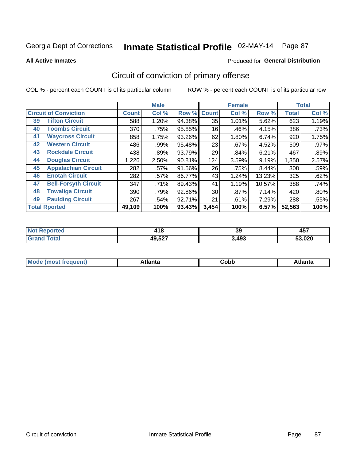**All Active Inmates**

#### Produced for **General Distribution**

### Circuit of conviction of primary offense

|                                   |              | <b>Male</b> |        |              | <b>Female</b> |        |              | <b>Total</b> |
|-----------------------------------|--------------|-------------|--------|--------------|---------------|--------|--------------|--------------|
| <b>Circuit of Conviction</b>      | <b>Count</b> | Col %       | Row %  | <b>Count</b> | Col %         | Row %  | <b>Total</b> | Col %        |
| <b>Tifton Circuit</b><br>39       | 588          | 1.20%       | 94.38% | 35           | 1.01%         | 5.62%  | 623          | 1.19%        |
| <b>Toombs Circuit</b><br>40       | 370          | .75%        | 95.85% | 16           | .46%          | 4.15%  | 386          | .73%         |
| <b>Waycross Circuit</b><br>41     | 858          | 1.75%       | 93.26% | 62           | 1.80%         | 6.74%  | 920          | 1.75%        |
| <b>Western Circuit</b><br>42      | 486          | .99%        | 95.48% | 23           | .67%          | 4.52%  | 509          | .97%         |
| <b>Rockdale Circuit</b><br>43     | 438          | .89%        | 93.79% | 29           | .84%          | 6.21%  | 467          | .89%         |
| <b>Douglas Circuit</b><br>44      | 1,226        | 2.50%       | 90.81% | 124          | 3.59%         | 9.19%  | 1,350        | 2.57%        |
| <b>Appalachian Circuit</b><br>45  | 282          | .57%        | 91.56% | 26           | .75%          | 8.44%  | 308          | .59%         |
| <b>Enotah Circuit</b><br>46       | 282          | .57%        | 86.77% | 43           | 1.24%         | 13.23% | 325          | .62%         |
| <b>Bell-Forsyth Circuit</b><br>47 | 347          | .71%        | 89.43% | 41           | 1.19%         | 10.57% | 388          | .74%         |
| <b>Towaliga Circuit</b><br>48     | 390          | .79%        | 92.86% | 30           | .87%          | 7.14%  | 420          | .80%         |
| <b>Paulding Circuit</b><br>49     | 267          | .54%        | 92.71% | 21           | .61%          | 7.29%  | 288          | .55%         |
| <b>Total Rported</b>              | 49,109       | 100%        | 93.43% | 3,454        | 100%          | 6.57%  | 52,563       | 100%         |

| 11 H C | $\sim$ | 39    | 1 E 7<br>TV 1 |
|--------|--------|-------|---------------|
|        | 49,527 | },493 | ES NON<br>uzu |

| M | . | -----<br>oг | ----<br>пLс |
|---|---|-------------|-------------|
|   |   | <b>OUNN</b> |             |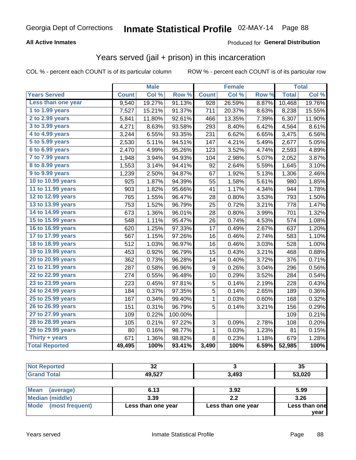#### **All Active Inmates**

#### Produced for **General Distribution**

#### Years served (jail + prison) in this incarceration

|                       |              | <b>Male</b> |                  |                  | <b>Female</b> |       |              | <b>Total</b> |
|-----------------------|--------------|-------------|------------------|------------------|---------------|-------|--------------|--------------|
| <b>Years Served</b>   | <b>Count</b> | Col %       | Row <sup>%</sup> | <b>Count</b>     | Col %         | Row % | <b>Total</b> | Col %        |
| Less than one year    | 9,540        | 19.27%      | 91.13%           | $\overline{928}$ | 26.59%        | 8.87% | 10,468       | 19.76%       |
| 1 to 1.99 years       | 7,527        | 15.21%      | 91.37%           | 711              | 20.37%        | 8.63% | 8,238        | 15.55%       |
| 2 to 2.99 years       | 5,841        | 11.80%      | 92.61%           | 466              | 13.35%        | 7.39% | 6,307        | 11.90%       |
| 3 to 3.99 years       | 4,271        | 8.63%       | 93.58%           | 293              | 8.40%         | 6.42% | 4,564        | 8.61%        |
| 4 to 4.99 years       | 3,244        | 6.55%       | 93.35%           | 231              | 6.62%         | 6.65% | 3,475        | 6.56%        |
| 5 to 5.99 years       | 2,530        | 5.11%       | 94.51%           | 147              | 4.21%         | 5.49% | 2,677        | 5.05%        |
| 6 to 6.99 years       | 2,470        | 4.99%       | 95.26%           | 123              | 3.52%         | 4.74% | 2,593        | 4.89%        |
| 7 to 7.99 years       | 1,948        | 3.94%       | 94.93%           | 104              | 2.98%         | 5.07% | 2,052        | 3.87%        |
| 8 to 8.99 years       | 1,553        | 3.14%       | 94.41%           | 92               | 2.64%         | 5.59% | 1,645        | 3.10%        |
| 9 to 9.99 years       | 1,239        | 2.50%       | 94.87%           | 67               | 1.92%         | 5.13% | 1,306        | 2.46%        |
| 10 to 10.99 years     | 925          | 1.87%       | 94.39%           | 55               | 1.58%         | 5.61% | 980          | 1.85%        |
| 11 to 11.99 years     | 903          | 1.82%       | 95.66%           | 41               | 1.17%         | 4.34% | 944          | 1.78%        |
| 12 to 12.99 years     | 765          | 1.55%       | 96.47%           | 28               | 0.80%         | 3.53% | 793          | 1.50%        |
| 13 to 13.99 years     | 753          | 1.52%       | 96.79%           | 25               | 0.72%         | 3.21% | 778          | 1.47%        |
| 14 to 14.99 years     | 673          | 1.36%       | 96.01%           | 28               | 0.80%         | 3.99% | 701          | 1.32%        |
| 15 to 15.99 years     | 548          | 1.11%       | 95.47%           | 26               | 0.74%         | 4.53% | 574          | 1.08%        |
| 16 to 16.99 years     | 620          | 1.25%       | 97.33%           | 17               | 0.49%         | 2.67% | 637          | 1.20%        |
| 17 to 17.99 years     | 567          | 1.15%       | 97.26%           | 16               | 0.46%         | 2.74% | 583          | 1.10%        |
| 18 to 18.99 years     | 512          | 1.03%       | 96.97%           | 16               | 0.46%         | 3.03% | 528          | 1.00%        |
| 19 to 19.99 years     | 453          | 0.92%       | 96.79%           | 15               | 0.43%         | 3.21% | 468          | 0.88%        |
| 20 to 20.99 years     | 362          | 0.73%       | 96.28%           | 14               | 0.40%         | 3.72% | 376          | 0.71%        |
| 21 to 21.99 years     | 287          | 0.58%       | 96.96%           | 9                | 0.26%         | 3.04% | 296          | 0.56%        |
| 22 to 22.99 years     | 274          | 0.55%       | 96.48%           | 10               | 0.29%         | 3.52% | 284          | 0.54%        |
| 23 to 23.99 years     | 223          | 0.45%       | 97.81%           | 5                | 0.14%         | 2.19% | 228          | 0.43%        |
| 24 to 24.99 years     | 184          | 0.37%       | 97.35%           | 5                | 0.14%         | 2.65% | 189          | 0.36%        |
| 25 to 25.99 years     | 167          | 0.34%       | 99.40%           | 1                | 0.03%         | 0.60% | 168          | 0.32%        |
| 26 to 26.99 years     | 151          | 0.31%       | 96.79%           | 5                | 0.14%         | 3.21% | 156          | 0.29%        |
| 27 to 27.99 years     | 109          | 0.22%       | 100.00%          |                  |               |       | 109          | 0.21%        |
| 28 to 28.99 years     | 105          | 0.21%       | 97.22%           | 3                | 0.09%         | 2.78% | 108          | 0.20%        |
| 29 to 29.99 years     | 80           | 0.16%       | 98.77%           | 1                | 0.03%         | 1.23% | 81           | 0.15%        |
| Thirty $+$ years      | 671          | 1.36%       | 98.82%           | 8                | 0.23%         | 1.18% | 679          | 1.28%        |
| <b>Total Reported</b> | 49,495       | 100%        | 93.41%           | 3,490            | 100%          | 6.59% | 52,985       | 100%         |

| <b>Not Reported</b> | 32     |       | 35     |
|---------------------|--------|-------|--------|
| <b>Grand Total</b>  | 49,527 | 3,493 | 53,020 |
|                     |        |       |        |
| Mean<br>(average)   | 6.13   | 3.92  | 5.99   |

| Median (middle)      | 3.39               |                    | 3.26                  |
|----------------------|--------------------|--------------------|-----------------------|
| Mode (most frequent) | Less than one year | Less than one year | Less than one<br>vear |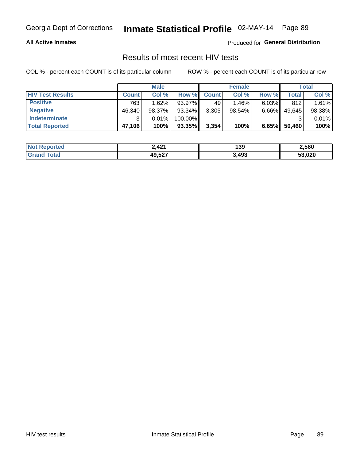#### **All Active Inmates**

Produced for **General Distribution**

#### Results of most recent HIV tests

|                         | <b>Male</b>  |        |         | <b>Female</b> |          |          | Total  |        |
|-------------------------|--------------|--------|---------|---------------|----------|----------|--------|--------|
| <b>HIV Test Results</b> | <b>Count</b> | Col %  | Row %I  | <b>Count</b>  | Col %    | Row %    | Total  | Col %  |
| <b>Positive</b>         | 763          | 1.62%  | 93.97%  | 49            | $1.46\%$ | $6.03\%$ | 812    | 1.61%  |
| <b>Negative</b>         | 46,340       | 98.37% | 93.34%  | 3,305         | 98.54%   | $6.66\%$ | 49,645 | 98.38% |
| Indeterminate           | ີ            | 0.01%  | 100.00% |               |          |          |        | 0.01%  |
| <b>Total Reported</b>   | 47,106       | 100%   | 93.35%  | 3,354         | 100%     | 6.65%    | 50,460 | 100%   |

| <b>Not Reported</b> | 2,421  | 139   | 2,560  |
|---------------------|--------|-------|--------|
| Total<br>Gran       | 49,527 | 3,493 | 53,020 |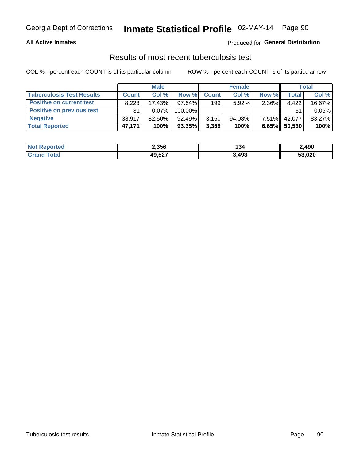#### **All Active Inmates**

#### Produced for **General Distribution**

#### Results of most recent tuberculosis test

|                                  | <b>Male</b>  |           |         | <b>Female</b> |           |          | Total        |          |
|----------------------------------|--------------|-----------|---------|---------------|-----------|----------|--------------|----------|
| <b>Tuberculosis Test Results</b> | <b>Count</b> | Col%      | Row %I  | <b>Count</b>  | Col%      | Row %    | <b>Total</b> | Col %    |
| <b>Positive on current test</b>  | 8,223        | 17.43%    | 97.64%  | 199           | $5.92\%$  | 2.36%    | 8,422        | 16.67%   |
| <b>Positive on previous test</b> | 31           | $0.07\%$  | 100.00% |               |           |          | 31           | $0.06\%$ |
| <b>Negative</b>                  | 38.917       | $82.50\%$ | 92.49%  | 3,160         | $94.08\%$ | $7.51\%$ | 42.077       | 83.27%   |
| <b>Total Reported</b>            | 47,171       | 100%      | 93.35%  | 3,359         | 100%      | 6.65%    | 50,530       | 100%     |

| <b>Not Reported</b> | 2,356  | 134   | 2,490  |
|---------------------|--------|-------|--------|
| Total<br>Gran       | 49,527 | 3,493 | 53,020 |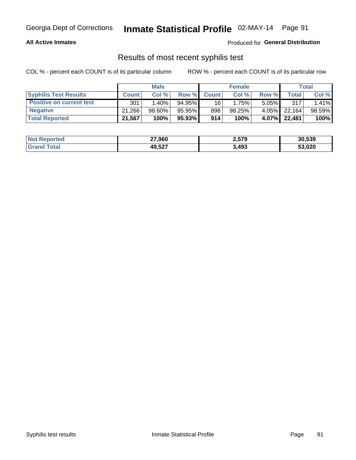#### **All Active Inmates**

Produced for **General Distribution**

#### Results of most recent syphilis test

|                                 | <b>Male</b>  |           |           | <b>Female</b>   |        |          | Total   |        |
|---------------------------------|--------------|-----------|-----------|-----------------|--------|----------|---------|--------|
| <b>Syphilis Test Results</b>    | <b>Count</b> | Col%      | Row %     | <b>Count</b>    | Col %  | Row %    | Total I | Col %  |
| <b>Positive on current test</b> | 301          | $1.40\%$  | $94.95\%$ | 16 <sup>1</sup> | 1.75%  | $5.05\%$ | 317     | 1.41%  |
| <b>Negative</b>                 | 21.266       | $98.60\%$ | 95.95%    | 898             | 98.25% | 4.05%    | 22.164  | 98.59% |
| <b>Total Reported</b>           | 21,567       | 100%      | 95.93% I  | 914             | 100%   | 4.07%    | 22,481  | 100%   |

| <b>Not Reported</b> | 27,960 | 2,579 | 30,539 |
|---------------------|--------|-------|--------|
| <b>Grand Total</b>  | 49,527 | 3,493 | 53,020 |